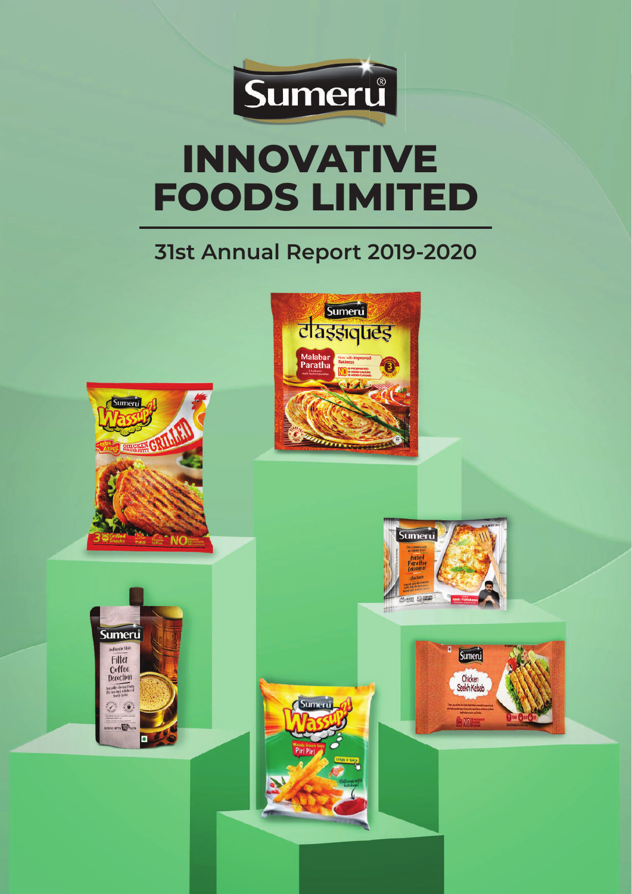

# **INNOVATIVE FOODS LIMITED**

# **31st Annual Report 2019-2020**



Sumeru







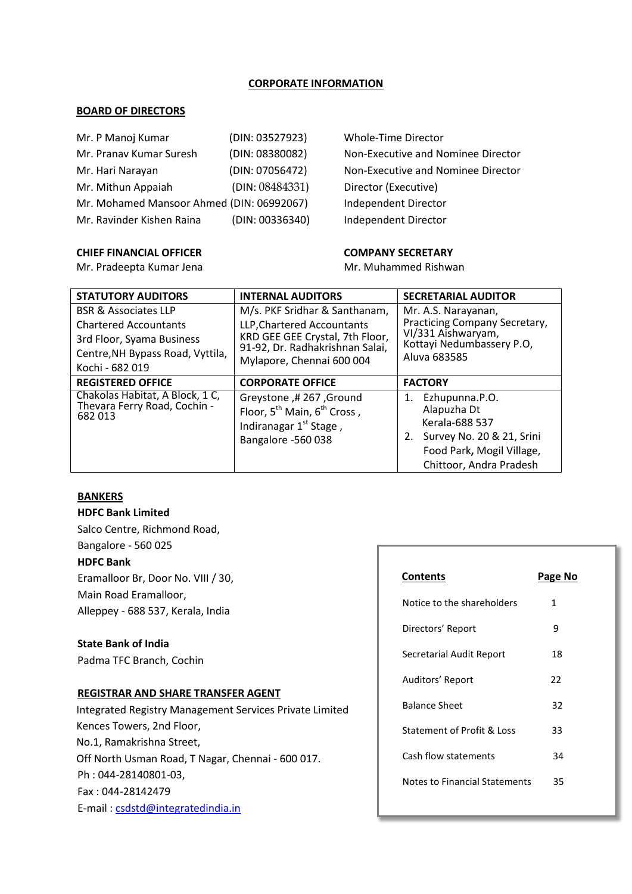# **CORPORATE INFORMATION**

#### **BOARD OF DIRECTORS**

| Mr. P Manoj Kumar                         | (DIN: 03527923) |
|-------------------------------------------|-----------------|
| Mr. Pranav Kumar Suresh                   | (DIN: 08380082) |
| Mr. Hari Narayan                          | (DIN: 07056472) |
| Mr. Mithun Appaiah                        | (DIN: 08484331) |
| Mr. Mohamed Mansoor Ahmed (DIN: 06992067) |                 |
| Mr. Ravinder Kishen Raina                 | (DIN: 00336340) |

Whole-Time Director Non-Executive and Nominee Director Non-Executive and Nominee Director Director (Executive) Independent Director Independent Director

# **CHIEF FINANCIAL OFFICER COMPANY SECRETARY**

Mr. Pradeepta Kumar Jena Muhammed Rishwan

| <b>STATUTORY AUDITORS</b>                                                                                                                           | <b>INTERNAL AUDITORS</b>                                                                                                                                       | <b>SECRETARIAL AUDITOR</b>                                                                                                                    |
|-----------------------------------------------------------------------------------------------------------------------------------------------------|----------------------------------------------------------------------------------------------------------------------------------------------------------------|-----------------------------------------------------------------------------------------------------------------------------------------------|
| <b>BSR &amp; Associates LLP</b><br><b>Chartered Accountants</b><br>3rd Floor, Syama Business<br>Centre, NH Bypass Road, Vyttila,<br>Kochi - 682 019 | M/s. PKF Sridhar & Santhanam,<br>LLP, Chartered Accountants<br>KRD GEE GEE Crystal, 7th Floor,<br>91-92, Dr. Radhakrishnan Salai,<br>Mylapore, Chennai 600 004 | Mr. A.S. Narayanan,<br>Practicing Company Secretary,<br>VI/331 Aishwaryam,<br>Kottayi Nedumbassery P.O.<br>Aluva 683585                       |
| <b>REGISTERED OFFICE</b>                                                                                                                            | <b>CORPORATE OFFICE</b>                                                                                                                                        | <b>FACTORY</b>                                                                                                                                |
| Chakolas Habitat, A Block, 1 C,<br>Thevara Ferry Road, Cochin -<br>682 013                                                                          | Greystone,#267,Ground<br>Floor, 5 <sup>th</sup> Main, 6 <sup>th</sup> Cross,<br>Indiranagar 1 <sup>st</sup> Stage,<br>Bangalore -560 038                       | 1. Ezhupunna.P.O.<br>Alapuzha Dt<br>Kerala-688 537<br>Survey No. 20 & 21, Srini<br>2.<br>Food Park, Mogil Village,<br>Chittoor, Andra Pradesh |

# **BANKERS**

#### **HDFC Bank Limited**

Salco Centre, Richmond Road, Bangalore - 560 025 **HDFC Bank** Eramalloor Br, Door No. VIII / 30, Main Road Eramalloor, Alleppey - 688 537, Kerala, India

# **State Bank of India**

Padma TFC Branch, Cochin

#### **REGISTRAR AND SHARE TRANSFER AGENT**

Integrated Registry Management Services Private Limited Kences Towers, 2nd Floor, No.1, Ramakrishna Street, Off North Usman Road, T Nagar, Chennai - 600 017. Ph : 044-28140801-03, Fax : 044-28142479 E-mail : [csdstd@integratedindia.in](mailto:csdstd@integratedindia.in)

| <b>Contents</b>               | Page No |
|-------------------------------|---------|
| Notice to the shareholders    | 1       |
| Directors' Report             | 9       |
| Secretarial Audit Report      | 18      |
| Auditors' Report              | 22      |
| <b>Balance Sheet</b>          | 32      |
| Statement of Profit & Loss    | 33      |
| Cash flow statements          | 34      |
| Notes to Financial Statements | 35      |
|                               |         |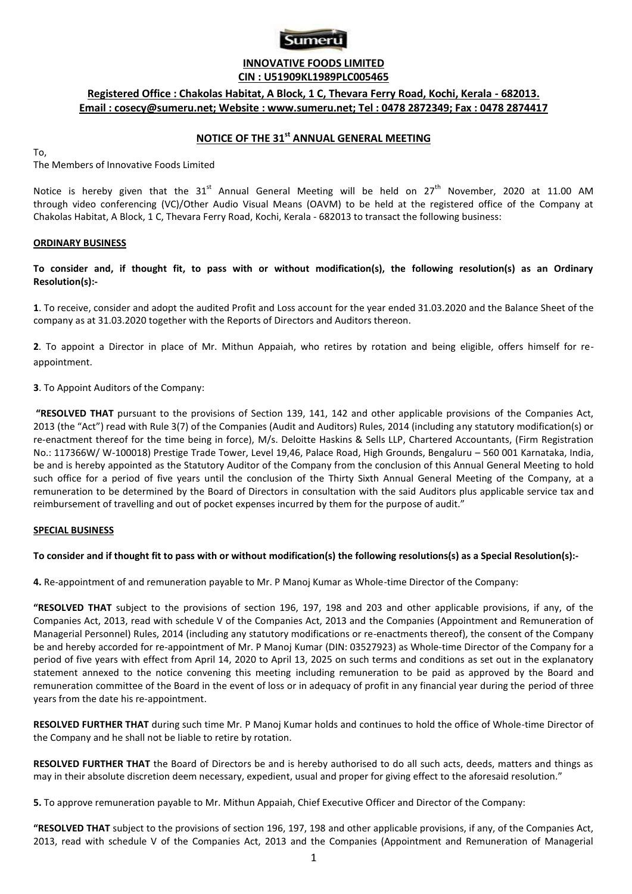

# **INNOVATIVE FOODS LIMITED CIN : U51909KL1989PLC005465 Registered Office : Chakolas Habitat, A Block, 1 C, Thevara Ferry Road, Kochi, Kerala - 682013. Email : cosecy@sumeru.net; Website : www.sumeru.net; Tel : 0478 2872349; Fax : 0478 2874417**

# **NOTICE OF THE 31st ANNUAL GENERAL MEETING**

To,

#### The Members of Innovative Foods Limited

Notice is hereby given that the  $31<sup>st</sup>$  Annual General Meeting will be held on  $27<sup>th</sup>$  November, 2020 at 11.00 AM through video conferencing (VC)/Other Audio Visual Means (OAVM) to be held at the registered office of the Company at Chakolas Habitat, A Block, 1 C, Thevara Ferry Road, Kochi, Kerala - 682013 to transact the following business:

#### **ORDINARY BUSINESS**

**To consider and, if thought fit, to pass with or without modification(s), the following resolution(s) as an Ordinary Resolution(s):-**

**1**. To receive, consider and adopt the audited Profit and Loss account for the year ended 31.03.2020 and the Balance Sheet of the company as at 31.03.2020 together with the Reports of Directors and Auditors thereon.

**2**. To appoint a Director in place of Mr. Mithun Appaiah, who retires by rotation and being eligible, offers himself for reappointment.

#### **3**. To Appoint Auditors of the Company:

**"RESOLVED THAT** pursuant to the provisions of Section 139, 141, 142 and other applicable provisions of the Companies Act, 2013 (the "Act") read with Rule 3(7) of the Companies (Audit and Auditors) Rules, 2014 (including any statutory modification(s) or re-enactment thereof for the time being in force), M/s. Deloitte Haskins & Sells LLP, Chartered Accountants, (Firm Registration No.: 117366W/ W-100018) Prestige Trade Tower, Level 19,46, Palace Road, High Grounds, Bengaluru – 560 001 Karnataka, India, be and is hereby appointed as the Statutory Auditor of the Company from the conclusion of this Annual General Meeting to hold such office for a period of five years until the conclusion of the Thirty Sixth Annual General Meeting of the Company, at a remuneration to be determined by the Board of Directors in consultation with the said Auditors plus applicable service tax and reimbursement of travelling and out of pocket expenses incurred by them for the purpose of audit."

#### **SPECIAL BUSINESS**

#### **To consider and if thought fit to pass with or without modification(s) the following resolutions(s) as a Special Resolution(s):-**

**4.** Re-appointment of and remuneration payable to Mr. P Manoj Kumar as Whole-time Director of the Company:

**"RESOLVED THAT** subject to the provisions of section 196, 197, 198 and 203 and other applicable provisions, if any, of the Companies Act, 2013, read with schedule V of the Companies Act, 2013 and the Companies (Appointment and Remuneration of Managerial Personnel) Rules, 2014 (including any statutory modifications or re-enactments thereof), the consent of the Company be and hereby accorded for re-appointment of Mr. P Manoj Kumar (DIN: 03527923) as Whole-time Director of the Company for a period of five years with effect from April 14, 2020 to April 13, 2025 on such terms and conditions as set out in the explanatory statement annexed to the notice convening this meeting including remuneration to be paid as approved by the Board and remuneration committee of the Board in the event of loss or in adequacy of profit in any financial year during the period of three years from the date his re-appointment.

**RESOLVED FURTHER THAT** during such time Mr. P Manoj Kumar holds and continues to hold the office of Whole-time Director of the Company and he shall not be liable to retire by rotation.

**RESOLVED FURTHER THAT** the Board of Directors be and is hereby authorised to do all such acts, deeds, matters and things as may in their absolute discretion deem necessary, expedient, usual and proper for giving effect to the aforesaid resolution."

**5.** To approve remuneration payable to Mr. Mithun Appaiah, Chief Executive Officer and Director of the Company:

**"RESOLVED THAT** subject to the provisions of section 196, 197, 198 and other applicable provisions, if any, of the Companies Act, 2013, read with schedule V of the Companies Act, 2013 and the Companies (Appointment and Remuneration of Managerial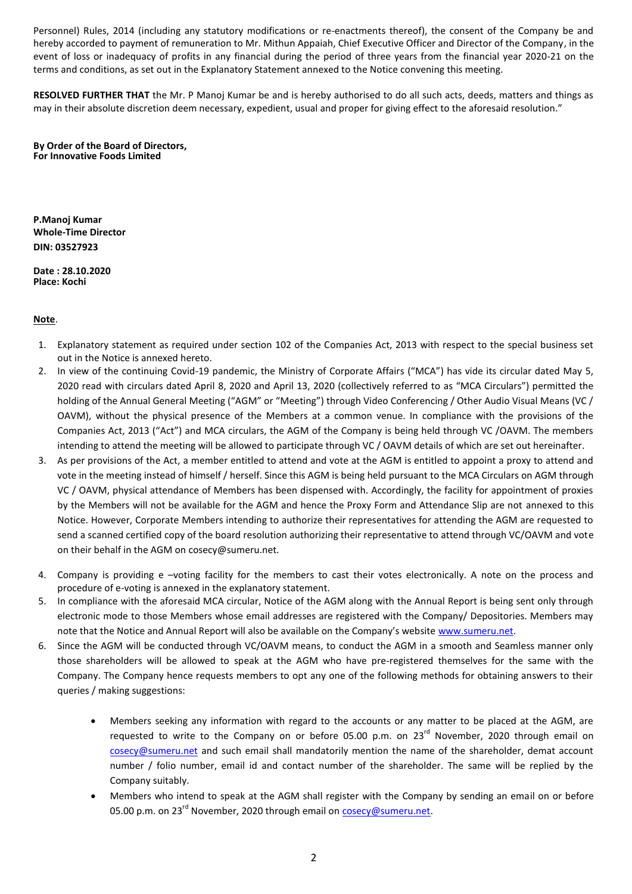Personnel) Rules, 2014 (including any statutory modifications or re-enactments thereof), the consent of the Company be and hereby accorded to payment of remuneration to Mr. Mithun Appaiah, Chief Executive Officer and Director of the Company, in the event of loss or inadequacy of profits in any financial during the period of three years from the financial year 2020-21 on the terms and conditions, as set out in the Explanatory Statement annexed to the Notice convening this meeting.

**RESOLVED FURTHER THAT** the Mr. P Manoj Kumar be and is hereby authorised to do all such acts, deeds, matters and things as may in their absolute discretion deem necessary, expedient, usual and proper for giving effect to the aforesaid resolution."

**By Order of the Board of Directors, For Innovative Foods Limited**

**P.Manoj Kumar Whole-Time Director DIN: 03527923**

**Date : 28.10.2020 Place: Kochi**

#### **Note**.

- 1. Explanatory statement as required under section 102 of the Companies Act, 2013 with respect to the special business set out in the Notice is annexed hereto.
- 2. In view of the continuing Covid-19 pandemic, the Ministry of Corporate Affairs ("MCA") has vide its circular dated May 5, 2020 read with circulars dated April 8, 2020 and April 13, 2020 (collectively referred to as "MCA Circulars") permitted the holding of the Annual General Meeting ("AGM" or "Meeting") through Video Conferencing / Other Audio Visual Means (VC / OAVM), without the physical presence of the Members at a common venue. In compliance with the provisions of the Companies Act, 2013 ("Act") and MCA circulars, the AGM of the Company is being held through VC /OAVM. The members intending to attend the meeting will be allowed to participate through VC / OAVM details of which are set out hereinafter.
- 3. As per provisions of the Act, a member entitled to attend and vote at the AGM is entitled to appoint a proxy to attend and vote in the meeting instead of himself / herself. Since this AGM is being held pursuant to the MCA Circulars on AGM through VC / OAVM, physical attendance of Members has been dispensed with. Accordingly, the facility for appointment of proxies by the Members will not be available for the AGM and hence the Proxy Form and Attendance Slip are not annexed to this Notice. However, Corporate Members intending to authorize their representatives for attending the AGM are requested to send a scanned certified copy of the board resolution authorizing their representative to attend through VC/OAVM and vote on their behalf in the AGM on cosecy@sumeru.net.
- 4. Company is providing e –voting facility for the members to cast their votes electronically. A note on the process and procedure of e-voting is annexed in the explanatory statement.
- 5. In compliance with the aforesaid MCA circular, Notice of the AGM along with the Annual Report is being sent only through electronic mode to those Members whose email addresses are registered with the Company/ Depositories. Members may note that the Notice and Annual Report will also be available on the Company's website [www.sumeru.net.](http://www.sumeru.net/)
- 6. Since the AGM will be conducted through VC/OAVM means, to conduct the AGM in a smooth and Seamless manner only those shareholders will be allowed to speak at the AGM who have pre-registered themselves for the same with the Company. The Company hence requests members to opt any one of the following methods for obtaining answers to their queries / making suggestions:
	- Members seeking any information with regard to the accounts or any matter to be placed at the AGM, are requested to write to the Company on or before 05.00 p.m. on  $23^{rd}$  November, 2020 through email on [cosecy@sumeru.net](mailto:cosecy@sumeru.net) and such email shall mandatorily mention the name of the shareholder, demat account number / folio number, email id and contact number of the shareholder. The same will be replied by the Company suitably.
	- Members who intend to speak at the AGM shall register with the Company by sending an email on or before 05.00 p.m. on  $23^{\text{rd}}$  November, 2020 through email on  $cosecv@sumeru.net$ .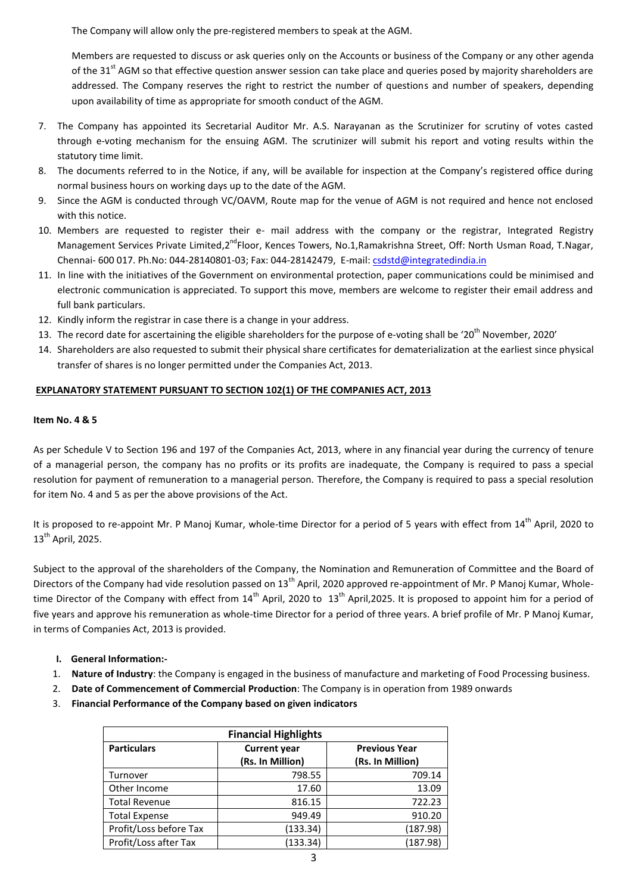The Company will allow only the pre-registered members to speak at the AGM.

Members are requested to discuss or ask queries only on the Accounts or business of the Company or any other agenda of the  $31<sup>st</sup>$  AGM so that effective question answer session can take place and queries posed by majority shareholders are addressed. The Company reserves the right to restrict the number of questions and number of speakers, depending upon availability of time as appropriate for smooth conduct of the AGM.

- 7. The Company has appointed its Secretarial Auditor Mr. A.S. Narayanan as the Scrutinizer for scrutiny of votes casted through e-voting mechanism for the ensuing AGM. The scrutinizer will submit his report and voting results within the statutory time limit.
- 8. The documents referred to in the Notice, if any, will be available for inspection at the Company's registered office during normal business hours on working days up to the date of the AGM.
- 9. Since the AGM is conducted through VC/OAVM, Route map for the venue of AGM is not required and hence not enclosed with this notice.
- 10. Members are requested to register their e- mail address with the company or the registrar, Integrated Registry Management Services Private Limited,2<sup>nd</sup>Floor, Kences Towers, No.1,Ramakrishna Street, Off: North Usman Road, T.Nagar, Chennai- 600 017. Ph.No: 044-28140801-03; Fax: 044-28142479, E-mail[: csdstd@integratedindia.in](mailto:csdstd@integratedindia.in)
- 11. In line with the initiatives of the Government on environmental protection, paper communications could be minimised and electronic communication is appreciated. To support this move, members are welcome to register their email address and full bank particulars.
- 12. Kindly inform the registrar in case there is a change in your address.
- 13. The record date for ascertaining the eligible shareholders for the purpose of e-voting shall be '20<sup>th</sup> November, 2020'
- 14. Shareholders are also requested to submit their physical share certificates for dematerialization at the earliest since physical transfer of shares is no longer permitted under the Companies Act, 2013.

# **EXPLANATORY STATEMENT PURSUANT TO SECTION 102(1) OF THE COMPANIES ACT, 2013**

#### **Item No. 4 & 5**

As per Schedule V to Section 196 and 197 of the Companies Act, 2013, where in any financial year during the currency of tenure of a managerial person, the company has no profits or its profits are inadequate, the Company is required to pass a special resolution for payment of remuneration to a managerial person. Therefore, the Company is required to pass a special resolution for item No. 4 and 5 as per the above provisions of the Act.

It is proposed to re-appoint Mr. P Manoj Kumar, whole-time Director for a period of 5 years with effect from 14<sup>th</sup> April, 2020 to 13<sup>th</sup> April, 2025.

Subject to the approval of the shareholders of the Company, the Nomination and Remuneration of Committee and the Board of Directors of the Company had vide resolution passed on 13<sup>th</sup> April, 2020 approved re-appointment of Mr. P Manoj Kumar, Wholetime Director of the Company with effect from  $14<sup>th</sup>$  April, 2020 to  $13<sup>th</sup>$  April, 2025. It is proposed to appoint him for a period of five years and approve his remuneration as whole-time Director for a period of three years. A brief profile of Mr. P Manoj Kumar, in terms of Companies Act, 2013 is provided.

# **I. General Information:-**

- 1. **Nature of Industry**: the Company is engaged in the business of manufacture and marketing of Food Processing business.
- 2. **Date of Commencement of Commercial Production**: The Company is in operation from 1989 onwards
- 3. **Financial Performance of the Company based on given indicators**

| <b>Financial Highlights</b> |                     |                      |  |  |  |
|-----------------------------|---------------------|----------------------|--|--|--|
| <b>Particulars</b>          | <b>Current year</b> | <b>Previous Year</b> |  |  |  |
|                             | (Rs. In Million)    | (Rs. In Million)     |  |  |  |
| Turnover                    | 798.55              | 709.14               |  |  |  |
| Other Income                | 17.60               | 13.09                |  |  |  |
| <b>Total Revenue</b>        | 816.15              | 722.23               |  |  |  |
| <b>Total Expense</b>        | 949.49              | 910.20               |  |  |  |
| Profit/Loss before Tax      | (133.34)            | (187.98)             |  |  |  |
| Profit/Loss after Tax       | (133.34)            | (187.98)             |  |  |  |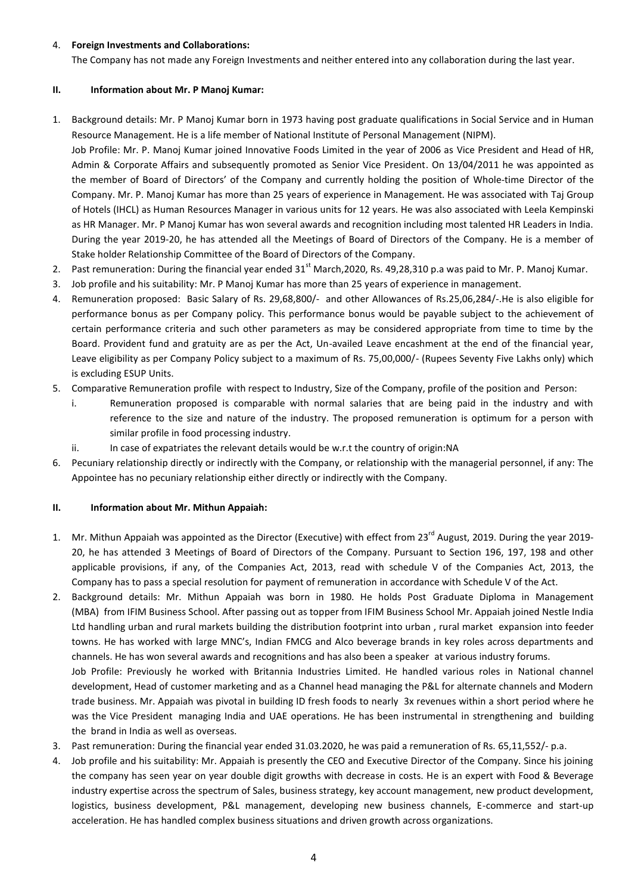#### 4. **Foreign Investments and Collaborations:**

The Company has not made any Foreign Investments and neither entered into any collaboration during the last year.

#### **II. Information about Mr. P Manoj Kumar:**

1. Background details: Mr. P Manoj Kumar born in 1973 having post graduate qualifications in Social Service and in Human Resource Management. He is a life member of National Institute of Personal Management (NIPM).

Job Profile: Mr. P. Manoj Kumar joined Innovative Foods Limited in the year of 2006 as Vice President and Head of HR, Admin & Corporate Affairs and subsequently promoted as Senior Vice President. On 13/04/2011 he was appointed as the member of Board of Directors' of the Company and currently holding the position of Whole-time Director of the Company. Mr. P. Manoj Kumar has more than 25 years of experience in Management. He was associated with Taj Group of Hotels (IHCL) as Human Resources Manager in various units for 12 years. He was also associated with Leela Kempinski as HR Manager. Mr. P Manoj Kumar has won several awards and recognition including most talented HR Leaders in India. During the year 2019-20, he has attended all the Meetings of Board of Directors of the Company. He is a member of Stake holder Relationship Committee of the Board of Directors of the Company.

- 2. Past remuneration: During the financial year ended 31<sup>st</sup> March, 2020, Rs. 49, 28, 310 p. a was paid to Mr. P. Manoj Kumar.
- 3. Job profile and his suitability: Mr. P Manoj Kumar has more than 25 years of experience in management.
- 4. Remuneration proposed: Basic Salary of Rs. 29,68,800/- and other Allowances of Rs.25,06,284/-.He is also eligible for performance bonus as per Company policy. This performance bonus would be payable subject to the achievement of certain performance criteria and such other parameters as may be considered appropriate from time to time by the Board. Provident fund and gratuity are as per the Act, Un-availed Leave encashment at the end of the financial year, Leave eligibility as per Company Policy subject to a maximum of Rs. 75,00,000/- (Rupees Seventy Five Lakhs only) which is excluding ESUP Units.
- 5. Comparative Remuneration profile with respect to Industry, Size of the Company, profile of the position and Person:
	- i. Remuneration proposed is comparable with normal salaries that are being paid in the industry and with reference to the size and nature of the industry. The proposed remuneration is optimum for a person with similar profile in food processing industry.
	- ii. In case of expatriates the relevant details would be w.r.t the country of origin:NA
- 6. Pecuniary relationship directly or indirectly with the Company, or relationship with the managerial personnel, if any: The Appointee has no pecuniary relationship either directly or indirectly with the Company.

# **II. Information about Mr. Mithun Appaiah:**

- 1. Mr. Mithun Appaiah was appointed as the Director (Executive) with effect from 23<sup>rd</sup> August, 2019. During the year 2019-20, he has attended 3 Meetings of Board of Directors of the Company. Pursuant to Section 196, 197, 198 and other applicable provisions, if any, of the Companies Act, 2013, read with schedule V of the Companies Act, 2013, the Company has to pass a special resolution for payment of remuneration in accordance with Schedule V of the Act.
- 2. Background details: Mr. Mithun Appaiah was born in 1980. He holds Post Graduate Diploma in Management (MBA) from IFIM Business School. After passing out as topper from IFIM Business School Mr. Appaiah joined Nestle India Ltd handling urban and rural markets building the distribution footprint into urban , rural market expansion into feeder towns. He has worked with large MNC's, Indian FMCG and Alco beverage brands in key roles across departments and channels. He has won several awards and recognitions and has also been a speaker at various industry forums. Job Profile: Previously he worked with Britannia Industries Limited. He handled various roles in National channel development, Head of customer marketing and as a Channel head managing the P&L for alternate channels and Modern trade business. Mr. Appaiah was pivotal in building ID fresh foods to nearly 3x revenues within a short period where he was the Vice President managing India and UAE operations. He has been instrumental in strengthening and building
- the brand in India as well as overseas.
- 3. Past remuneration: During the financial year ended 31.03.2020, he was paid a remuneration of Rs. 65,11,552/- p.a.
- 4. Job profile and his suitability: Mr. Appaiah is presently the CEO and Executive Director of the Company. Since his joining the company has seen year on year double digit growths with decrease in costs. He is an expert with Food & Beverage industry expertise across the spectrum of Sales, business strategy, key account management, new product development, logistics, business development, P&L management, developing new business channels, E-commerce and start-up acceleration. He has handled complex business situations and driven growth across organizations.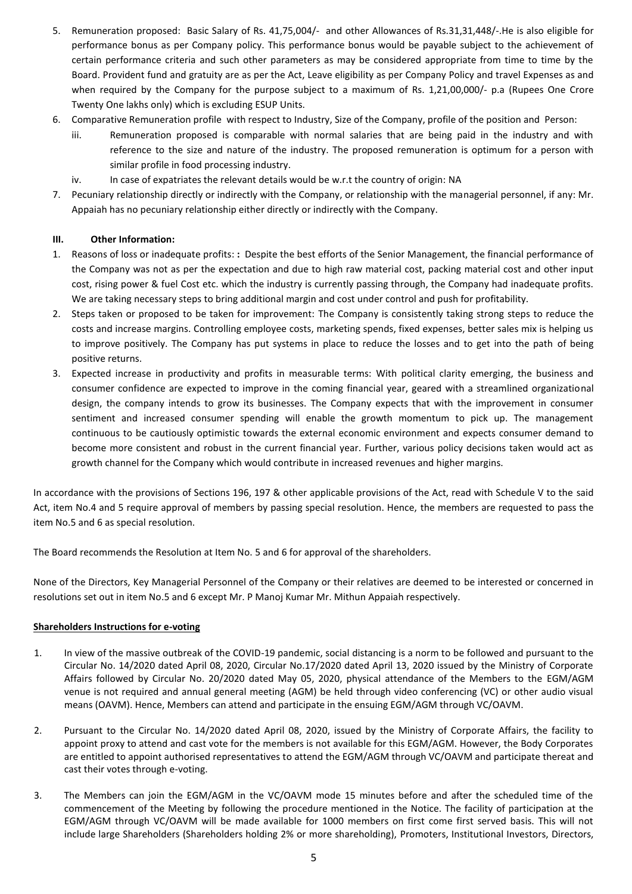- 5. Remuneration proposed: Basic Salary of Rs. 41,75,004/- and other Allowances of Rs.31,31,448/-.He is also eligible for performance bonus as per Company policy. This performance bonus would be payable subject to the achievement of certain performance criteria and such other parameters as may be considered appropriate from time to time by the Board. Provident fund and gratuity are as per the Act, Leave eligibility as per Company Policy and travel Expenses as and when required by the Company for the purpose subject to a maximum of Rs. 1,21,00,000/- p.a (Rupees One Crore Twenty One lakhs only) which is excluding ESUP Units.
- 6. Comparative Remuneration profile with respect to Industry, Size of the Company, profile of the position and Person:
	- iii. Remuneration proposed is comparable with normal salaries that are being paid in the industry and with reference to the size and nature of the industry. The proposed remuneration is optimum for a person with similar profile in food processing industry.
	- iv. In case of expatriates the relevant details would be w.r.t the country of origin: NA
- 7. Pecuniary relationship directly or indirectly with the Company, or relationship with the managerial personnel, if any: Mr. Appaiah has no pecuniary relationship either directly or indirectly with the Company.

#### **III. Other Information:**

- 1. Reasons of loss or inadequate profits: **:** Despite the best efforts of the Senior Management, the financial performance of the Company was not as per the expectation and due to high raw material cost, packing material cost and other input cost, rising power & fuel Cost etc. which the industry is currently passing through, the Company had inadequate profits. We are taking necessary steps to bring additional margin and cost under control and push for profitability.
- 2. Steps taken or proposed to be taken for improvement: The Company is consistently taking strong steps to reduce the costs and increase margins. Controlling employee costs, marketing spends, fixed expenses, better sales mix is helping us to improve positively. The Company has put systems in place to reduce the losses and to get into the path of being positive returns.
- 3. Expected increase in productivity and profits in measurable terms: With political clarity emerging, the business and consumer confidence are expected to improve in the coming financial year, geared with a streamlined organizational design, the company intends to grow its businesses. The Company expects that with the improvement in consumer sentiment and increased consumer spending will enable the growth momentum to pick up. The management continuous to be cautiously optimistic towards the external economic environment and expects consumer demand to become more consistent and robust in the current financial year. Further, various policy decisions taken would act as growth channel for the Company which would contribute in increased revenues and higher margins.

In accordance with the provisions of Sections 196, 197 & other applicable provisions of the Act, read with Schedule V to the said Act, item No.4 and 5 require approval of members by passing special resolution. Hence, the members are requested to pass the item No.5 and 6 as special resolution.

The Board recommends the Resolution at Item No. 5 and 6 for approval of the shareholders.

None of the Directors, Key Managerial Personnel of the Company or their relatives are deemed to be interested or concerned in resolutions set out in item No.5 and 6 except Mr. P Manoj Kumar Mr. Mithun Appaiah respectively.

#### **Shareholders Instructions for e-voting**

- 1. In view of the massive outbreak of the COVID-19 pandemic, social distancing is a norm to be followed and pursuant to the Circular No. 14/2020 dated April 08, 2020, Circular No.17/2020 dated April 13, 2020 issued by the Ministry of Corporate Affairs followed by Circular No. 20/2020 dated May 05, 2020, physical attendance of the Members to the EGM/AGM venue is not required and annual general meeting (AGM) be held through video conferencing (VC) or other audio visual means (OAVM). Hence, Members can attend and participate in the ensuing EGM/AGM through VC/OAVM.
- 2. Pursuant to the Circular No. 14/2020 dated April 08, 2020, issued by the Ministry of Corporate Affairs, the facility to appoint proxy to attend and cast vote for the members is not available for this EGM/AGM. However, the Body Corporates are entitled to appoint authorised representatives to attend the EGM/AGM through VC/OAVM and participate thereat and cast their votes through e-voting.
- 3. The Members can join the EGM/AGM in the VC/OAVM mode 15 minutes before and after the scheduled time of the commencement of the Meeting by following the procedure mentioned in the Notice. The facility of participation at the EGM/AGM through VC/OAVM will be made available for 1000 members on first come first served basis. This will not include large Shareholders (Shareholders holding 2% or more shareholding), Promoters, Institutional Investors, Directors,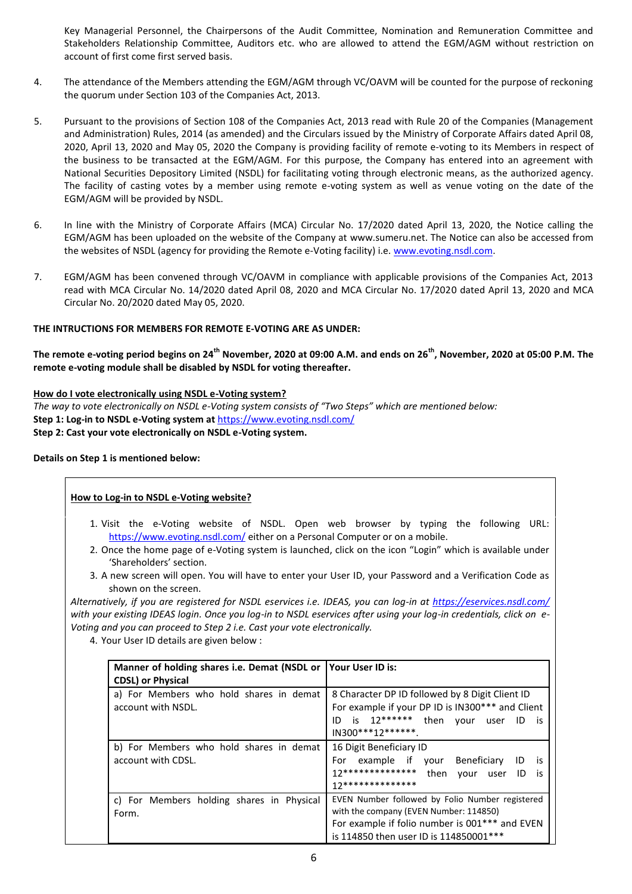Key Managerial Personnel, the Chairpersons of the Audit Committee, Nomination and Remuneration Committee and Stakeholders Relationship Committee, Auditors etc. who are allowed to attend the EGM/AGM without restriction on account of first come first served basis.

- 4. The attendance of the Members attending the EGM/AGM through VC/OAVM will be counted for the purpose of reckoning the quorum under Section 103 of the Companies Act, 2013.
- 5. Pursuant to the provisions of Section 108 of the Companies Act, 2013 read with Rule 20 of the Companies (Management and Administration) Rules, 2014 (as amended) and the Circulars issued by the Ministry of Corporate Affairs dated April 08, 2020, April 13, 2020 and May 05, 2020 the Company is providing facility of remote e-voting to its Members in respect of the business to be transacted at the EGM/AGM. For this purpose, the Company has entered into an agreement with National Securities Depository Limited (NSDL) for facilitating voting through electronic means, as the authorized agency. The facility of casting votes by a member using remote e-voting system as well as venue voting on the date of the EGM/AGM will be provided by NSDL.
- 6. In line with the Ministry of Corporate Affairs (MCA) Circular No. 17/2020 dated April 13, 2020, the Notice calling the EGM/AGM has been uploaded on the website of the Company at www.sumeru.net. The Notice can also be accessed from the websites of NSDL (agency for providing the Remote e-Voting facility) i.e. [www.evoting.nsdl.com.](http://www.evoting.nsdl.com/)
- 7. EGM/AGM has been convened through VC/OAVM in compliance with applicable provisions of the Companies Act, 2013 read with MCA Circular No. 14/2020 dated April 08, 2020 and MCA Circular No. 17/2020 dated April 13, 2020 and MCA Circular No. 20/2020 dated May 05, 2020.

#### **THE INTRUCTIONS FOR MEMBERS FOR REMOTE E-VOTING ARE AS UNDER:**

**The remote e-voting period begins on 24th November, 2020 at 09:00 A.M. and ends on 26th , November, 2020 at 05:00 P.M. The remote e-voting module shall be disabled by NSDL for voting thereafter.**

#### **How do I vote electronically using NSDL e-Voting system?**

*The way to vote electronically on NSDL e-Voting system consists of "Two Steps" which are mentioned below:* **Step 1: Log-in to NSDL e-Voting system at** <https://www.evoting.nsdl.com/> **Step 2: Cast your vote electronically on NSDL e-Voting system.**

# **Details on Step 1 is mentioned below:**

# **How to Log-in to NSDL e-Voting website?**

- 1. Visit the e-Voting website of NSDL. Open web browser by typing the following URL: <https://www.evoting.nsdl.com/> either on a Personal Computer or on a mobile.
- 2. Once the home page of e-Voting system is launched, click on the icon "Login" which is available under 'Shareholders' section.
- 3. A new screen will open. You will have to enter your User ID, your Password and a Verification Code as shown on the screen.

*Alternatively, if you are registered for NSDL eservices i.e. IDEAS, you can log-in at<https://eservices.nsdl.com/> with your existing IDEAS login. Once you log-in to NSDL eservices after using your log-in credentials, click on e-Voting and you can proceed to Step 2 i.e. Cast your vote electronically.*

4. Your User ID details are given below :

| Manner of holding shares i.e. Demat (NSDL or   Your User ID is:<br><b>CDSL) or Physical</b> |                                                                                                                                                                                        |
|---------------------------------------------------------------------------------------------|----------------------------------------------------------------------------------------------------------------------------------------------------------------------------------------|
| a) For Members who hold shares in demat<br>account with NSDL.                               | 8 Character DP ID followed by 8 Digit Client ID<br>For example if your DP ID is IN300*** and Client<br>is 12****** then your user ID is<br>ID<br>IN300***12******.                     |
| b) For Members who hold shares in demat<br>account with CDSL.                               | 16 Digit Beneficiary ID<br>example if your<br>Beneficiary<br>For<br>ID<br>is<br>12**************<br>then<br>your user ID<br>is<br>17**************                                     |
| c) For Members holding shares in Physical<br>Form.                                          | EVEN Number followed by Folio Number registered<br>with the company (EVEN Number: 114850)<br>For example if folio number is 001*** and EVEN<br>is 114850 then user ID is 114850001 *** |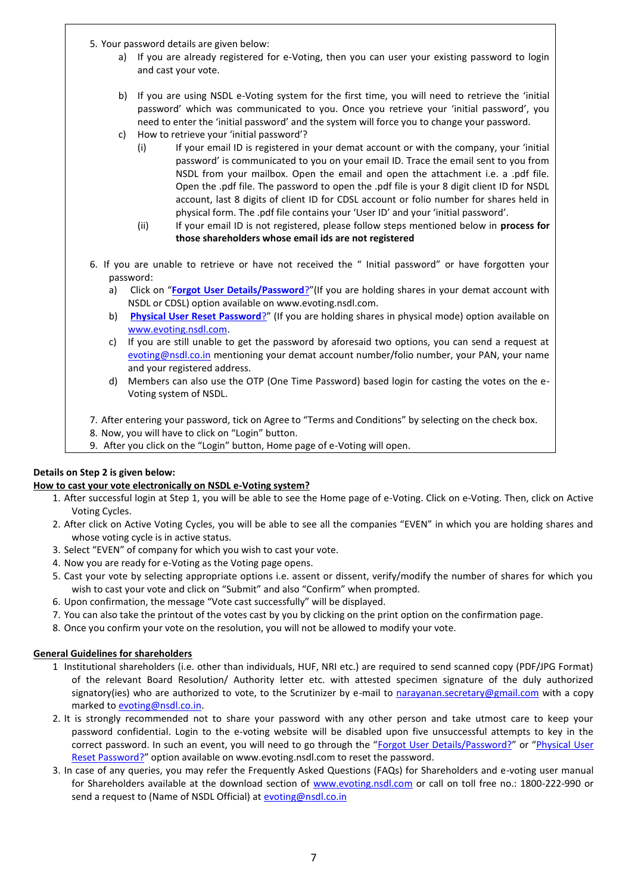- 5. Your password details are given below:
	- a) If you are already registered for e-Voting, then you can user your existing password to login and cast your vote.
	- b) If you are using NSDL e-Voting system for the first time, you will need to retrieve the 'initial password' which was communicated to you. Once you retrieve your 'initial password', you need to enter the 'initial password' and the system will force you to change your password.
	- c) How to retrieve your 'initial password'?
		- (i) If your email ID is registered in your demat account or with the company, your 'initial password' is communicated to you on your email ID. Trace the email sent to you from NSDL from your mailbox. Open the email and open the attachment i.e. a .pdf file. Open the .pdf file. The password to open the .pdf file is your 8 digit client ID for NSDL account, last 8 digits of client ID for CDSL account or folio number for shares held in physical form. The .pdf file contains your 'User ID' and your 'initial password'.
		- (ii) If your email ID is not registered, please follow steps mentioned below in **process for those shareholders whose email ids are not registered**
- 6. If you are unable to retrieve or have not received the " Initial password" or have forgotten your password:
	- a) Click on "**[Forgot User Details/Password](https://www.evoting.nsdl.com/eVotingWeb/commonhtmls/NewUser.jsp)**?"(If you are holding shares in your demat account with NSDL or CDSL) option available on www.evoting.nsdl.com.
	- b) **[Physical User Reset Password](https://www.evoting.nsdl.com/eVotingWeb/commonhtmls/PhysicalUser.jsp)**?" (If you are holding shares in physical mode) option available on [www.evoting.nsdl.com.](http://www.evoting.nsdl.com/)
	- c) If you are still unable to get the password by aforesaid two options, you can send a request at [evoting@nsdl.co.in](mailto:evoting@nsdl.co.in) mentioning your demat account number/folio number, your PAN, your name and your registered address.
	- d) Members can also use the OTP (One Time Password) based login for casting the votes on the e-Voting system of NSDL.
- 7. After entering your password, tick on Agree to "Terms and Conditions" by selecting on the check box.
- 8. Now, you will have to click on "Login" button.
- 9. After you click on the "Login" button, Home page of e-Voting will open.

# **Details on Step 2 is given below:**

# **How to cast your vote electronically on NSDL e-Voting system?**

- 1. After successful login at Step 1, you will be able to see the Home page of e-Voting. Click on e-Voting. Then, click on Active Voting Cycles.
- 2. After click on Active Voting Cycles, you will be able to see all the companies "EVEN" in which you are holding shares and whose voting cycle is in active status.
- 3. Select "EVEN" of company for which you wish to cast your vote.
- 4. Now you are ready for e-Voting as the Voting page opens.
- 5. Cast your vote by selecting appropriate options i.e. assent or dissent, verify/modify the number of shares for which you wish to cast your vote and click on "Submit" and also "Confirm" when prompted.
- 6. Upon confirmation, the message "Vote cast successfully" will be displayed.
- 7. You can also take the printout of the votes cast by you by clicking on the print option on the confirmation page.
- 8. Once you confirm your vote on the resolution, you will not be allowed to modify your vote.

# **General Guidelines for shareholders**

- 1 Institutional shareholders (i.e. other than individuals, HUF, NRI etc.) are required to send scanned copy (PDF/JPG Format) of the relevant Board Resolution/ Authority letter etc. with attested specimen signature of the duly authorized signatory(ies) who are authorized to vote, to the Scrutinizer by e-mail to [narayanan.secretary@gmail.com](mailto:narayanan.secretary@gmail.com) with a copy marked t[o evoting@nsdl.co.in.](mailto:evoting@nsdl.co.in)
- 2. It is strongly recommended not to share your password with any other person and take utmost care to keep your password confidential. Login to the e-voting website will be disabled upon five unsuccessful attempts to key in the correct password. In such an event, you will need to go through the "[Forgot User Details/Password?](https://www.evoting.nsdl.com/eVotingWeb/commonhtmls/NewUser.jsp)" or "Physical User [Reset Password?](https://www.evoting.nsdl.com/eVotingWeb/commonhtmls/PhysicalUser.jsp)" option available on www.evoting.nsdl.com to reset the password.
- 3. In case of any queries, you may refer the Frequently Asked Questions (FAQs) for Shareholders and e-voting user manual for Shareholders available at the download section of [www.evoting.nsdl.com](http://www.evoting.nsdl.com/) or call on toll free no.: 1800-222-990 or send a request to (Name of NSDL Official) a[t evoting@nsdl.co.in](mailto:evoting@nsdl.co.in)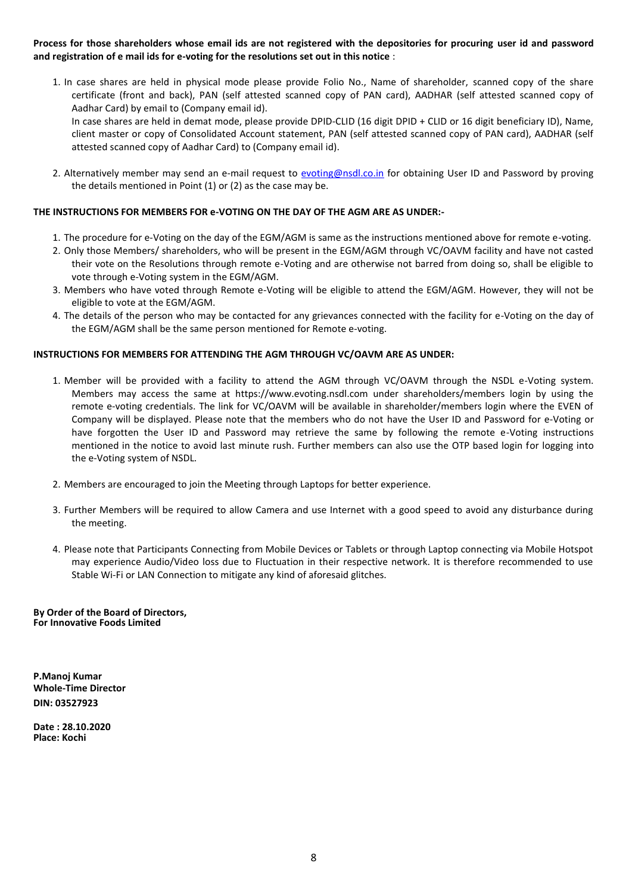**Process for those shareholders whose email ids are not registered with the depositories for procuring user id and password and registration of e mail ids for e-voting for the resolutions set out in this notice** :

1. In case shares are held in physical mode please provide Folio No., Name of shareholder, scanned copy of the share certificate (front and back), PAN (self attested scanned copy of PAN card), AADHAR (self attested scanned copy of Aadhar Card) by email to (Company email id).

In case shares are held in demat mode, please provide DPID-CLID (16 digit DPID + CLID or 16 digit beneficiary ID), Name, client master or copy of Consolidated Account statement, PAN (self attested scanned copy of PAN card), AADHAR (self attested scanned copy of Aadhar Card) to (Company email id).

2. Alternatively member may send an e-mail request to [evoting@nsdl.co.in](mailto:evoting@nsdl.co.in) for obtaining User ID and Password by proving the details mentioned in Point (1) or (2) as the case may be.

#### **THE INSTRUCTIONS FOR MEMBERS FOR e-VOTING ON THE DAY OF THE AGM ARE AS UNDER:-**

- 1. The procedure for e-Voting on the day of the EGM/AGM is same as the instructions mentioned above for remote e-voting.
- 2. Only those Members/ shareholders, who will be present in the EGM/AGM through VC/OAVM facility and have not casted their vote on the Resolutions through remote e-Voting and are otherwise not barred from doing so, shall be eligible to vote through e-Voting system in the EGM/AGM.
- 3. Members who have voted through Remote e-Voting will be eligible to attend the EGM/AGM. However, they will not be eligible to vote at the EGM/AGM.
- 4. The details of the person who may be contacted for any grievances connected with the facility for e-Voting on the day of the EGM/AGM shall be the same person mentioned for Remote e-voting.

#### **INSTRUCTIONS FOR MEMBERS FOR ATTENDING THE AGM THROUGH VC/OAVM ARE AS UNDER:**

- 1. Member will be provided with a facility to attend the AGM through VC/OAVM through the NSDL e-Voting system. Members may access the same at https://www.evoting.nsdl.com under shareholders/members login by using the remote e-voting credentials. The link for VC/OAVM will be available in shareholder/members login where the EVEN of Company will be displayed. Please note that the members who do not have the User ID and Password for e-Voting or have forgotten the User ID and Password may retrieve the same by following the remote e-Voting instructions mentioned in the notice to avoid last minute rush. Further members can also use the OTP based login for logging into the e-Voting system of NSDL.
- 2. Members are encouraged to join the Meeting through Laptops for better experience.
- 3. Further Members will be required to allow Camera and use Internet with a good speed to avoid any disturbance during the meeting.
- 4. Please note that Participants Connecting from Mobile Devices or Tablets or through Laptop connecting via Mobile Hotspot may experience Audio/Video loss due to Fluctuation in their respective network. It is therefore recommended to use Stable Wi-Fi or LAN Connection to mitigate any kind of aforesaid glitches.

**By Order of the Board of Directors, For Innovative Foods Limited**

**P.Manoj Kumar Whole-Time Director DIN: 03527923**

**Date : 28.10.2020 Place: Kochi**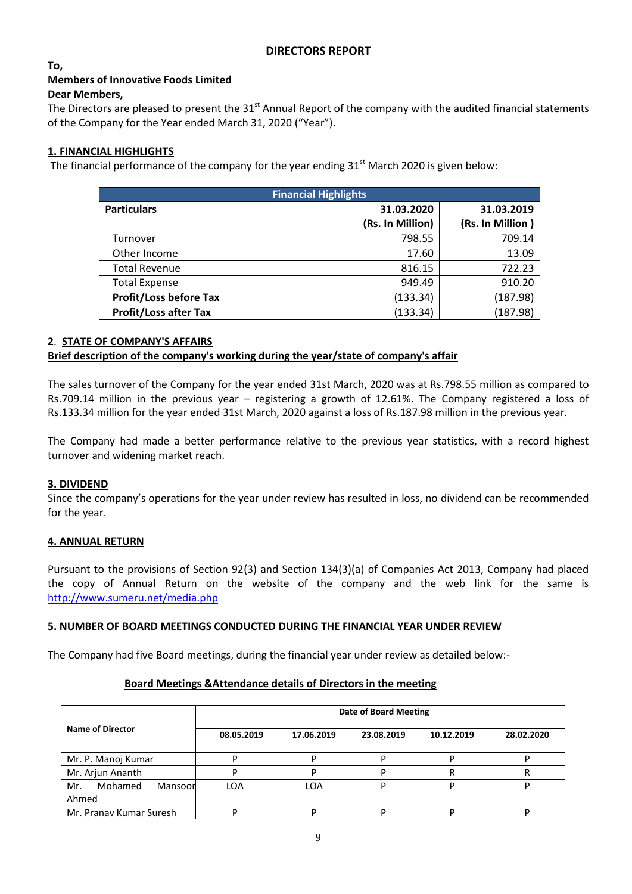# **DIRECTORS REPORT**

# **To,**

# **Members of Innovative Foods Limited**

# **Dear Members,**

The Directors are pleased to present the  $31<sup>st</sup>$  Annual Report of the company with the audited financial statements of the Company for the Year ended March 31, 2020 ("Year").

# **1. FINANCIAL HIGHLIGHTS**

The financial performance of the company for the year ending  $31<sup>st</sup>$  March 2020 is given below:

| <b>Financial Highlights</b>   |                  |                  |  |  |  |
|-------------------------------|------------------|------------------|--|--|--|
| <b>Particulars</b>            | 31.03.2020       | 31.03.2019       |  |  |  |
|                               | (Rs. In Million) | (Rs. In Million) |  |  |  |
| Turnover                      | 798.55           | 709.14           |  |  |  |
| Other Income                  | 17.60            | 13.09            |  |  |  |
| <b>Total Revenue</b>          | 816.15           | 722.23           |  |  |  |
| <b>Total Expense</b>          | 949.49           | 910.20           |  |  |  |
| <b>Profit/Loss before Tax</b> | (133.34)         | (187.98)         |  |  |  |
| <b>Profit/Loss after Tax</b>  | (133.34)         | (187.98)         |  |  |  |

# **2**. **STATE OF COMPANY'S AFFAIRS**

# **Brief description of the company's working during the year/state of company's affair**

The sales turnover of the Company for the year ended 31st March, 2020 was at Rs.798.55 million as compared to Rs.709.14 million in the previous year – registering a growth of 12.61%. The Company registered a loss of Rs.133.34 million for the year ended 31st March, 2020 against a loss of Rs.187.98 million in the previous year.

The Company had made a better performance relative to the previous year statistics, with a record highest turnover and widening market reach.

# **3. DIVIDEND**

Since the company's operations for the year under review has resulted in loss, no dividend can be recommended for the year.

# **4. ANNUAL RETURN**

Pursuant to the provisions of Section 92(3) and Section 134(3)(a) of Companies Act 2013, Company had placed the copy of Annual Return on the website of the company and the web link for the same is <http://www.sumeru.net/media.php>

# **5. NUMBER OF BOARD MEETINGS CONDUCTED DURING THE FINANCIAL YEAR UNDER REVIEW**

The Company had five Board meetings, during the financial year under review as detailed below:-

# **Board Meetings &Attendance details of Directors in the meeting**

|                                    | Date of Board Meeting                                              |     |  |  |  |  |  |
|------------------------------------|--------------------------------------------------------------------|-----|--|--|--|--|--|
| <b>Name of Director</b>            | 23.08.2019<br>17.06.2019<br>10.12.2019<br>28.02.2020<br>08.05.2019 |     |  |  |  |  |  |
| Mr. P. Manoj Kumar                 |                                                                    |     |  |  |  |  |  |
| Mr. Arjun Ananth                   |                                                                    |     |  |  |  |  |  |
| Mohamed<br>Mr.<br>Mansoor<br>Ahmed | LOA                                                                | LOA |  |  |  |  |  |
| Mr. Pranav Kumar Suresh            |                                                                    |     |  |  |  |  |  |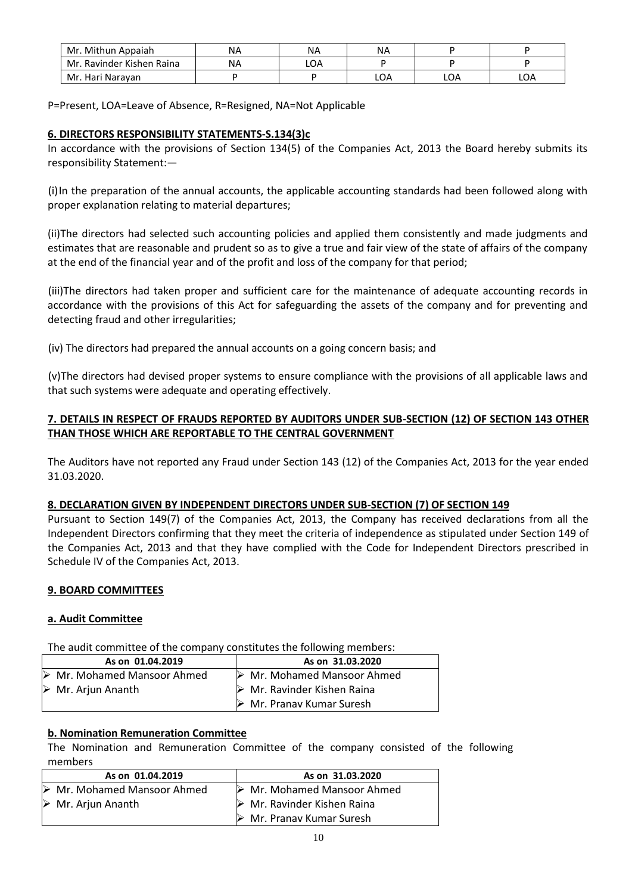| Mr. Mithun Appaiah        | <b>NA</b> | ΝA  | NА   |     |     |
|---------------------------|-----------|-----|------|-----|-----|
| Mr. Ravinder Kishen Raina | NA        | LOA |      |     |     |
| Mr. Hari Naravan          |           |     | LOA. | LOA | LOA |

P=Present, LOA=Leave of Absence, R=Resigned, NA=Not Applicable

# **6. DIRECTORS RESPONSIBILITY STATEMENTS-S.134(3)c**

In accordance with the provisions of Section 134(5) of the Companies Act, 2013 the Board hereby submits its responsibility Statement:—

(i)In the preparation of the annual accounts, the applicable accounting standards had been followed along with proper explanation relating to material departures;

(ii)The directors had selected such accounting policies and applied them consistently and made judgments and estimates that are reasonable and prudent so as to give a true and fair view of the state of affairs of the company at the end of the financial year and of the profit and loss of the company for that period;

(iii)The directors had taken proper and sufficient care for the maintenance of adequate accounting records in accordance with the provisions of this Act for safeguarding the assets of the company and for preventing and detecting fraud and other irregularities;

(iv) The directors had prepared the annual accounts on a going concern basis; and

(v)The directors had devised proper systems to ensure compliance with the provisions of all applicable laws and that such systems were adequate and operating effectively.

# **7. DETAILS IN RESPECT OF FRAUDS REPORTED BY AUDITORS UNDER SUB-SECTION (12) OF SECTION 143 OTHER THAN THOSE WHICH ARE REPORTABLE TO THE CENTRAL GOVERNMENT**

The Auditors have not reported any Fraud under Section 143 (12) of the Companies Act, 2013 for the year ended 31.03.2020.

# **8. DECLARATION GIVEN BY INDEPENDENT DIRECTORS UNDER SUB-SECTION (7) OF SECTION 149**

Pursuant to Section 149(7) of the Companies Act, 2013, the Company has received declarations from all the Independent Directors confirming that they meet the criteria of independence as stipulated under Section 149 of the Companies Act, 2013 and that they have complied with the Code for Independent Directors prescribed in Schedule IV of the Companies Act, 2013.

# **9. BOARD COMMITTEES**

# **a. Audit Committee**

The audit committee of the company constitutes the following members:

|                                   | As on 01.04.2019                           | As on 31.03.2020                           |
|-----------------------------------|--------------------------------------------|--------------------------------------------|
|                                   | $\triangleright$ Mr. Mohamed Mansoor Ahmed | $\triangleright$ Mr. Mohamed Mansoor Ahmed |
| $\triangleright$ Mr. Arjun Ananth |                                            | $\triangleright$ Mr. Ravinder Kishen Raina |
|                                   |                                            | $\triangleright$ Mr. Pranav Kumar Suresh   |

# **b. Nomination Remuneration Committee**

The Nomination and Remuneration Committee of the company consisted of the following members

| As on 01.04.2019                           | As on 31.03.2020                           |
|--------------------------------------------|--------------------------------------------|
| $\triangleright$ Mr. Mohamed Mansoor Ahmed | $\triangleright$ Mr. Mohamed Mansoor Ahmed |
| $\triangleright$ Mr. Arjun Ananth          | $\triangleright$ Mr. Ravinder Kishen Raina |
|                                            | $\triangleright$ Mr. Pranav Kumar Suresh   |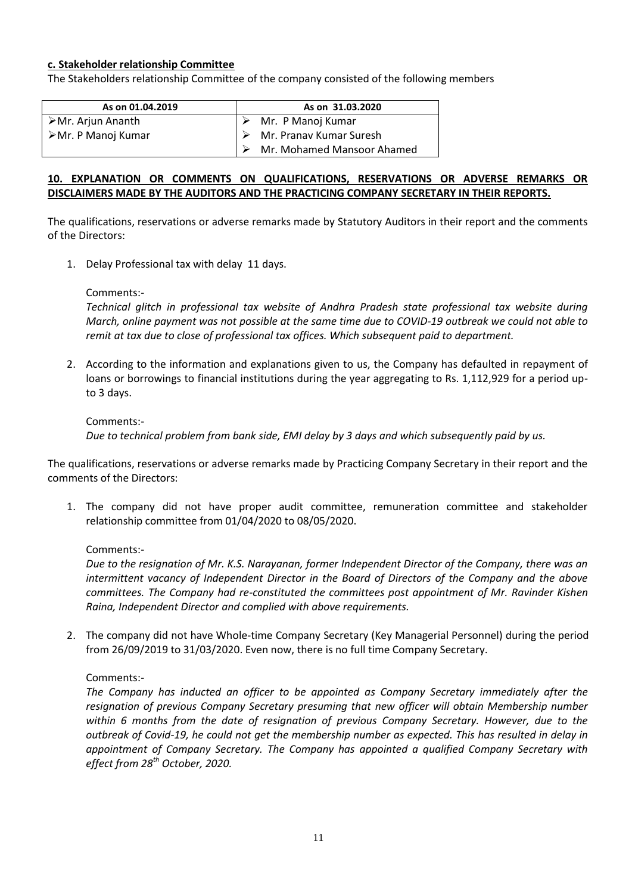# **c. Stakeholder relationship Committee**

The Stakeholders relationship Committee of the company consisted of the following members

| As on 01.04.2019                   | As on 31.03.2020                   |
|------------------------------------|------------------------------------|
| $\triangleright$ Mr. Arjun Ananth  | $\triangleright$ Mr. P Manoj Kumar |
| $\triangleright$ Mr. P Manoj Kumar | > Mr. Pranav Kumar Suresh          |
|                                    | Mr. Mohamed Mansoor Ahamed         |

# **10. EXPLANATION OR COMMENTS ON QUALIFICATIONS, RESERVATIONS OR ADVERSE REMARKS OR DISCLAIMERS MADE BY THE AUDITORS AND THE PRACTICING COMPANY SECRETARY IN THEIR REPORTS.**

The qualifications, reservations or adverse remarks made by Statutory Auditors in their report and the comments of the Directors:

1. Delay Professional tax with delay 11 days.

# Comments:-

*Technical glitch in professional tax website of Andhra Pradesh state professional tax website during March, online payment was not possible at the same time due to COVID-19 outbreak we could not able to remit at tax due to close of professional tax offices. Which subsequent paid to department.*

2. According to the information and explanations given to us, the Company has defaulted in repayment of loans or borrowings to financial institutions during the year aggregating to Rs. 1,112,929 for a period upto 3 days.

#### Comments:-

*Due to technical problem from bank side, EMI delay by 3 days and which subsequently paid by us.*

The qualifications, reservations or adverse remarks made by Practicing Company Secretary in their report and the comments of the Directors:

1. The company did not have proper audit committee, remuneration committee and stakeholder relationship committee from 01/04/2020 to 08/05/2020.

# Comments:-

*Due to the resignation of Mr. K.S. Narayanan, former Independent Director of the Company, there was an intermittent vacancy of Independent Director in the Board of Directors of the Company and the above committees. The Company had re-constituted the committees post appointment of Mr. Ravinder Kishen Raina, Independent Director and complied with above requirements.*

2. The company did not have Whole-time Company Secretary (Key Managerial Personnel) during the period from 26/09/2019 to 31/03/2020. Even now, there is no full time Company Secretary.

# Comments:-

*The Company has inducted an officer to be appointed as Company Secretary immediately after the resignation of previous Company Secretary presuming that new officer will obtain Membership number within 6 months from the date of resignation of previous Company Secretary. However, due to the outbreak of Covid-19, he could not get the membership number as expected. This has resulted in delay in appointment of Company Secretary. The Company has appointed a qualified Company Secretary with effect from 28th October, 2020.*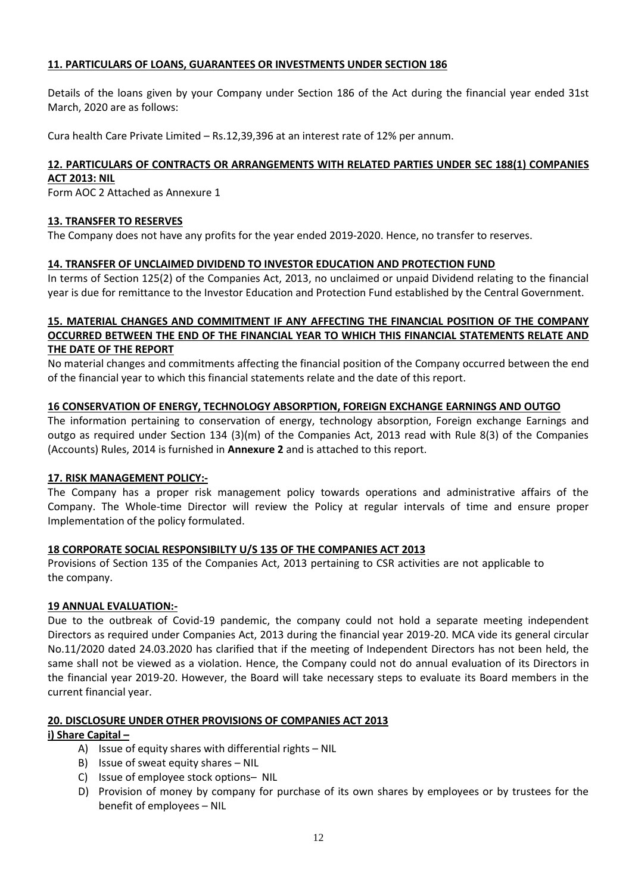# **11. PARTICULARS OF LOANS, GUARANTEES OR INVESTMENTS UNDER SECTION 186**

Details of the loans given by your Company under Section 186 of the Act during the financial year ended 31st March, 2020 are as follows:

Cura health Care Private Limited – Rs.12,39,396 at an interest rate of 12% per annum.

# **12. PARTICULARS OF CONTRACTS OR ARRANGEMENTS WITH RELATED PARTIES UNDER SEC 188(1) COMPANIES ACT 2013: NIL**

Form AOC 2 Attached as Annexure 1

# **13. TRANSFER TO RESERVES**

The Company does not have any profits for the year ended 2019-2020. Hence, no transfer to reserves.

# **14. TRANSFER OF UNCLAIMED DIVIDEND TO INVESTOR EDUCATION AND PROTECTION FUND**

In terms of Section 125(2) of the Companies Act, 2013, no unclaimed or unpaid Dividend relating to the financial year is due for remittance to the Investor Education and Protection Fund established by the Central Government.

# **15. MATERIAL CHANGES AND COMMITMENT IF ANY AFFECTING THE FINANCIAL POSITION OF THE COMPANY OCCURRED BETWEEN THE END OF THE FINANCIAL YEAR TO WHICH THIS FINANCIAL STATEMENTS RELATE AND THE DATE OF THE REPORT**

No material changes and commitments affecting the financial position of the Company occurred between the end of the financial year to which this financial statements relate and the date of this report.

# **16 CONSERVATION OF ENERGY, TECHNOLOGY ABSORPTION, FOREIGN EXCHANGE EARNINGS AND OUTGO**

The information pertaining to conservation of energy, technology absorption, Foreign exchange Earnings and outgo as required under Section 134 (3)(m) of the Companies Act, 2013 read with Rule 8(3) of the Companies (Accounts) Rules, 2014 is furnished in **Annexure 2** and is attached to this report.

# **17. RISK MANAGEMENT POLICY:-**

The Company has a proper risk management policy towards operations and administrative affairs of the Company. The Whole-time Director will review the Policy at regular intervals of time and ensure proper Implementation of the policy formulated.

# **18 CORPORATE SOCIAL RESPONSIBILTY U/S 135 OF THE COMPANIES ACT 2013**

Provisions of Section 135 of the Companies Act, 2013 pertaining to CSR activities are not applicable to the company.

# **19 ANNUAL EVALUATION:-**

Due to the outbreak of Covid-19 pandemic, the company could not hold a separate meeting independent Directors as required under Companies Act, 2013 during the financial year 2019-20. MCA vide its general circular No.11/2020 dated 24.03.2020 has clarified that if the meeting of Independent Directors has not been held, the same shall not be viewed as a violation. Hence, the Company could not do annual evaluation of its Directors in the financial year 2019-20. However, the Board will take necessary steps to evaluate its Board members in the current financial year.

# **20. DISCLOSURE UNDER OTHER PROVISIONS OF COMPANIES ACT 2013**

# **i) Share Capital –**

- A) Issue of equity shares with differential rights NIL
- B) Issue of sweat equity shares NIL
- C) Issue of employee stock options– NIL
- D) Provision of money by company for purchase of its own shares by employees or by trustees for the benefit of employees – NIL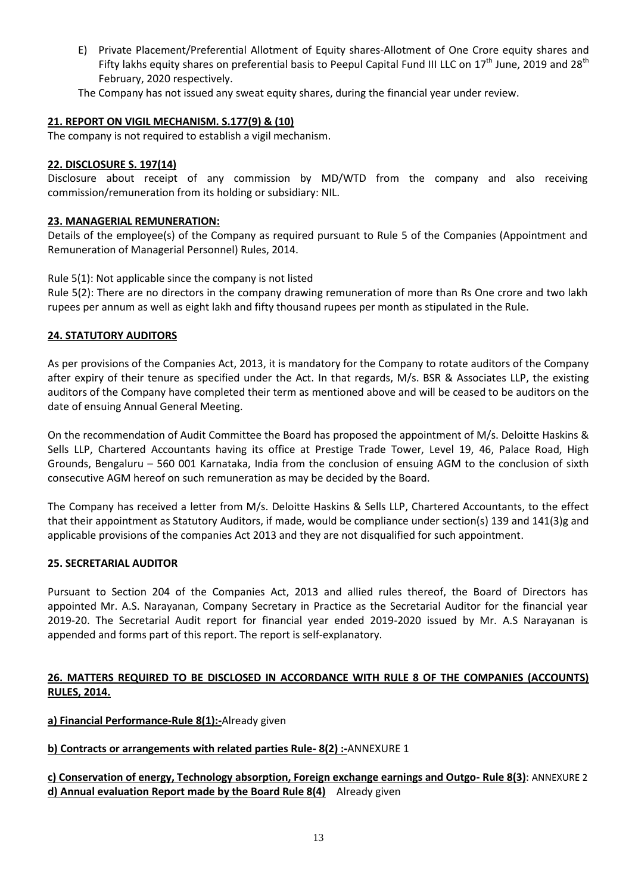E) Private Placement/Preferential Allotment of Equity shares-Allotment of One Crore equity shares and Fifty lakhs equity shares on preferential basis to Peepul Capital Fund III LLC on  $17<sup>th</sup>$  June, 2019 and 28<sup>th</sup> February, 2020 respectively.

The Company has not issued any sweat equity shares, during the financial year under review.

# **21. REPORT ON VIGIL MECHANISM. S.177(9) & (10)**

The company is not required to establish a vigil mechanism.

# **22. DISCLOSURE S. 197(14)**

Disclosure about receipt of any commission by MD/WTD from the company and also receiving commission/remuneration from its holding or subsidiary: NIL.

# **23. MANAGERIAL REMUNERATION:**

Details of the employee(s) of the Company as required pursuant to Rule 5 of the Companies (Appointment and Remuneration of Managerial Personnel) Rules, 2014.

Rule 5(1): Not applicable since the company is not listed

Rule 5(2): There are no directors in the company drawing remuneration of more than Rs One crore and two lakh rupees per annum as well as eight lakh and fifty thousand rupees per month as stipulated in the Rule.

# **24. STATUTORY AUDITORS**

As per provisions of the Companies Act, 2013, it is mandatory for the Company to rotate auditors of the Company after expiry of their tenure as specified under the Act. In that regards, M/s. BSR & Associates LLP, the existing auditors of the Company have completed their term as mentioned above and will be ceased to be auditors on the date of ensuing Annual General Meeting.

On the recommendation of Audit Committee the Board has proposed the appointment of M/s. Deloitte Haskins & Sells LLP, Chartered Accountants having its office at Prestige Trade Tower, Level 19, 46, Palace Road, High Grounds, Bengaluru – 560 001 Karnataka, India from the conclusion of ensuing AGM to the conclusion of sixth consecutive AGM hereof on such remuneration as may be decided by the Board.

The Company has received a letter from M/s. Deloitte Haskins & Sells LLP, Chartered Accountants, to the effect that their appointment as Statutory Auditors, if made, would be compliance under section(s) 139 and 141(3)g and applicable provisions of the companies Act 2013 and they are not disqualified for such appointment.

# **25. SECRETARIAL AUDITOR**

Pursuant to Section 204 of the Companies Act, 2013 and allied rules thereof, the Board of Directors has appointed Mr. A.S. Narayanan, Company Secretary in Practice as the Secretarial Auditor for the financial year 2019-20. The Secretarial Audit report for financial year ended 2019-2020 issued by Mr. A.S Narayanan is appended and forms part of this report. The report is self-explanatory.

# **26. MATTERS REQUIRED TO BE DISCLOSED IN ACCORDANCE WITH RULE 8 OF THE COMPANIES (ACCOUNTS) RULES, 2014.**

**a) Financial Performance-Rule 8(1):-**Already given

**b) Contracts or arrangements with related parties Rule- 8(2) :-**ANNEXURE 1

**c) Conservation of energy, Technology absorption, Foreign exchange earnings and Outgo- Rule 8(3)**: ANNEXURE 2 **d) Annual evaluation Report made by the Board Rule 8(4)** Already given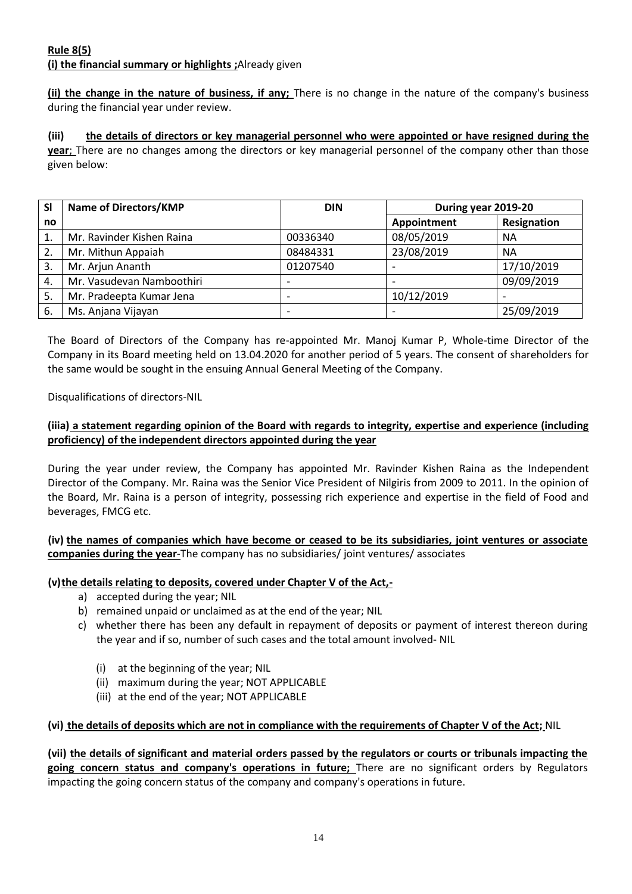# **Rule 8(5) (i) the financial summary or highlights ;**Already given

**(ii) the change in the nature of business, if any;** There is no change in the nature of the company's business during the financial year under review.

**(iii) the details of directors or key managerial personnel who were appointed or have resigned during the year**; There are no changes among the directors or key managerial personnel of the company other than those given below:

| <b>SI</b> | <b>Name of Directors/KMP</b> | <b>DIN</b>               | During year 2019-20        |            |
|-----------|------------------------------|--------------------------|----------------------------|------------|
| no        |                              |                          | Resignation<br>Appointment |            |
|           | Mr. Ravinder Kishen Raina    | 00336340                 | 08/05/2019                 | <b>NA</b>  |
| 2.        | Mr. Mithun Appaiah           | 08484331                 | 23/08/2019                 | <b>NA</b>  |
| 3.        | Mr. Arjun Ananth             | 01207540                 |                            | 17/10/2019 |
| 4.        | Mr. Vasudevan Namboothiri    | $\overline{\phantom{0}}$ |                            | 09/09/2019 |
| 5.        | Mr. Pradeepta Kumar Jena     | $\overline{\phantom{0}}$ | 10/12/2019                 |            |
| 6.        | Ms. Anjana Vijayan           |                          |                            | 25/09/2019 |

The Board of Directors of the Company has re-appointed Mr. Manoj Kumar P, Whole-time Director of the Company in its Board meeting held on 13.04.2020 for another period of 5 years. The consent of shareholders for the same would be sought in the ensuing Annual General Meeting of the Company.

Disqualifications of directors-NIL

# **(iiia) a statement regarding opinion of the Board with regards to integrity, expertise and experience (including proficiency) of the independent directors appointed during the year**

During the year under review, the Company has appointed Mr. Ravinder Kishen Raina as the Independent Director of the Company. Mr. Raina was the Senior Vice President of Nilgiris from 2009 to 2011. In the opinion of the Board, Mr. Raina is a person of integrity, possessing rich experience and expertise in the field of Food and beverages, FMCG etc.

**(iv) the names of companies which have become or ceased to be its subsidiaries, joint ventures or associate companies during the year**-The company has no subsidiaries/ joint ventures/ associates

# **(v)the details relating to deposits, covered under Chapter V of the Act,-**

- a) accepted during the year; NIL
- b) remained unpaid or unclaimed as at the end of the year; NIL
- c) whether there has been any default in repayment of deposits or payment of interest thereon during the year and if so, number of such cases and the total amount involved- NIL
	- (i) at the beginning of the year; NIL
	- (ii) maximum during the year; NOT APPLICABLE
	- (iii) at the end of the year; NOT APPLICABLE

# **(vi) the details of deposits which are not in compliance with the requirements of Chapter V of the Act;** NIL

**(vii) the details of significant and material orders passed by the regulators or courts or tribunals impacting the going concern status and company's operations in future;** There are no significant orders by Regulators impacting the going concern status of the company and company's operations in future.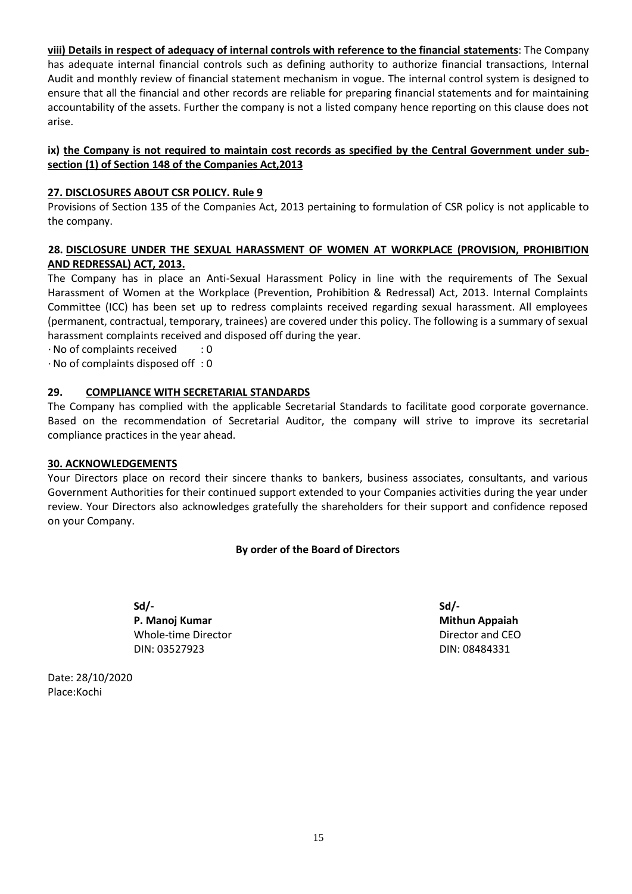**viii) Details in respect of adequacy of internal controls with reference to the financial statements**: The Company has adequate internal financial controls such as defining authority to authorize financial transactions, Internal Audit and monthly review of financial statement mechanism in vogue. The internal control system is designed to ensure that all the financial and other records are reliable for preparing financial statements and for maintaining accountability of the assets. Further the company is not a listed company hence reporting on this clause does not arise.

# **ix) the Company is not required to maintain cost records as specified by the Central Government under subsection (1) of Section 148 of the Companies Act,2013**

# **27. DISCLOSURES ABOUT CSR POLICY. Rule 9**

Provisions of Section 135 of the Companies Act, 2013 pertaining to formulation of CSR policy is not applicable to the company.

# **28. DISCLOSURE UNDER THE SEXUAL HARASSMENT OF WOMEN AT WORKPLACE (PROVISION, PROHIBITION AND REDRESSAL) ACT, 2013.**

The Company has in place an Anti-Sexual Harassment Policy in line with the requirements of The Sexual Harassment of Women at the Workplace (Prevention, Prohibition & Redressal) Act, 2013. Internal Complaints Committee (ICC) has been set up to redress complaints received regarding sexual harassment. All employees (permanent, contractual, temporary, trainees) are covered under this policy. The following is a summary of sexual harassment complaints received and disposed off during the year.

 $\cdot$  No of complaints received  $\cdot$  : 0

 $\cdot$  No of complaints disposed off : 0

# **29. COMPLIANCE WITH SECRETARIAL STANDARDS**

The Company has complied with the applicable Secretarial Standards to facilitate good corporate governance. Based on the recommendation of Secretarial Auditor, the company will strive to improve its secretarial compliance practices in the year ahead.

# **30. ACKNOWLEDGEMENTS**

Your Directors place on record their sincere thanks to bankers, business associates, consultants, and various Government Authorities for their continued support extended to your Companies activities during the year under review. Your Directors also acknowledges gratefully the shareholders for their support and confidence reposed on your Company.

# **By order of the Board of Directors**

**Sd/- Sd/- P. Manoj Kumar Mithun Appaiah** Whole-time Director **Director Director Director Director Director Director Director Director Director Director Director Director Director Director Director Director Director Director Dir** DIN: [03527923](http://www.mca.gov.in/mcafoportal/companyLLPMasterData.do) DIN: [08484331](http://www.mca.gov.in/mcafoportal/companyLLPMasterData.do)

Date: 28/10/2020 Place:Kochi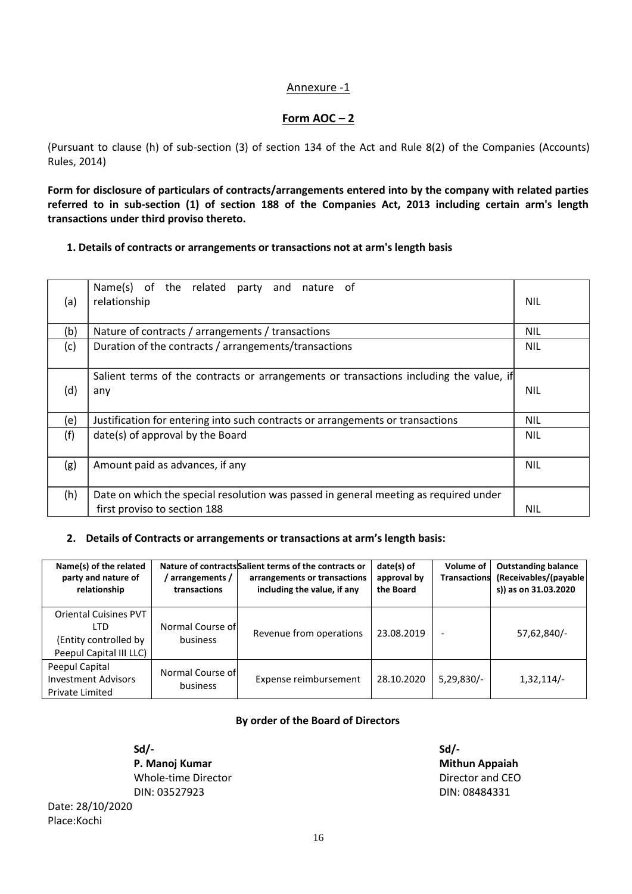# Annexure -1

# **Form AOC – 2**

(Pursuant to clause (h) of sub-section (3) of section 134 of the Act and Rule 8(2) of the Companies (Accounts) Rules, 2014)

**Form for disclosure of particulars of contracts/arrangements entered into by the company with related parties referred to in sub-section (1) of section 188 of the Companies Act, 2013 including certain arm's length transactions under third proviso thereto.**

# **1. Details of contracts or arrangements or transactions not at arm's length basis**

| (a) | Name(s) of the related party and nature of<br>relationship                                    | <b>NIL</b> |
|-----|-----------------------------------------------------------------------------------------------|------------|
| (b) | Nature of contracts / arrangements / transactions                                             | <b>NIL</b> |
| (c) | Duration of the contracts / arrangements/transactions                                         | <b>NIL</b> |
| (d) | Salient terms of the contracts or arrangements or transactions including the value, if<br>any | <b>NIL</b> |
| (e) | Justification for entering into such contracts or arrangements or transactions                | <b>NIL</b> |
| (f) | date(s) of approval by the Board                                                              | <b>NIL</b> |
| (g) | Amount paid as advances, if any                                                               | <b>NIL</b> |
| (h) | Date on which the special resolution was passed in general meeting as required under          |            |
|     | first proviso to section 188                                                                  | NIL        |

# **2. Details of Contracts or arrangements or transactions at arm's length basis:**

| Name(s) of the related<br>party and nature of<br>relationship                            | arrangements /<br>transactions | Nature of contracts Salient terms of the contracts or<br>arrangements or transactions<br>including the value, if any | date(s) of<br>approval by<br>the Board | Volume of<br><b>Transactions</b> | <b>Outstanding balance</b><br>(Receivables/(payable)<br>s)) as on 31.03.2020 |
|------------------------------------------------------------------------------------------|--------------------------------|----------------------------------------------------------------------------------------------------------------------|----------------------------------------|----------------------------------|------------------------------------------------------------------------------|
| <b>Oriental Cuisines PVT</b><br>LTD.<br>(Entity controlled by<br>Peepul Capital III LLC) | Normal Course of<br>business   | Revenue from operations                                                                                              | 23.08.2019                             |                                  | 57,62,840/-                                                                  |
| Peepul Capital<br><b>Investment Advisors</b><br><b>Private Limited</b>                   | Normal Course of<br>business   | Expense reimbursement                                                                                                | 28.10.2020                             | $5,29,830/-$                     | 1,32,114/                                                                    |

# **By order of the Board of Directors**

**Sd/- Sd/- P. Manoj Kumar Mithun Appaiah** Whole-time Director **Director Director Director Director** and CEO DIN: [03527923](http://www.mca.gov.in/mcafoportal/companyLLPMasterData.do) DIN: [08484331](http://www.mca.gov.in/mcafoportal/companyLLPMasterData.do)

Date: 28/10/2020 Place:Kochi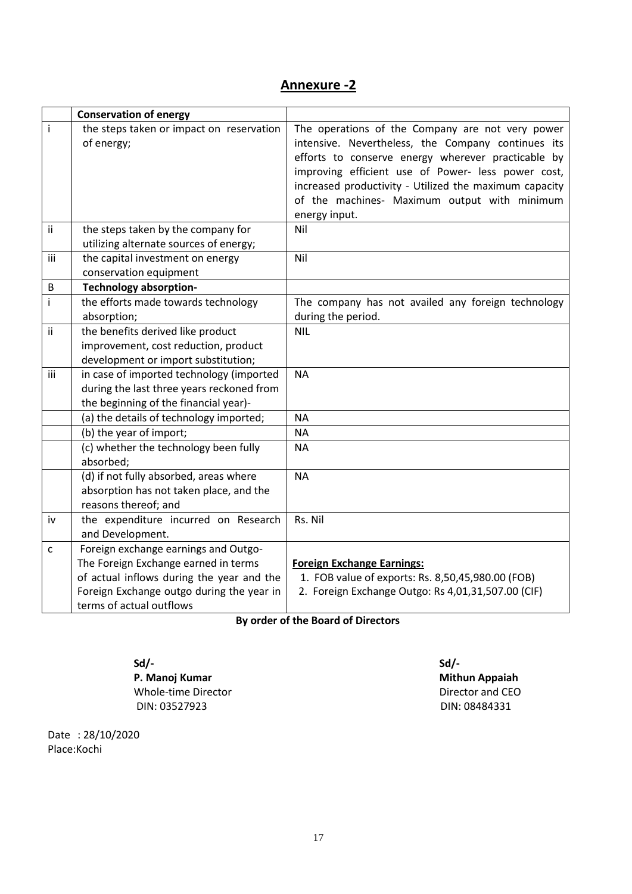# **Annexure -2**

|              | <b>Conservation of energy</b>                          |                                                                                                                                                                                                                                                                                                                              |
|--------------|--------------------------------------------------------|------------------------------------------------------------------------------------------------------------------------------------------------------------------------------------------------------------------------------------------------------------------------------------------------------------------------------|
| Ť            | the steps taken or impact on reservation<br>of energy; | The operations of the Company are not very power<br>intensive. Nevertheless, the Company continues its<br>efforts to conserve energy wherever practicable by<br>improving efficient use of Power- less power cost,<br>increased productivity - Utilized the maximum capacity<br>of the machines- Maximum output with minimum |
|              |                                                        | energy input.                                                                                                                                                                                                                                                                                                                |
| ii           | the steps taken by the company for                     | Nil                                                                                                                                                                                                                                                                                                                          |
|              | utilizing alternate sources of energy;                 |                                                                                                                                                                                                                                                                                                                              |
| iii          | the capital investment on energy                       | Nil                                                                                                                                                                                                                                                                                                                          |
|              | conservation equipment                                 |                                                                                                                                                                                                                                                                                                                              |
| B            | <b>Technology absorption-</b>                          |                                                                                                                                                                                                                                                                                                                              |
| i            | the efforts made towards technology                    | The company has not availed any foreign technology                                                                                                                                                                                                                                                                           |
|              | absorption;                                            | during the period.                                                                                                                                                                                                                                                                                                           |
| ii.          | the benefits derived like product                      | <b>NIL</b>                                                                                                                                                                                                                                                                                                                   |
|              | improvement, cost reduction, product                   |                                                                                                                                                                                                                                                                                                                              |
|              | development or import substitution;                    |                                                                                                                                                                                                                                                                                                                              |
| iii          | in case of imported technology (imported               | <b>NA</b>                                                                                                                                                                                                                                                                                                                    |
|              | during the last three years reckoned from              |                                                                                                                                                                                                                                                                                                                              |
|              | the beginning of the financial year)-                  |                                                                                                                                                                                                                                                                                                                              |
|              | (a) the details of technology imported;                | <b>NA</b>                                                                                                                                                                                                                                                                                                                    |
|              | (b) the year of import;                                | <b>NA</b>                                                                                                                                                                                                                                                                                                                    |
|              | (c) whether the technology been fully<br>absorbed;     | <b>NA</b>                                                                                                                                                                                                                                                                                                                    |
|              | (d) if not fully absorbed, areas where                 | <b>NA</b>                                                                                                                                                                                                                                                                                                                    |
|              | absorption has not taken place, and the                |                                                                                                                                                                                                                                                                                                                              |
|              | reasons thereof; and                                   |                                                                                                                                                                                                                                                                                                                              |
| iv           | the expenditure incurred on Research                   | Rs. Nil                                                                                                                                                                                                                                                                                                                      |
|              | and Development.                                       |                                                                                                                                                                                                                                                                                                                              |
| $\mathsf{C}$ | Foreign exchange earnings and Outgo-                   |                                                                                                                                                                                                                                                                                                                              |
|              | The Foreign Exchange earned in terms                   | <b>Foreign Exchange Earnings:</b>                                                                                                                                                                                                                                                                                            |
|              | of actual inflows during the year and the              | 1. FOB value of exports: Rs. 8,50,45,980.00 (FOB)                                                                                                                                                                                                                                                                            |
|              | Foreign Exchange outgo during the year in              | 2. Foreign Exchange Outgo: Rs 4,01,31,507.00 (CIF)                                                                                                                                                                                                                                                                           |
|              | terms of actual outflows                               |                                                                                                                                                                                                                                                                                                                              |

**By order of the Board of Directors**

**Sd/- Sd/- P. Manoj Kumar Mithun Appaiah** Whole-time Director and CEO<br>
DIN: 03527923 DIN: 03527923 DIN[: 03527923](http://www.mca.gov.in/mcafoportal/companyLLPMasterData.do)

Date : 28/10/2020 Place:Kochi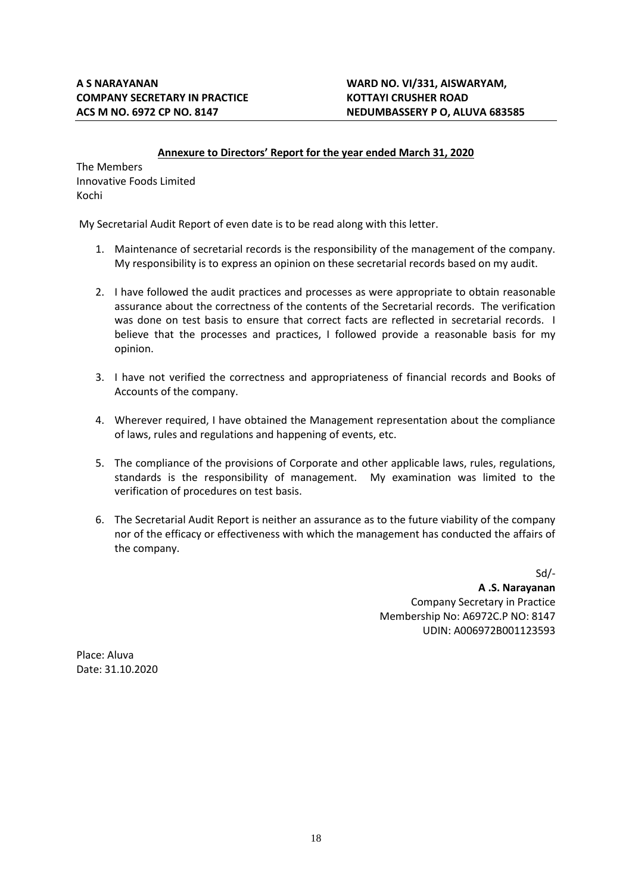# **Annexure to Directors' Report for the year ended March 31, 2020**

The Members Innovative Foods Limited Kochi

My Secretarial Audit Report of even date is to be read along with this letter.

- 1. Maintenance of secretarial records is the responsibility of the management of the company. My responsibility is to express an opinion on these secretarial records based on my audit.
- 2. I have followed the audit practices and processes as were appropriate to obtain reasonable assurance about the correctness of the contents of the Secretarial records. The verification was done on test basis to ensure that correct facts are reflected in secretarial records. I believe that the processes and practices, I followed provide a reasonable basis for my opinion.
- 3. I have not verified the correctness and appropriateness of financial records and Books of Accounts of the company.
- 4. Wherever required, I have obtained the Management representation about the compliance of laws, rules and regulations and happening of events, etc.
- 5. The compliance of the provisions of Corporate and other applicable laws, rules, regulations, standards is the responsibility of management. My examination was limited to the verification of procedures on test basis.
- 6. The Secretarial Audit Report is neither an assurance as to the future viability of the company nor of the efficacy or effectiveness with which the management has conducted the affairs of the company.

Sd/- **A .S. Narayanan** Company Secretary in Practice Membership No: A6972C.P NO: 8147 UDIN: A006972B001123593

Place: Aluva Date: 31.10.2020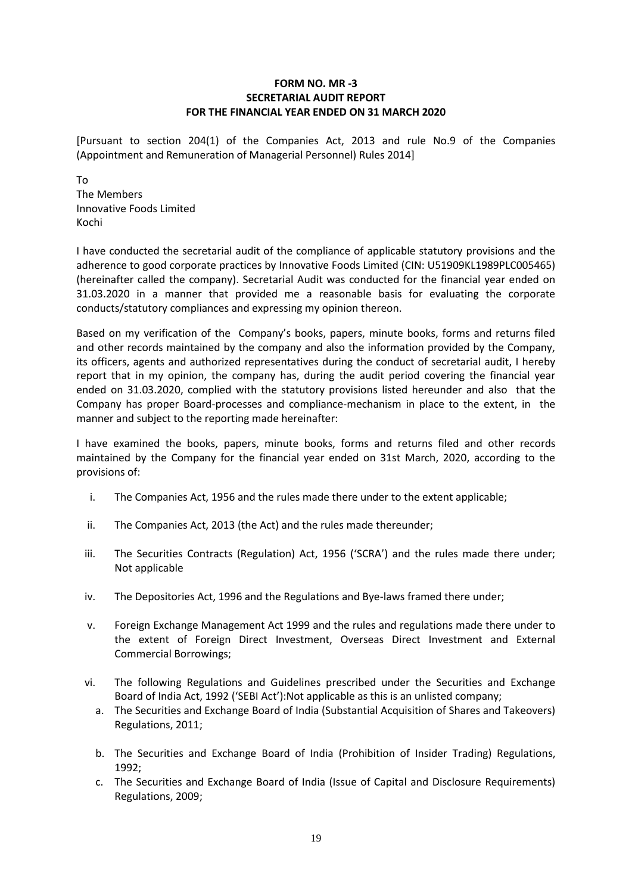# **FORM NO. MR -3 SECRETARIAL AUDIT REPORT FOR THE FINANCIAL YEAR ENDED ON 31 MARCH 2020**

[Pursuant to section 204(1) of the Companies Act, 2013 and rule No.9 of the Companies (Appointment and Remuneration of Managerial Personnel) Rules 2014]

To The Members Innovative Foods Limited Kochi

I have conducted the secretarial audit of the compliance of applicable statutory provisions and the adherence to good corporate practices by Innovative Foods Limited (CIN: U51909KL1989PLC005465) (hereinafter called the company). Secretarial Audit was conducted for the financial year ended on 31.03.2020 in a manner that provided me a reasonable basis for evaluating the corporate conducts/statutory compliances and expressing my opinion thereon.

Based on my verification of the Company's books, papers, minute books, forms and returns filed and other records maintained by the company and also the information provided by the Company, its officers, agents and authorized representatives during the conduct of secretarial audit, I hereby report that in my opinion, the company has, during the audit period covering the financial year ended on 31.03.2020, complied with the statutory provisions listed hereunder and also that the Company has proper Board-processes and compliance-mechanism in place to the extent, in the manner and subject to the reporting made hereinafter:

I have examined the books, papers, minute books, forms and returns filed and other records maintained by the Company for the financial year ended on 31st March, 2020, according to the provisions of:

- i. The Companies Act, 1956 and the rules made there under to the extent applicable;
- ii. The Companies Act, 2013 (the Act) and the rules made thereunder;
- iii. The Securities Contracts (Regulation) Act, 1956 ('SCRA') and the rules made there under; Not applicable
- iv. The Depositories Act, 1996 and the Regulations and Bye-laws framed there under;
- v. Foreign Exchange Management Act 1999 and the rules and regulations made there under to the extent of Foreign Direct Investment, Overseas Direct Investment and External Commercial Borrowings;
- vi. The following Regulations and Guidelines prescribed under the Securities and Exchange Board of India Act, 1992 ('SEBI Act'):Not applicable as this is an unlisted company;
	- a. The Securities and Exchange Board of India (Substantial Acquisition of Shares and Takeovers) Regulations, 2011;
	- b. The Securities and Exchange Board of India (Prohibition of Insider Trading) Regulations, 1992;
	- c. The Securities and Exchange Board of India (Issue of Capital and Disclosure Requirements) Regulations, 2009;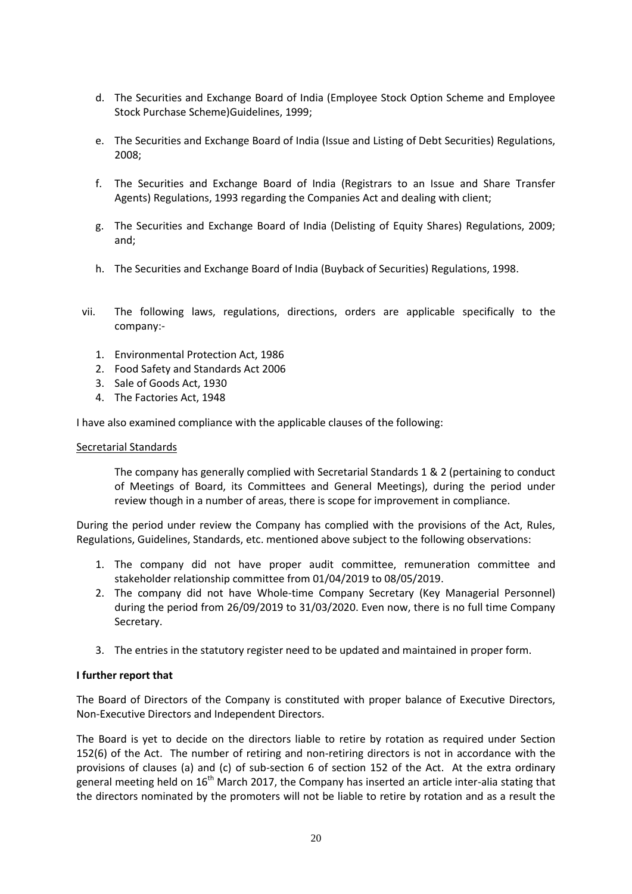- d. The Securities and Exchange Board of India (Employee Stock Option Scheme and Employee Stock Purchase Scheme)Guidelines, 1999;
- e. The Securities and Exchange Board of India (Issue and Listing of Debt Securities) Regulations, 2008;
- f. The Securities and Exchange Board of India (Registrars to an Issue and Share Transfer Agents) Regulations, 1993 regarding the Companies Act and dealing with client;
- g. The Securities and Exchange Board of India (Delisting of Equity Shares) Regulations, 2009; and;
- h. The Securities and Exchange Board of India (Buyback of Securities) Regulations, 1998.
- vii. The following laws, regulations, directions, orders are applicable specifically to the company:-
	- 1. Environmental Protection Act, 1986
	- 2. Food Safety and Standards Act 2006
	- 3. Sale of Goods Act, 1930
	- 4. The Factories Act, 1948

I have also examined compliance with the applicable clauses of the following:

# Secretarial Standards

The company has generally complied with Secretarial Standards 1 & 2 (pertaining to conduct of Meetings of Board, its Committees and General Meetings), during the period under review though in a number of areas, there is scope for improvement in compliance.

During the period under review the Company has complied with the provisions of the Act, Rules, Regulations, Guidelines, Standards, etc. mentioned above subject to the following observations:

- 1. The company did not have proper audit committee, remuneration committee and stakeholder relationship committee from 01/04/2019 to 08/05/2019.
- 2. The company did not have Whole-time Company Secretary (Key Managerial Personnel) during the period from 26/09/2019 to 31/03/2020. Even now, there is no full time Company Secretary.
- 3. The entries in the statutory register need to be updated and maintained in proper form.

# **I further report that**

The Board of Directors of the Company is constituted with proper balance of Executive Directors, Non-Executive Directors and Independent Directors.

The Board is yet to decide on the directors liable to retire by rotation as required under Section 152(6) of the Act. The number of retiring and non-retiring directors is not in accordance with the provisions of clauses (a) and (c) of sub-section 6 of section 152 of the Act. At the extra ordinary general meeting held on  $16<sup>th</sup>$  March 2017, the Company has inserted an article inter-alia stating that the directors nominated by the promoters will not be liable to retire by rotation and as a result the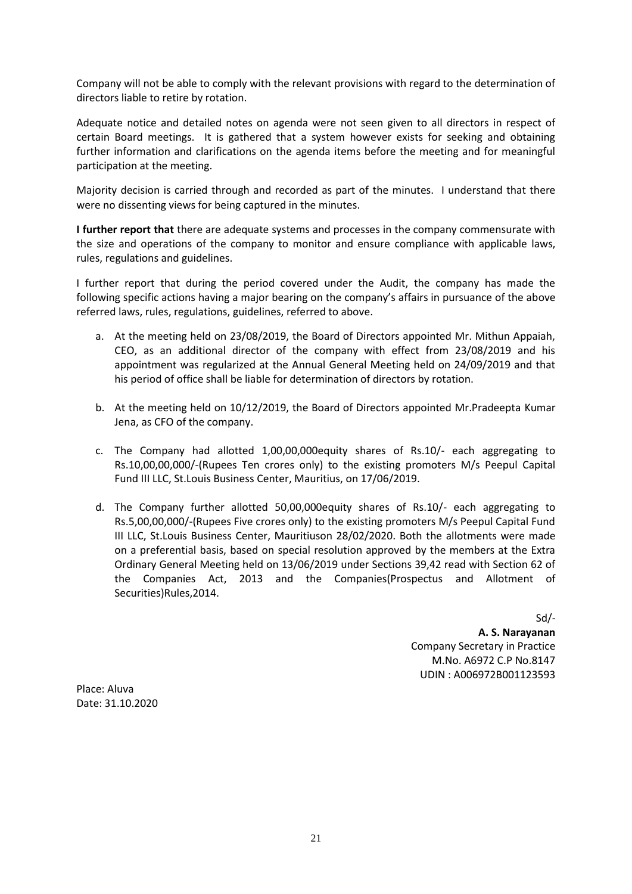Company will not be able to comply with the relevant provisions with regard to the determination of directors liable to retire by rotation.

Adequate notice and detailed notes on agenda were not seen given to all directors in respect of certain Board meetings. It is gathered that a system however exists for seeking and obtaining further information and clarifications on the agenda items before the meeting and for meaningful participation at the meeting.

Majority decision is carried through and recorded as part of the minutes. I understand that there were no dissenting views for being captured in the minutes.

**I further report that** there are adequate systems and processes in the company commensurate with the size and operations of the company to monitor and ensure compliance with applicable laws, rules, regulations and guidelines.

I further report that during the period covered under the Audit, the company has made the following specific actions having a major bearing on the company's affairs in pursuance of the above referred laws, rules, regulations, guidelines, referred to above.

- a. At the meeting held on 23/08/2019, the Board of Directors appointed Mr. Mithun Appaiah, CEO, as an additional director of the company with effect from 23/08/2019 and his appointment was regularized at the Annual General Meeting held on 24/09/2019 and that his period of office shall be liable for determination of directors by rotation.
- b. At the meeting held on 10/12/2019, the Board of Directors appointed Mr.Pradeepta Kumar Jena, as CFO of the company.
- c. The Company had allotted 1,00,00,000equity shares of Rs.10/- each aggregating to Rs.10,00,00,000/-(Rupees Ten crores only) to the existing promoters M/s Peepul Capital Fund III LLC, St.Louis Business Center, Mauritius, on 17/06/2019.
- d. The Company further allotted 50,00,000equity shares of Rs.10/- each aggregating to Rs.5,00,00,000/-(Rupees Five crores only) to the existing promoters M/s Peepul Capital Fund III LLC, St.Louis Business Center, Mauritiuson 28/02/2020. Both the allotments were made on a preferential basis, based on special resolution approved by the members at the Extra Ordinary General Meeting held on 13/06/2019 under Sections 39,42 read with Section 62 of the Companies Act, 2013 and the Companies(Prospectus and Allotment of Securities)Rules,2014.

 Sd/- **A. S. Narayanan** Company Secretary in Practice M.No. A6972 C.P No.8147 UDIN : A006972B001123593

Place: Aluva Date: 31.10.2020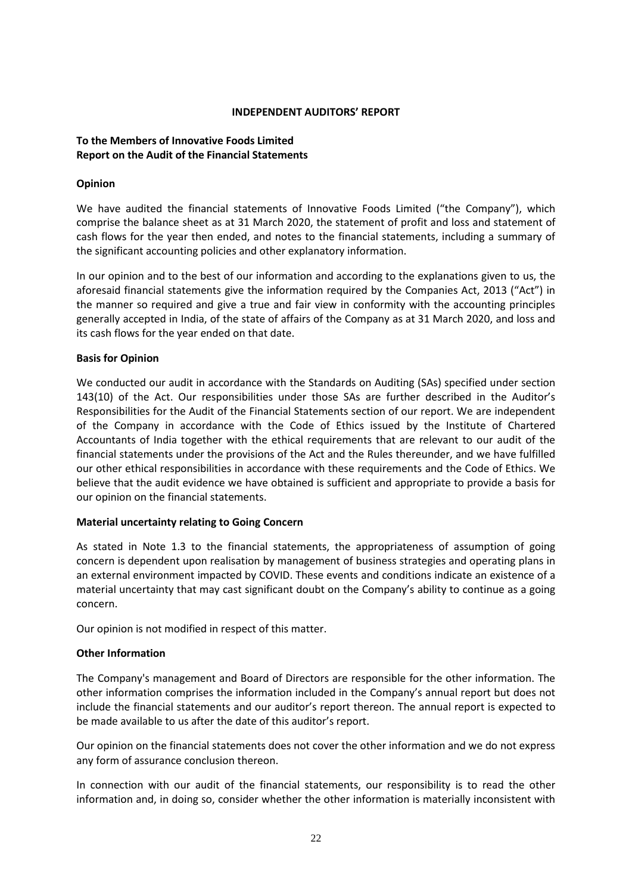#### **INDEPENDENT AUDITORS' REPORT**

# **To the Members of Innovative Foods Limited Report on the Audit of the Financial Statements**

# **Opinion**

We have audited the financial statements of Innovative Foods Limited ("the Company"), which comprise the balance sheet as at 31 March 2020, the statement of profit and loss and statement of cash flows for the year then ended, and notes to the financial statements, including a summary of the significant accounting policies and other explanatory information.

In our opinion and to the best of our information and according to the explanations given to us, the aforesaid financial statements give the information required by the Companies Act, 2013 ("Act") in the manner so required and give a true and fair view in conformity with the accounting principles generally accepted in India, of the state of affairs of the Company as at 31 March 2020, and loss and its cash flows for the year ended on that date.

#### **Basis for Opinion**

We conducted our audit in accordance with the Standards on Auditing (SAs) specified under section 143(10) of the Act. Our responsibilities under those SAs are further described in the Auditor's Responsibilities for the Audit of the Financial Statements section of our report. We are independent of the Company in accordance with the Code of Ethics issued by the Institute of Chartered Accountants of India together with the ethical requirements that are relevant to our audit of the financial statements under the provisions of the Act and the Rules thereunder, and we have fulfilled our other ethical responsibilities in accordance with these requirements and the Code of Ethics. We believe that the audit evidence we have obtained is sufficient and appropriate to provide a basis for our opinion on the financial statements.

# **Material uncertainty relating to Going Concern**

As stated in Note 1.3 to the financial statements, the appropriateness of assumption of going concern is dependent upon realisation by management of business strategies and operating plans in an external environment impacted by COVID. These events and conditions indicate an existence of a material uncertainty that may cast significant doubt on the Company's ability to continue as a going concern.

Our opinion is not modified in respect of this matter.

# **Other Information**

The Company's management and Board of Directors are responsible for the other information. The other information comprises the information included in the Company's annual report but does not include the financial statements and our auditor's report thereon. The annual report is expected to be made available to us after the date of this auditor's report.

Our opinion on the financial statements does not cover the other information and we do not express any form of assurance conclusion thereon.

In connection with our audit of the financial statements, our responsibility is to read the other information and, in doing so, consider whether the other information is materially inconsistent with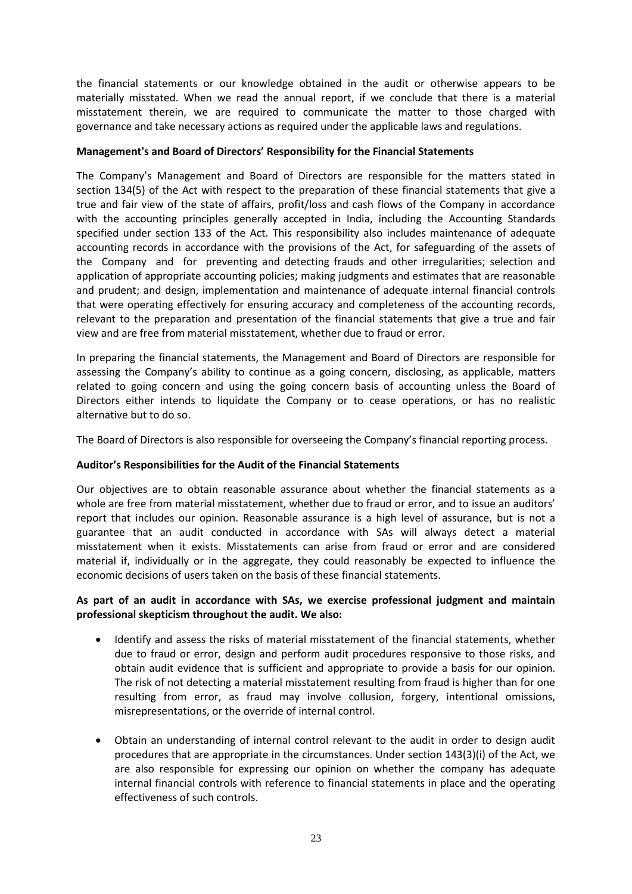the financial statements or our knowledge obtained in the audit or otherwise appears to be materially misstated. When we read the annual report, if we conclude that there is a material misstatement therein, we are required to communicate the matter to those charged with governance and take necessary actions as required under the applicable laws and regulations.

# **Management's and Board of Directors' Responsibility for the Financial Statements**

The Company's Management and Board of Directors are responsible for the matters stated in section 134(5) of the Act with respect to the preparation of these financial statements that give a true and fair view of the state of affairs, profit/loss and cash flows of the Company in accordance with the accounting principles generally accepted in India, including the Accounting Standards specified under section 133 of the Act. This responsibility also includes maintenance of adequate accounting records in accordance with the provisions of the Act, for safeguarding of the assets of the Company and for preventing and detecting frauds and other irregularities; selection and application of appropriate accounting policies; making judgments and estimates that are reasonable and prudent; and design, implementation and maintenance of adequate internal financial controls that were operating effectively for ensuring accuracy and completeness of the accounting records, relevant to the preparation and presentation of the financial statements that give a true and fair view and are free from material misstatement, whether due to fraud or error.

In preparing the financial statements, the Management and Board of Directors are responsible for assessing the Company's ability to continue as a going concern, disclosing, as applicable, matters related to going concern and using the going concern basis of accounting unless the Board of Directors either intends to liquidate the Company or to cease operations, or has no realistic alternative but to do so.

The Board of Directors is also responsible for overseeing the Company's financial reporting process.

# **Auditor's Responsibilities for the Audit of the Financial Statements**

Our objectives are to obtain reasonable assurance about whether the financial statements as a whole are free from material misstatement, whether due to fraud or error, and to issue an auditors' report that includes our opinion. Reasonable assurance is a high level of assurance, but is not a guarantee that an audit conducted in accordance with SAs will always detect a material misstatement when it exists. Misstatements can arise from fraud or error and are considered material if, individually or in the aggregate, they could reasonably be expected to influence the economic decisions of users taken on the basis of these financial statements.

# **As part of an audit in accordance with SAs, we exercise professional judgment and maintain professional skepticism throughout the audit. We also:**

- Identify and assess the risks of material misstatement of the financial statements, whether due to fraud or error, design and perform audit procedures responsive to those risks, and obtain audit evidence that is sufficient and appropriate to provide a basis for our opinion. The risk of not detecting a material misstatement resulting from fraud is higher than for one resulting from error, as fraud may involve collusion, forgery, intentional omissions, misrepresentations, or the override of internal control.
- Obtain an understanding of internal control relevant to the audit in order to design audit procedures that are appropriate in the circumstances. Under section 143(3)(i) of the Act, we are also responsible for expressing our opinion on whether the company has adequate internal financial controls with reference to financial statements in place and the operating effectiveness of such controls.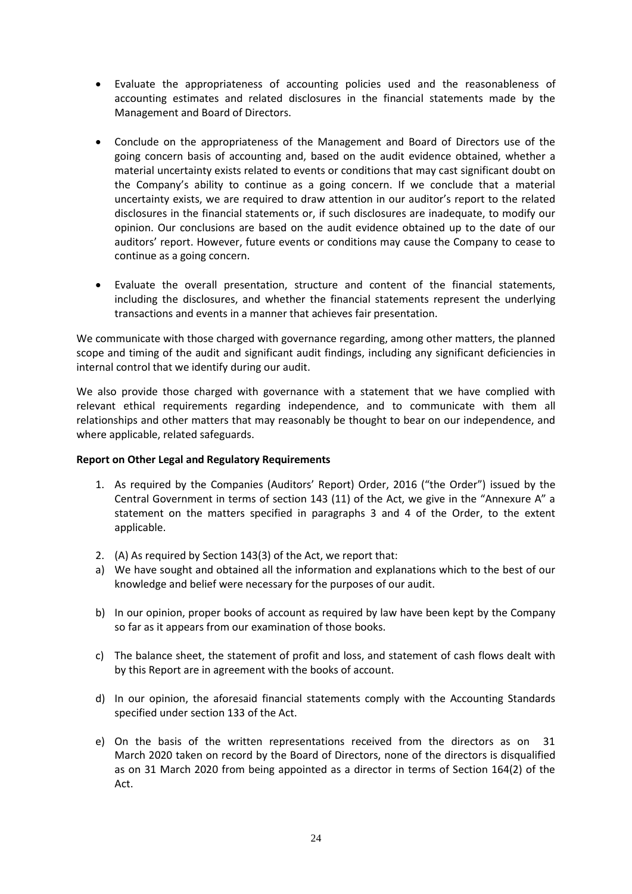- Evaluate the appropriateness of accounting policies used and the reasonableness of accounting estimates and related disclosures in the financial statements made by the Management and Board of Directors.
- Conclude on the appropriateness of the Management and Board of Directors use of the going concern basis of accounting and, based on the audit evidence obtained, whether a material uncertainty exists related to events or conditions that may cast significant doubt on the Company's ability to continue as a going concern. If we conclude that a material uncertainty exists, we are required to draw attention in our auditor's report to the related disclosures in the financial statements or, if such disclosures are inadequate, to modify our opinion. Our conclusions are based on the audit evidence obtained up to the date of our auditors' report. However, future events or conditions may cause the Company to cease to continue as a going concern.
- Evaluate the overall presentation, structure and content of the financial statements, including the disclosures, and whether the financial statements represent the underlying transactions and events in a manner that achieves fair presentation.

We communicate with those charged with governance regarding, among other matters, the planned scope and timing of the audit and significant audit findings, including any significant deficiencies in internal control that we identify during our audit.

We also provide those charged with governance with a statement that we have complied with relevant ethical requirements regarding independence, and to communicate with them all relationships and other matters that may reasonably be thought to bear on our independence, and where applicable, related safeguards.

# **Report on Other Legal and Regulatory Requirements**

- 1. As required by the Companies (Auditors' Report) Order, 2016 ("the Order") issued by the Central Government in terms of section 143 (11) of the Act, we give in the "Annexure A" a statement on the matters specified in paragraphs 3 and 4 of the Order, to the extent applicable.
- 2. (A) As required by Section 143(3) of the Act, we report that:
- a) We have sought and obtained all the information and explanations which to the best of our knowledge and belief were necessary for the purposes of our audit.
- b) In our opinion, proper books of account as required by law have been kept by the Company so far as it appears from our examination of those books.
- c) The balance sheet, the statement of profit and loss, and statement of cash flows dealt with by this Report are in agreement with the books of account.
- d) In our opinion, the aforesaid financial statements comply with the Accounting Standards specified under section 133 of the Act.
- e) On the basis of the written representations received from the directors as on 31 March 2020 taken on record by the Board of Directors, none of the directors is disqualified as on 31 March 2020 from being appointed as a director in terms of Section 164(2) of the Act.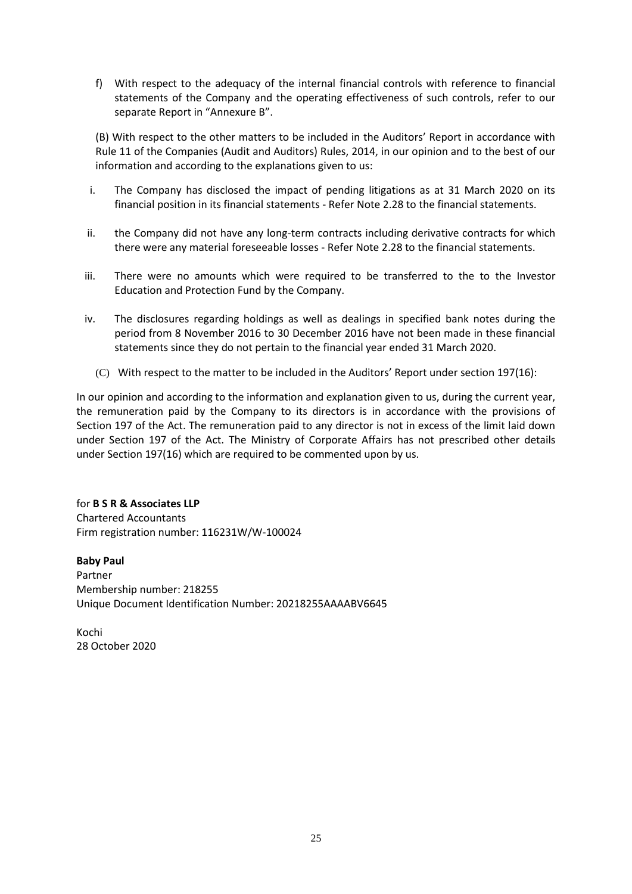f) With respect to the adequacy of the internal financial controls with reference to financial statements of the Company and the operating effectiveness of such controls, refer to our separate Report in "Annexure B".

(B) With respect to the other matters to be included in the Auditors' Report in accordance with Rule 11 of the Companies (Audit and Auditors) Rules, 2014, in our opinion and to the best of our information and according to the explanations given to us:

- i. The Company has disclosed the impact of pending litigations as at 31 March 2020 on its financial position in its financial statements - Refer Note 2.28 to the financial statements.
- ii. the Company did not have any long-term contracts including derivative contracts for which there were any material foreseeable losses - Refer Note 2.28 to the financial statements.
- iii. There were no amounts which were required to be transferred to the to the Investor Education and Protection Fund by the Company.
- iv. The disclosures regarding holdings as well as dealings in specified bank notes during the period from 8 November 2016 to 30 December 2016 have not been made in these financial statements since they do not pertain to the financial year ended 31 March 2020.
	- (C) With respect to the matter to be included in the Auditors' Report under section 197(16):

In our opinion and according to the information and explanation given to us, during the current year, the remuneration paid by the Company to its directors is in accordance with the provisions of Section 197 of the Act. The remuneration paid to any director is not in excess of the limit laid down under Section 197 of the Act. The Ministry of Corporate Affairs has not prescribed other details under Section 197(16) which are required to be commented upon by us.

# for **B S R & Associates LLP**

Chartered Accountants Firm registration number: 116231W/W-100024

# **Baby Paul**

Partner Membership number: 218255 Unique Document Identification Number: 20218255AAAABV6645

Kochi 28 October 2020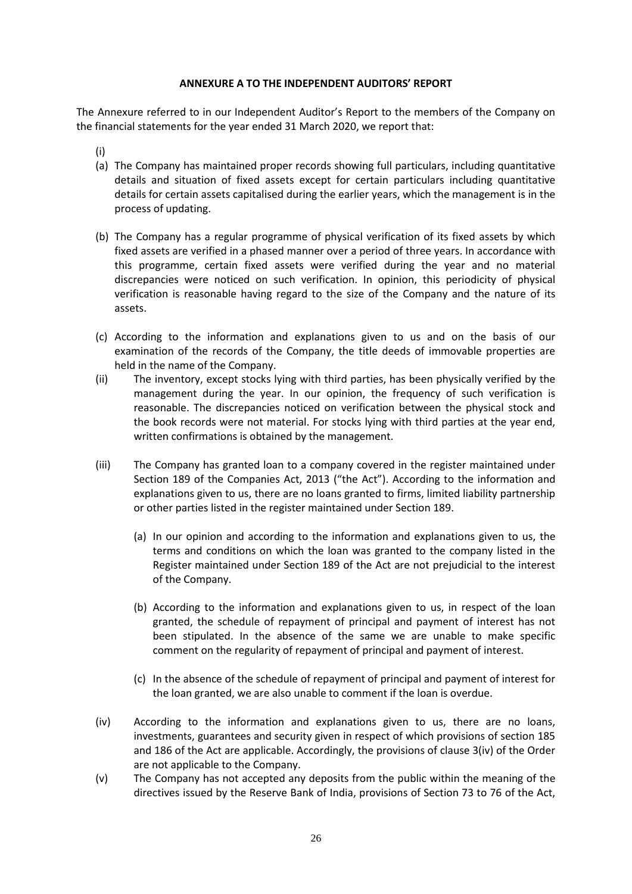#### **ANNEXURE A TO THE INDEPENDENT AUDITORS' REPORT**

The Annexure referred to in our Independent Auditor's Report to the members of the Company on the financial statements for the year ended 31 March 2020, we report that:

(i)

- (a) The Company has maintained proper records showing full particulars, including quantitative details and situation of fixed assets except for certain particulars including quantitative details for certain assets capitalised during the earlier years, which the management is in the process of updating.
- (b) The Company has a regular programme of physical verification of its fixed assets by which fixed assets are verified in a phased manner over a period of three years. In accordance with this programme, certain fixed assets were verified during the year and no material discrepancies were noticed on such verification. In opinion, this periodicity of physical verification is reasonable having regard to the size of the Company and the nature of its assets.
- (c) According to the information and explanations given to us and on the basis of our examination of the records of the Company, the title deeds of immovable properties are held in the name of the Company.
- (ii) The inventory, except stocks lying with third parties, has been physically verified by the management during the year. In our opinion, the frequency of such verification is reasonable. The discrepancies noticed on verification between the physical stock and the book records were not material. For stocks lying with third parties at the year end, written confirmations is obtained by the management.
- (iii) The Company has granted loan to a company covered in the register maintained under Section 189 of the Companies Act, 2013 ("the Act"). According to the information and explanations given to us, there are no loans granted to firms, limited liability partnership or other parties listed in the register maintained under Section 189.
	- (a) In our opinion and according to the information and explanations given to us, the terms and conditions on which the loan was granted to the company listed in the Register maintained under Section 189 of the Act are not prejudicial to the interest of the Company.
	- (b) According to the information and explanations given to us, in respect of the loan granted, the schedule of repayment of principal and payment of interest has not been stipulated. In the absence of the same we are unable to make specific comment on the regularity of repayment of principal and payment of interest.
	- (c) In the absence of the schedule of repayment of principal and payment of interest for the loan granted, we are also unable to comment if the loan is overdue.
- (iv) According to the information and explanations given to us, there are no loans, investments, guarantees and security given in respect of which provisions of section 185 and 186 of the Act are applicable. Accordingly, the provisions of clause 3(iv) of the Order are not applicable to the Company.
- (v) The Company has not accepted any deposits from the public within the meaning of the directives issued by the Reserve Bank of India, provisions of Section 73 to 76 of the Act,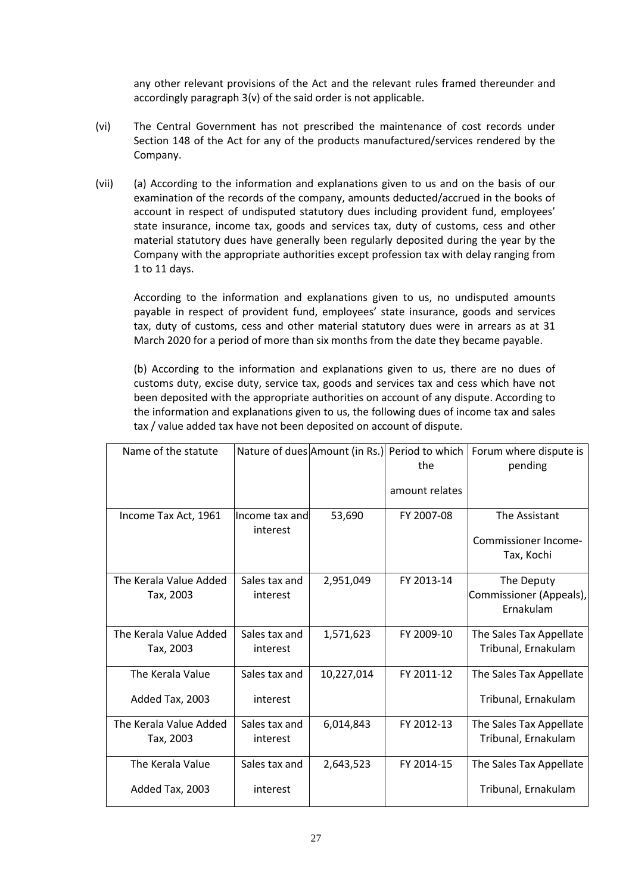any other relevant provisions of the Act and the relevant rules framed thereunder and accordingly paragraph 3(v) of the said order is not applicable.

- (vi) The Central Government has not prescribed the maintenance of cost records under Section 148 of the Act for any of the products manufactured/services rendered by the Company.
- (vii) (a) According to the information and explanations given to us and on the basis of our examination of the records of the company, amounts deducted/accrued in the books of account in respect of undisputed statutory dues including provident fund, employees' state insurance, income tax, goods and services tax, duty of customs, cess and other material statutory dues have generally been regularly deposited during the year by the Company with the appropriate authorities except profession tax with delay ranging from 1 to 11 days.

According to the information and explanations given to us, no undisputed amounts payable in respect of provident fund, employees' state insurance, goods and services tax, duty of customs, cess and other material statutory dues were in arrears as at 31 March 2020 for a period of more than six months from the date they became payable.

(b) According to the information and explanations given to us, there are no dues of customs duty, excise duty, service tax, goods and services tax and cess which have not been deposited with the appropriate authorities on account of any dispute. According to the information and explanations given to us, the following dues of income tax and sales tax / value added tax have not been deposited on account of dispute.

| Name of the statute    |                |            | Nature of dues Amount (in Rs.) Period to which | Forum where dispute is  |
|------------------------|----------------|------------|------------------------------------------------|-------------------------|
|                        |                |            | the                                            | pending                 |
|                        |                |            | amount relates                                 |                         |
| Income Tax Act, 1961   | Income tax and | 53,690     | FY 2007-08                                     | The Assistant           |
|                        | interest       |            |                                                |                         |
|                        |                |            |                                                | Commissioner Income-    |
|                        |                |            |                                                | Tax, Kochi              |
| The Kerala Value Added | Sales tax and  | 2,951,049  | FY 2013-14                                     | The Deputy              |
| Tax, 2003              | interest       |            |                                                | Commissioner (Appeals), |
|                        |                |            |                                                | Ernakulam               |
|                        |                |            |                                                |                         |
| The Kerala Value Added | Sales tax and  | 1,571,623  | FY 2009-10                                     | The Sales Tax Appellate |
| Tax, 2003              | interest       |            |                                                | Tribunal, Ernakulam     |
| The Kerala Value       | Sales tax and  | 10,227,014 | FY 2011-12                                     | The Sales Tax Appellate |
| Added Tax, 2003        | interest       |            |                                                | Tribunal, Ernakulam     |
| The Kerala Value Added | Sales tax and  | 6,014,843  | FY 2012-13                                     | The Sales Tax Appellate |
| Tax, 2003              | interest       |            |                                                | Tribunal, Ernakulam     |
| The Kerala Value       | Sales tax and  | 2,643,523  | FY 2014-15                                     | The Sales Tax Appellate |
| Added Tax, 2003        | interest       |            |                                                | Tribunal, Ernakulam     |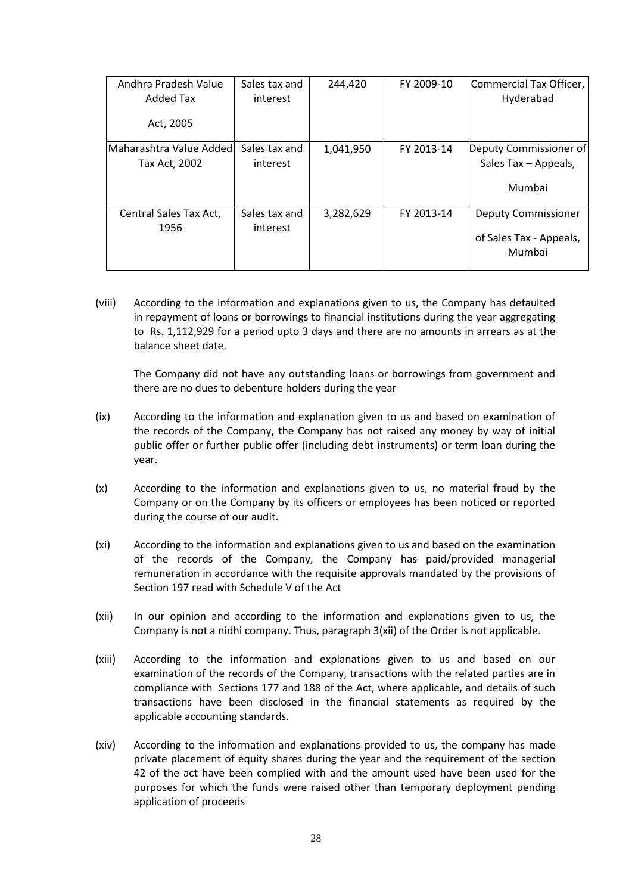| Andhra Pradesh Value<br><b>Added Tax</b><br>Act, 2005 | Sales tax and<br>interest | 244,420   | FY 2009-10 | Commercial Tax Officer,<br>Hyderabad                            |
|-------------------------------------------------------|---------------------------|-----------|------------|-----------------------------------------------------------------|
| lMaharashtra Value Addedl<br>Tax Act, 2002            | Sales tax and<br>interest | 1,041,950 | FY 2013-14 | Deputy Commissioner of<br>Sales Tax - Appeals,<br>Mumbai        |
| Central Sales Tax Act,<br>1956                        | Sales tax and<br>interest | 3,282,629 | FY 2013-14 | <b>Deputy Commissioner</b><br>of Sales Tax - Appeals,<br>Mumbai |

(viii) According to the information and explanations given to us, the Company has defaulted in repayment of loans or borrowings to financial institutions during the year aggregating to Rs. 1,112,929 for a period upto 3 days and there are no amounts in arrears as at the balance sheet date.

The Company did not have any outstanding loans or borrowings from government and there are no dues to debenture holders during the year

- (ix) According to the information and explanation given to us and based on examination of the records of the Company, the Company has not raised any money by way of initial public offer or further public offer (including debt instruments) or term loan during the year.
- (x) According to the information and explanations given to us, no material fraud by the Company or on the Company by its officers or employees has been noticed or reported during the course of our audit.
- (xi) According to the information and explanations given to us and based on the examination of the records of the Company, the Company has paid/provided managerial remuneration in accordance with the requisite approvals mandated by the provisions of Section 197 read with Schedule V of the Act
- (xii) In our opinion and according to the information and explanations given to us, the Company is not a nidhi company. Thus, paragraph 3(xii) of the Order is not applicable.
- (xiii) According to the information and explanations given to us and based on our examination of the records of the Company, transactions with the related parties are in compliance with Sections 177 and 188 of the Act, where applicable, and details of such transactions have been disclosed in the financial statements as required by the applicable accounting standards.
- (xiv) According to the information and explanations provided to us, the company has made private placement of equity shares during the year and the requirement of the section 42 of the act have been complied with and the amount used have been used for the purposes for which the funds were raised other than temporary deployment pending application of proceeds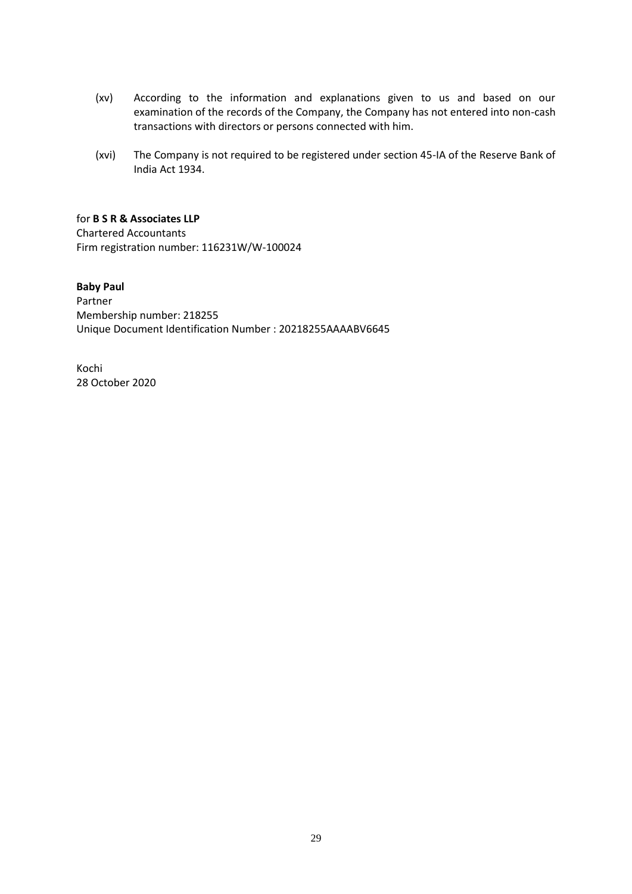- (xv) According to the information and explanations given to us and based on our examination of the records of the Company, the Company has not entered into non-cash transactions with directors or persons connected with him.
- (xvi) The Company is not required to be registered under section 45-IA of the Reserve Bank of India Act 1934.

# for **B S R & Associates LLP**

Chartered Accountants Firm registration number: 116231W/W-100024

# **Baby Paul**

Partner Membership number: 218255 Unique Document Identification Number : 20218255AAAABV6645

Kochi 28 October 2020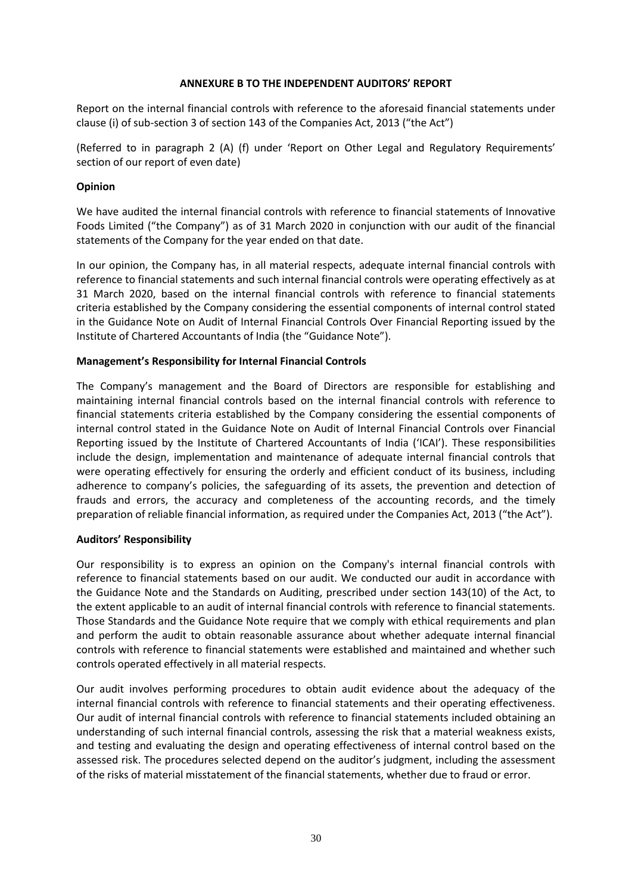#### **ANNEXURE B TO THE INDEPENDENT AUDITORS' REPORT**

Report on the internal financial controls with reference to the aforesaid financial statements under clause (i) of sub-section 3 of section 143 of the Companies Act, 2013 ("the Act")

(Referred to in paragraph 2 (A) (f) under 'Report on Other Legal and Regulatory Requirements' section of our report of even date)

# **Opinion**

We have audited the internal financial controls with reference to financial statements of Innovative Foods Limited ("the Company") as of 31 March 2020 in conjunction with our audit of the financial statements of the Company for the year ended on that date.

In our opinion, the Company has, in all material respects, adequate internal financial controls with reference to financial statements and such internal financial controls were operating effectively as at 31 March 2020, based on the internal financial controls with reference to financial statements criteria established by the Company considering the essential components of internal control stated in the Guidance Note on Audit of Internal Financial Controls Over Financial Reporting issued by the Institute of Chartered Accountants of India (the "Guidance Note").

# **Management's Responsibility for Internal Financial Controls**

The Company's management and the Board of Directors are responsible for establishing and maintaining internal financial controls based on the internal financial controls with reference to financial statements criteria established by the Company considering the essential components of internal control stated in the Guidance Note on Audit of Internal Financial Controls over Financial Reporting issued by the Institute of Chartered Accountants of India ('ICAI'). These responsibilities include the design, implementation and maintenance of adequate internal financial controls that were operating effectively for ensuring the orderly and efficient conduct of its business, including adherence to company's policies, the safeguarding of its assets, the prevention and detection of frauds and errors, the accuracy and completeness of the accounting records, and the timely preparation of reliable financial information, as required under the Companies Act, 2013 ("the Act").

# **Auditors' Responsibility**

Our responsibility is to express an opinion on the Company's internal financial controls with reference to financial statements based on our audit. We conducted our audit in accordance with the Guidance Note and the Standards on Auditing, prescribed under section 143(10) of the Act, to the extent applicable to an audit of internal financial controls with reference to financial statements. Those Standards and the Guidance Note require that we comply with ethical requirements and plan and perform the audit to obtain reasonable assurance about whether adequate internal financial controls with reference to financial statements were established and maintained and whether such controls operated effectively in all material respects.

Our audit involves performing procedures to obtain audit evidence about the adequacy of the internal financial controls with reference to financial statements and their operating effectiveness. Our audit of internal financial controls with reference to financial statements included obtaining an understanding of such internal financial controls, assessing the risk that a material weakness exists, and testing and evaluating the design and operating effectiveness of internal control based on the assessed risk. The procedures selected depend on the auditor's judgment, including the assessment of the risks of material misstatement of the financial statements, whether due to fraud or error.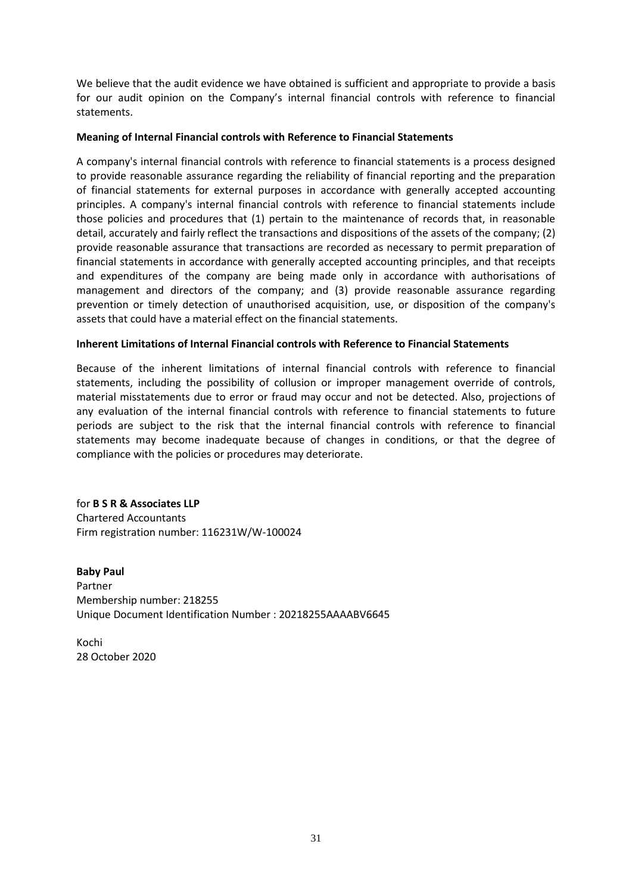We believe that the audit evidence we have obtained is sufficient and appropriate to provide a basis for our audit opinion on the Company's internal financial controls with reference to financial statements.

# **Meaning of Internal Financial controls with Reference to Financial Statements**

A company's internal financial controls with reference to financial statements is a process designed to provide reasonable assurance regarding the reliability of financial reporting and the preparation of financial statements for external purposes in accordance with generally accepted accounting principles. A company's internal financial controls with reference to financial statements include those policies and procedures that (1) pertain to the maintenance of records that, in reasonable detail, accurately and fairly reflect the transactions and dispositions of the assets of the company; (2) provide reasonable assurance that transactions are recorded as necessary to permit preparation of financial statements in accordance with generally accepted accounting principles, and that receipts and expenditures of the company are being made only in accordance with authorisations of management and directors of the company; and (3) provide reasonable assurance regarding prevention or timely detection of unauthorised acquisition, use, or disposition of the company's assets that could have a material effect on the financial statements.

# **Inherent Limitations of Internal Financial controls with Reference to Financial Statements**

Because of the inherent limitations of internal financial controls with reference to financial statements, including the possibility of collusion or improper management override of controls, material misstatements due to error or fraud may occur and not be detected. Also, projections of any evaluation of the internal financial controls with reference to financial statements to future periods are subject to the risk that the internal financial controls with reference to financial statements may become inadequate because of changes in conditions, or that the degree of compliance with the policies or procedures may deteriorate.

for **B S R & Associates LLP** Chartered Accountants Firm registration number: 116231W/W-100024

**Baby Paul** Partner Membership number: 218255 Unique Document Identification Number : 20218255AAAABV6645

Kochi 28 October 2020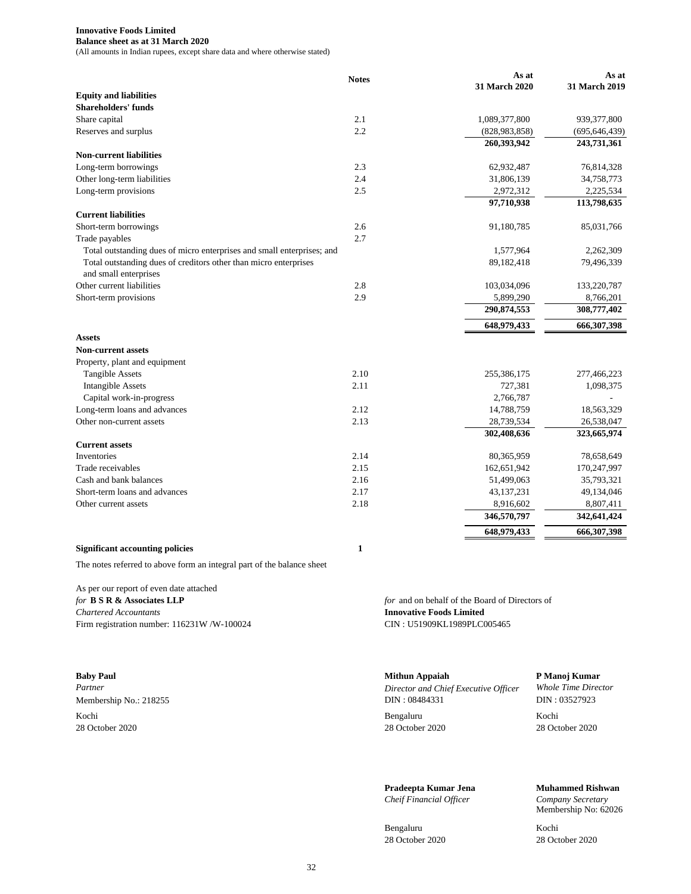**Balance sheet as at 31 March 2020**

(All amounts in Indian rupees, except share data and where otherwise stated)

|                                                                        | <b>Notes</b> | As at           | As at           |
|------------------------------------------------------------------------|--------------|-----------------|-----------------|
| <b>Equity and liabilities</b>                                          |              | 31 March 2020   | 31 March 2019   |
| <b>Shareholders' funds</b>                                             |              |                 |                 |
| Share capital                                                          | 2.1          | 1,089,377,800   | 939, 377, 800   |
| Reserves and surplus                                                   | 2.2          | (828, 983, 858) | (695, 646, 439) |
|                                                                        |              | 260,393,942     | 243,731,361     |
| <b>Non-current liabilities</b>                                         |              |                 |                 |
| Long-term borrowings                                                   | 2.3          | 62,932,487      | 76,814,328      |
| Other long-term liabilities                                            | 2.4          | 31,806,139      | 34,758,773      |
| Long-term provisions                                                   | 2.5          | 2,972,312       | 2,225,534       |
|                                                                        |              | 97,710,938      | 113,798,635     |
| <b>Current liabilities</b>                                             |              |                 |                 |
| Short-term borrowings                                                  | 2.6          | 91,180,785      | 85,031,766      |
| Trade payables                                                         | 2.7          |                 |                 |
| Total outstanding dues of micro enterprises and small enterprises; and |              | 1,577,964       | 2,262,309       |
| Total outstanding dues of creditors other than micro enterprises       |              | 89,182,418      | 79,496,339      |
| and small enterprises                                                  |              |                 |                 |
| Other current liabilities                                              | 2.8          | 103,034,096     | 133,220,787     |
| Short-term provisions                                                  | 2.9          | 5,899,290       | 8,766,201       |
|                                                                        |              | 290,874,553     | 308,777,402     |
|                                                                        |              | 648,979,433     | 666,307,398     |
| <b>Assets</b>                                                          |              |                 |                 |
| <b>Non-current assets</b>                                              |              |                 |                 |
| Property, plant and equipment                                          |              |                 |                 |
| <b>Tangible Assets</b>                                                 | 2.10         | 255,386,175     | 277,466,223     |
| <b>Intangible Assets</b>                                               | 2.11         | 727,381         | 1,098,375       |
| Capital work-in-progress                                               |              | 2,766,787       |                 |
| Long-term loans and advances                                           | 2.12         | 14,788,759      | 18,563,329      |
| Other non-current assets                                               | 2.13         | 28,739,534      | 26,538,047      |
|                                                                        |              | 302,408,636     | 323,665,974     |
| <b>Current assets</b>                                                  |              |                 |                 |
| Inventories                                                            | 2.14         | 80,365,959      | 78,658,649      |
| Trade receivables                                                      | 2.15         | 162,651,942     | 170,247,997     |
| Cash and bank balances                                                 | 2.16         | 51,499,063      | 35,793,321      |
| Short-term loans and advances                                          | 2.17         | 43,137,231      | 49,134,046      |
| Other current assets                                                   | 2.18         | 8,916,602       | 8,807,411       |
|                                                                        |              | 346,570,797     | 342,641,424     |
|                                                                        |              | 648,979,433     | 666,307,398     |

#### **Significant accounting policies 1**

The notes referred to above form an integral part of the balance sheet

As per our report of even date attached *for* **B S R & Associates LLP** *for* **and on behalf of the Board of Directors of** *Chartered Accountants* **Innovative Foods Limited** Firm registration number: 116231W /W-100024 CIN : U51909KL1989PLC005465

Membership No.: 218255 Kochi Bengaluru Kochi 28 October 2020 28 October 2020 28 October 2020

**Baby Paul Mithun Appaiah P Manoj Kumar** *Partner Whole Time Director Director and Chief Executive Officer*  DIN : 08484331

DIN : 03527923

# **Pradeepta Kumar Jena Muhammed Rishwan**

Bengaluru Kochi

*Cheif Financial Officer Company Secretary* Membership No: 62026

28 October 2020 28 October 2020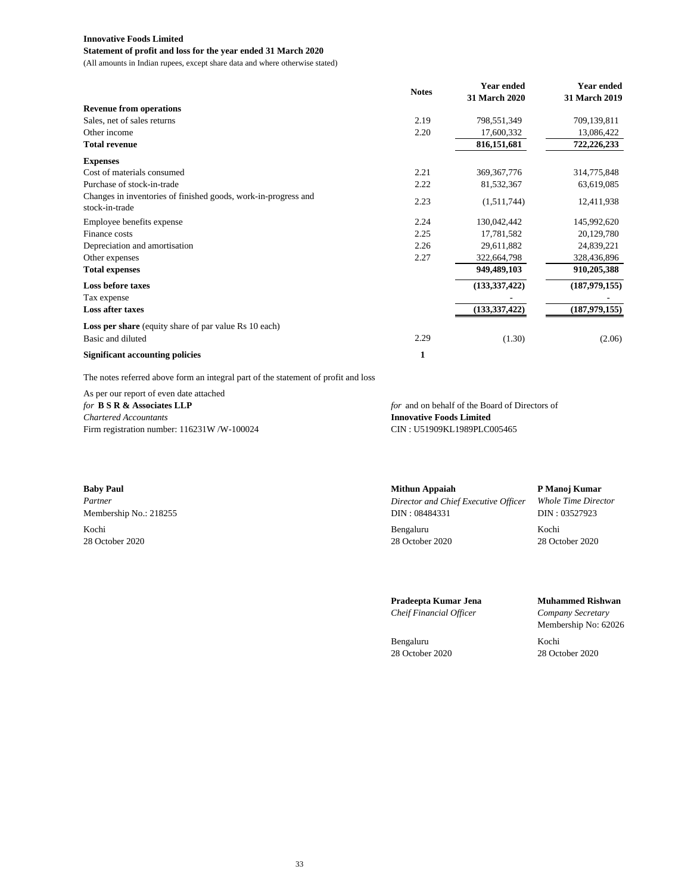#### **Statement of profit and loss for the year ended 31 March 2020**

(All amounts in Indian rupees, except share data and where otherwise stated)

|                                                                                  | <b>Notes</b> | <b>Year ended</b> | <b>Year ended</b>    |
|----------------------------------------------------------------------------------|--------------|-------------------|----------------------|
|                                                                                  |              | 31 March 2020     | <b>31 March 2019</b> |
| <b>Revenue from operations</b>                                                   |              |                   |                      |
| Sales, net of sales returns                                                      | 2.19         | 798,551,349       | 709,139,811          |
| Other income                                                                     | 2.20         | 17,600,332        | 13,086,422           |
| <b>Total revenue</b>                                                             |              | 816,151,681       | 722,226,233          |
| <b>Expenses</b>                                                                  |              |                   |                      |
| Cost of materials consumed                                                       | 2.21         | 369, 367, 776     | 314,775,848          |
| Purchase of stock-in-trade                                                       | 2.22         | 81,532,367        | 63,619,085           |
| Changes in inventories of finished goods, work-in-progress and<br>stock-in-trade | 2.23         | (1,511,744)       | 12,411,938           |
| Employee benefits expense                                                        | 2.24         | 130,042,442       | 145,992,620          |
| Finance costs                                                                    | 2.25         | 17,781,582        | 20,129,780           |
| Depreciation and amortisation                                                    | 2.26         | 29,611,882        | 24,839,221           |
| Other expenses                                                                   | 2.27         | 322,664,798       | 328,436,896          |
| <b>Total expenses</b>                                                            |              | 949,489,103       | 910,205,388          |
| <b>Loss before taxes</b>                                                         |              | (133, 337, 422)   | (187, 979, 155)      |
| Tax expense                                                                      |              |                   |                      |
| Loss after taxes                                                                 |              | (133, 337, 422)   | (187, 979, 155)      |
| <b>Loss per share</b> (equity share of par value Rs 10 each)                     |              |                   |                      |
| Basic and diluted                                                                | 2.29         | (1.30)            | (2.06)               |
| <b>Significant accounting policies</b>                                           | 1            |                   |                      |

The notes referred above form an integral part of the statement of profit and loss

As per our report of even date attached *for* **B S R & Associates LLP** *for* and on behalf of the Board of Directors of *Chartered Accountants* **Innovative Foods Limited** Firm registration number: 116231W /W-100024 CIN : U51909KL1989PLC005465

Membership No.: 218255 Kochi Bengaluru Kochi 28 October 2020 28 October 2020 28 October 2020

#### **Baby Paul P Manoj Kumar P Manoj Kumar P Manoj Kumar P Manoj Kumar P Manoj Kumar**

*Partner Whole Time Director Director and Chief Executive Officer*  DIN : 08484331

**Pradeepta Kumar Jena Muhammed Rishwan**

Bengaluru Kochi 28 October 2020 28 October 2020

DIN : 03527923

*Cheif Financial Officer Company Secretary* Membership No: 62026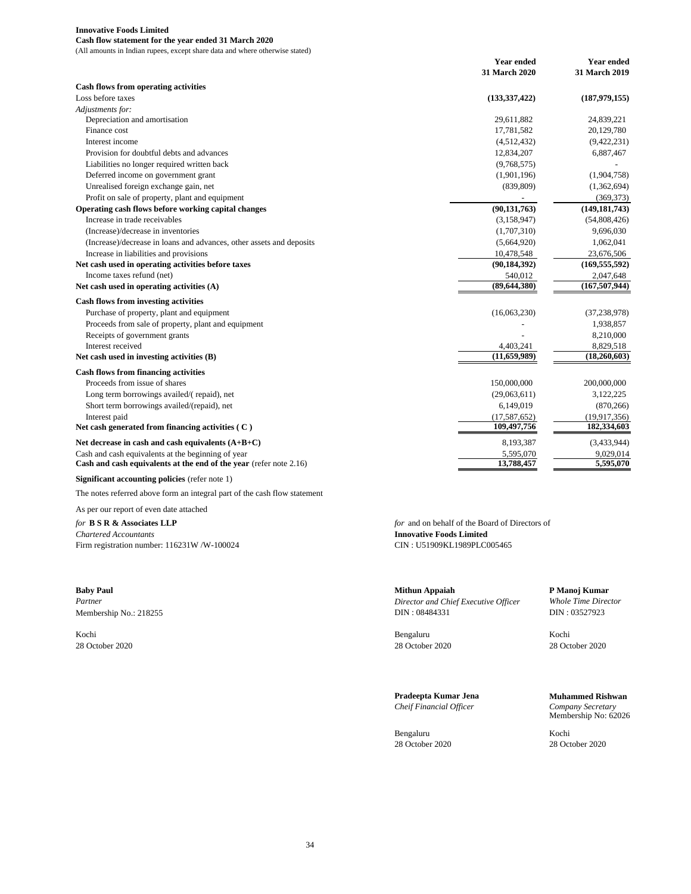**Cash flow statement for the year ended 31 March 2020** (All amounts in Indian rupees, except share data and where otherwise stated)

|                                                                      | <b>Year ended</b> | <b>Year ended</b> |
|----------------------------------------------------------------------|-------------------|-------------------|
|                                                                      | 31 March 2020     | 31 March 2019     |
| <b>Cash flows from operating activities</b>                          |                   |                   |
| Loss before taxes                                                    | (133, 337, 422)   | (187, 979, 155)   |
| Adjustments for:                                                     |                   |                   |
| Depreciation and amortisation                                        | 29,611,882        | 24,839,221        |
| Finance cost                                                         | 17,781,582        | 20,129,780        |
| Interest income                                                      | (4,512,432)       | (9,422,231)       |
| Provision for doubtful debts and advances                            | 12,834,207        | 6,887,467         |
| Liabilities no longer required written back                          | (9,768,575)       |                   |
| Deferred income on government grant                                  | (1,901,196)       | (1,904,758)       |
| Unrealised foreign exchange gain, net                                | (839, 809)        | (1,362,694)       |
| Profit on sale of property, plant and equipment                      |                   | (369, 373)        |
| Operating cash flows before working capital changes                  | (90, 131, 763)    | (149, 181, 743)   |
| Increase in trade receivables                                        | (3,158,947)       | (54,808,426)      |
| (Increase)/decrease in inventories                                   | (1,707,310)       | 9,696,030         |
| (Increase)/decrease in loans and advances, other assets and deposits | (5,664,920)       | 1,062,041         |
| Increase in liabilities and provisions                               | 10,478,548        | 23,676,506        |
| Net cash used in operating activities before taxes                   | (90, 184, 392)    | (169, 555, 592)   |
| Income taxes refund (net)                                            | 540,012           | 2,047,648         |
| Net cash used in operating activities (A)                            | (89, 644, 380)    | (167, 507, 944)   |
| <b>Cash flows from investing activities</b>                          |                   |                   |
| Purchase of property, plant and equipment                            | (16,063,230)      | (37, 238, 978)    |
| Proceeds from sale of property, plant and equipment                  |                   | 1,938,857         |
| Receipts of government grants                                        |                   | 8,210,000         |
| Interest received                                                    | 4,403,241         | 8,829,518         |
| Net cash used in investing activities (B)                            | (11,659,989)      | (18,260,603)      |
| <b>Cash flows from financing activities</b>                          |                   |                   |
| Proceeds from issue of shares                                        | 150,000,000       | 200,000,000       |
| Long term borrowings availed/(repaid), net                           | (29,063,611)      | 3,122,225         |
| Short term borrowings availed/(repaid), net                          | 6,149,019         | (870, 266)        |
| Interest paid                                                        | (17, 587, 652)    | (19, 917, 356)    |
| Net cash generated from financing activities (C)                     | 109,497,756       | 182,334,603       |
| Net decrease in cash and cash equivalents $(A+B+C)$                  | 8,193,387         | (3,433,944)       |
| Cash and cash equivalents at the beginning of year                   | 5,595,070         | 9,029,014         |
| Cash and cash equivalents at the end of the year (refer note 2.16)   | 13,788,457        | 5,595,070         |

#### **Significant accounting policies (refer note 1)**

The notes referred above form an integral part of the cash flow statement

As per our report of even date attached

Firm registration number: 116231W /W-100024 CIN : U51909KL1989PLC005465

Membership No.: 218255 DIN : 03527923

Kochi Bengaluru Kochi 28 October 2020 28 October 2020 28 October 2020

*for* **B S R & Associates LLP** *for* **and on behalf of the Board of Directors of** *for* and on behalf of the Board of Directors of *Chartered Accountants Chartered Accountants* **Innovative Foods Limited**

#### **Baby Paul Philade Paul P Manoj Kumar P Manoj Kumar P Manoj Kumar P Philade Paul P Manoj Kumar** *Partner Partner Whole Time Director Partner Partner Partner Partner Mole Time Director Partner Whole Time Director Director and Chief Executive Officer*

DIN : 08484331

 $Cheif Financial$ *Officer* 

Bengaluru Kochi

# **Pradeepta Kumar Jena Muhammed Rishwan**<br> *Company Secretary* Membership No: 62026

28 October 2020 28 October 2020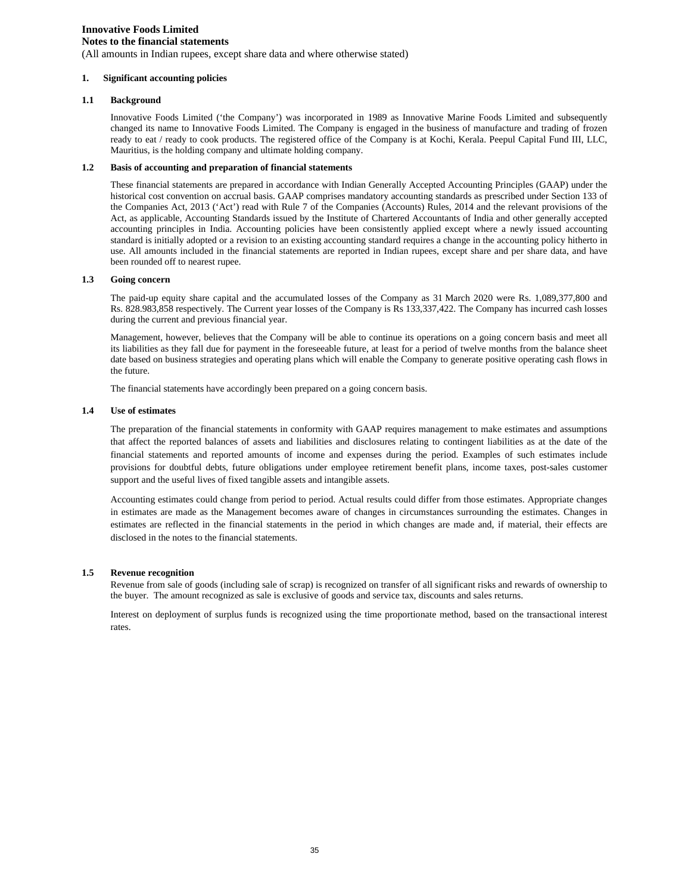#### **Innovative Foods Limited Notes to the financial statements**

(All amounts in Indian rupees, except share data and where otherwise stated)

#### **1. Significant accounting policies**

#### **1.1 Background**

Innovative Foods Limited ('the Company') was incorporated in 1989 as Innovative Marine Foods Limited and subsequently changed its name to Innovative Foods Limited. The Company is engaged in the business of manufacture and trading of frozen ready to eat / ready to cook products. The registered office of the Company is at Kochi, Kerala. Peepul Capital Fund III, LLC, Mauritius, is the holding company and ultimate holding company.

#### **1.2 Basis of accounting and preparation of financial statements**

These financial statements are prepared in accordance with Indian Generally Accepted Accounting Principles (GAAP) under the historical cost convention on accrual basis. GAAP comprises mandatory accounting standards as prescribed under Section 133 of the Companies Act, 2013 ('Act') read with Rule 7 of the Companies (Accounts) Rules, 2014 and the relevant provisions of the Act, as applicable, Accounting Standards issued by the Institute of Chartered Accountants of India and other generally accepted accounting principles in India. Accounting policies have been consistently applied except where a newly issued accounting standard is initially adopted or a revision to an existing accounting standard requires a change in the accounting policy hitherto in use. All amounts included in the financial statements are reported in Indian rupees, except share and per share data, and have been rounded off to nearest rupee.

#### **1.3 Going concern**

The paid-up equity share capital and the accumulated losses of the Company as 31 March 2020 were Rs. 1,089,377,800 and Rs. 828.983,858 respectively. The Current year losses of the Company is Rs 133,337,422. The Company has incurred cash losses during the current and previous financial year.

Management, however, believes that the Company will be able to continue its operations on a going concern basis and meet all its liabilities as they fall due for payment in the foreseeable future, at least for a period of twelve months from the balance sheet date based on business strategies and operating plans which will enable the Company to generate positive operating cash flows in the future.

The financial statements have accordingly been prepared on a going concern basis.

#### **1.4 Use of estimates**

The preparation of the financial statements in conformity with GAAP requires management to make estimates and assumptions that affect the reported balances of assets and liabilities and disclosures relating to contingent liabilities as at the date of the financial statements and reported amounts of income and expenses during the period. Examples of such estimates include provisions for doubtful debts, future obligations under employee retirement benefit plans, income taxes, post-sales customer support and the useful lives of fixed tangible assets and intangible assets.

Accounting estimates could change from period to period. Actual results could differ from those estimates. Appropriate changes in estimates are made as the Management becomes aware of changes in circumstances surrounding the estimates. Changes in estimates are reflected in the financial statements in the period in which changes are made and, if material, their effects are disclosed in the notes to the financial statements.

#### **1.5 Revenue recognition**

Revenue from sale of goods (including sale of scrap) is recognized on transfer of all significant risks and rewards of ownership to the buyer. The amount recognized as sale is exclusive of goods and service tax, discounts and sales returns.

Interest on deployment of surplus funds is recognized using the time proportionate method, based on the transactional interest rates.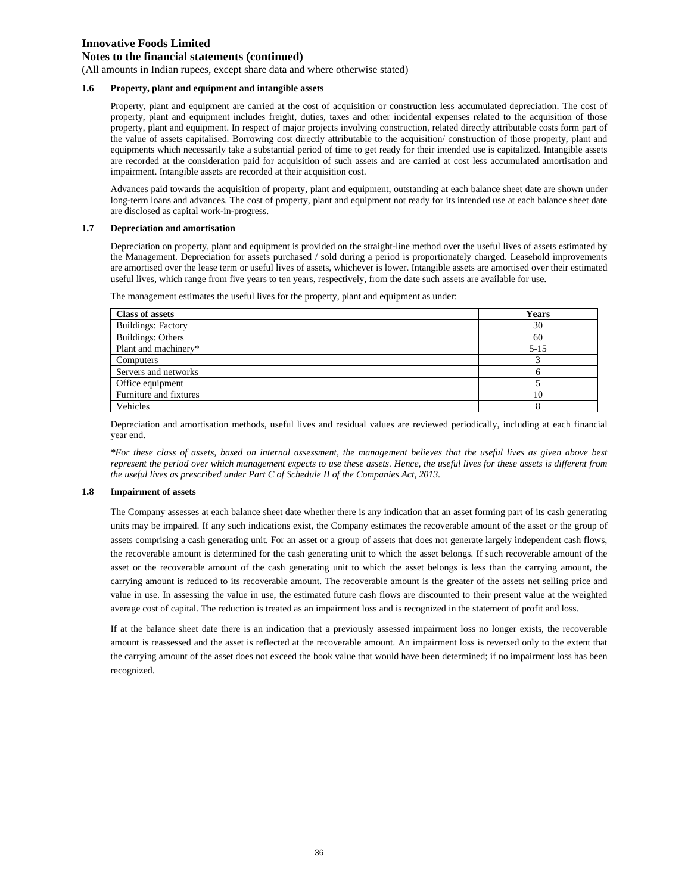#### **Notes to the financial statements (continued)**

(All amounts in Indian rupees, except share data and where otherwise stated)

#### **1.6 Property, plant and equipment and intangible assets**

Property, plant and equipment are carried at the cost of acquisition or construction less accumulated depreciation. The cost of property, plant and equipment includes freight, duties, taxes and other incidental expenses related to the acquisition of those property, plant and equipment. In respect of major projects involving construction, related directly attributable costs form part of the value of assets capitalised. Borrowing cost directly attributable to the acquisition/ construction of those property, plant and equipments which necessarily take a substantial period of time to get ready for their intended use is capitalized. Intangible assets are recorded at the consideration paid for acquisition of such assets and are carried at cost less accumulated amortisation and impairment. Intangible assets are recorded at their acquisition cost.

Advances paid towards the acquisition of property, plant and equipment, outstanding at each balance sheet date are shown under long-term loans and advances. The cost of property, plant and equipment not ready for its intended use at each balance sheet date are disclosed as capital work-in-progress.

#### **1.7 Depreciation and amortisation**

Depreciation on property, plant and equipment is provided on the straight-line method over the useful lives of assets estimated by the Management. Depreciation for assets purchased / sold during a period is proportionately charged. Leasehold improvements are amortised over the lease term or useful lives of assets, whichever is lower. Intangible assets are amortised over their estimated useful lives, which range from five years to ten years, respectively, from the date such assets are available for use.

The management estimates the useful lives for the property, plant and equipment as under:

| <b>Class of assets</b>    | Years    |
|---------------------------|----------|
| <b>Buildings: Factory</b> | 30       |
| Buildings: Others         | 60       |
| Plant and machinery*      | $5 - 15$ |
| Computers                 |          |
| Servers and networks      |          |
| Office equipment          |          |
| Furniture and fixtures    | 10       |
| Vehicles                  |          |

Depreciation and amortisation methods, useful lives and residual values are reviewed periodically, including at each financial year end.

*\*For these class of assets, based on internal assessment, the management believes that the useful lives as given above best represent the period over which management expects to use these assets. Hence, the useful lives for these assets is different from the useful lives as prescribed under Part C of Schedule II of the Companies Act, 2013*.

#### **1.8 Impairment of assets**

The Company assesses at each balance sheet date whether there is any indication that an asset forming part of its cash generating units may be impaired. If any such indications exist, the Company estimates the recoverable amount of the asset or the group of assets comprising a cash generating unit. For an asset or a group of assets that does not generate largely independent cash flows, the recoverable amount is determined for the cash generating unit to which the asset belongs. If such recoverable amount of the asset or the recoverable amount of the cash generating unit to which the asset belongs is less than the carrying amount, the carrying amount is reduced to its recoverable amount. The recoverable amount is the greater of the assets net selling price and value in use. In assessing the value in use, the estimated future cash flows are discounted to their present value at the weighted average cost of capital. The reduction is treated as an impairment loss and is recognized in the statement of profit and loss.

If at the balance sheet date there is an indication that a previously assessed impairment loss no longer exists, the recoverable amount is reassessed and the asset is reflected at the recoverable amount. An impairment loss is reversed only to the extent that the carrying amount of the asset does not exceed the book value that would have been determined; if no impairment loss has been recognized.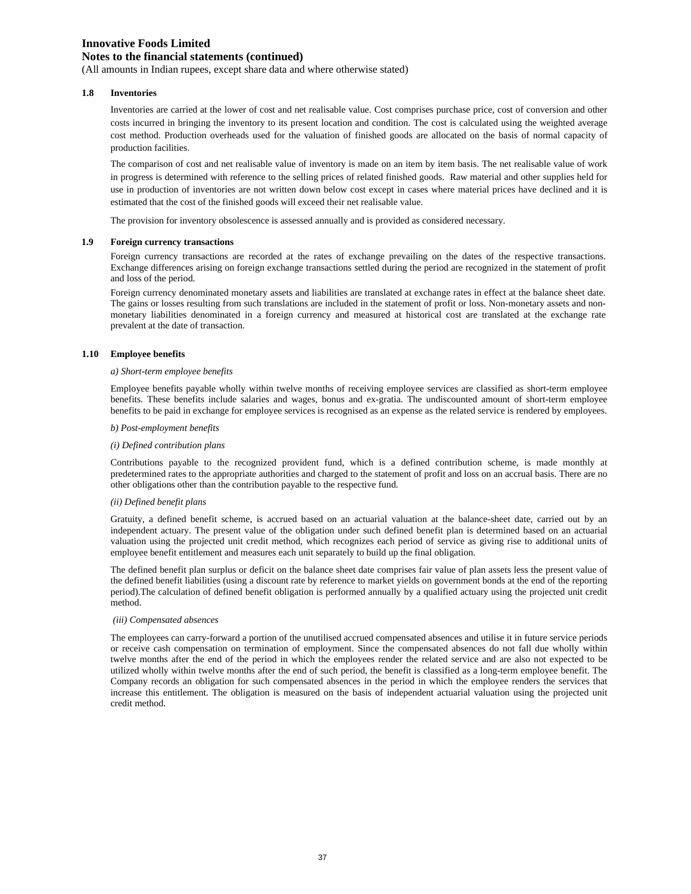#### **Notes to the financial statements (continued)**

(All amounts in Indian rupees, except share data and where otherwise stated)

#### **1.8 Inventories**

Inventories are carried at the lower of cost and net realisable value. Cost comprises purchase price, cost of conversion and other costs incurred in bringing the inventory to its present location and condition. The cost is calculated using the weighted average cost method. Production overheads used for the valuation of finished goods are allocated on the basis of normal capacity of production facilities.

The comparison of cost and net realisable value of inventory is made on an item by item basis. The net realisable value of work in progress is determined with reference to the selling prices of related finished goods. Raw material and other supplies held for use in production of inventories are not written down below cost except in cases where material prices have declined and it is estimated that the cost of the finished goods will exceed their net realisable value.

The provision for inventory obsolescence is assessed annually and is provided as considered necessary.

#### **1.9 Foreign currency transactions**

Foreign currency transactions are recorded at the rates of exchange prevailing on the dates of the respective transactions. Exchange differences arising on foreign exchange transactions settled during the period are recognized in the statement of profit and loss of the period.

Foreign currency denominated monetary assets and liabilities are translated at exchange rates in effect at the balance sheet date. The gains or losses resulting from such translations are included in the statement of profit or loss. Non-monetary assets and nonmonetary liabilities denominated in a foreign currency and measured at historical cost are translated at the exchange rate prevalent at the date of transaction.

#### **1.10 Employee benefits**

#### *a) Short-term employee benefits*

Employee benefits payable wholly within twelve months of receiving employee services are classified as short-term employee benefits. These benefits include salaries and wages, bonus and ex-gratia. The undiscounted amount of short-term employee benefits to be paid in exchange for employee services is recognised as an expense as the related service is rendered by employees.

#### *b) Post-employment benefits*

#### *(i) Defined contribution plans*

Contributions payable to the recognized provident fund, which is a defined contribution scheme, is made monthly at predetermined rates to the appropriate authorities and charged to the statement of profit and loss on an accrual basis. There are no other obligations other than the contribution payable to the respective fund.

#### *(ii) Defined benefit plans*

Gratuity, a defined benefit scheme, is accrued based on an actuarial valuation at the balance-sheet date, carried out by an independent actuary. The present value of the obligation under such defined benefit plan is determined based on an actuarial valuation using the projected unit credit method, which recognizes each period of service as giving rise to additional units of employee benefit entitlement and measures each unit separately to build up the final obligation.

The defined benefit plan surplus or deficit on the balance sheet date comprises fair value of plan assets less the present value of the defined benefit liabilities (using a discount rate by reference to market yields on government bonds at the end of the reporting period).The calculation of defined benefit obligation is performed annually by a qualified actuary using the projected unit credit method.

#### *(iii) Compensated absences*

The employees can carry-forward a portion of the unutilised accrued compensated absences and utilise it in future service periods or receive cash compensation on termination of employment. Since the compensated absences do not fall due wholly within twelve months after the end of the period in which the employees render the related service and are also not expected to be utilized wholly within twelve months after the end of such period, the benefit is classified as a long-term employee benefit. The Company records an obligation for such compensated absences in the period in which the employee renders the services that increase this entitlement. The obligation is measured on the basis of independent actuarial valuation using the projected unit credit method.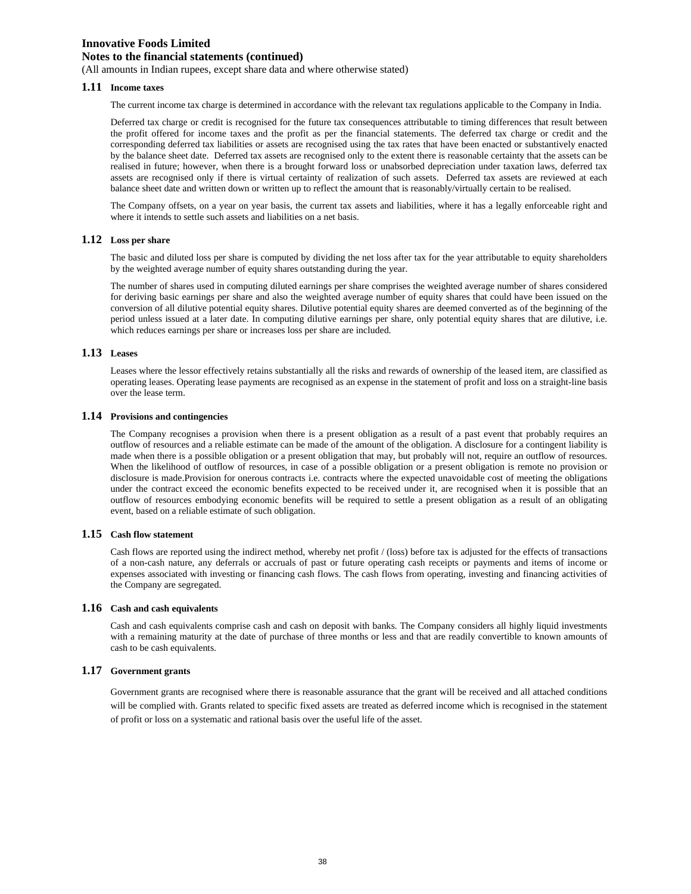#### **Notes to the financial statements (continued)**

(All amounts in Indian rupees, except share data and where otherwise stated)

#### **1.11 Income taxes**

The current income tax charge is determined in accordance with the relevant tax regulations applicable to the Company in India.

Deferred tax charge or credit is recognised for the future tax consequences attributable to timing differences that result between the profit offered for income taxes and the profit as per the financial statements. The deferred tax charge or credit and the corresponding deferred tax liabilities or assets are recognised using the tax rates that have been enacted or substantively enacted by the balance sheet date. Deferred tax assets are recognised only to the extent there is reasonable certainty that the assets can be realised in future; however, when there is a brought forward loss or unabsorbed depreciation under taxation laws, deferred tax assets are recognised only if there is virtual certainty of realization of such assets. Deferred tax assets are reviewed at each balance sheet date and written down or written up to reflect the amount that is reasonably/virtually certain to be realised.

The Company offsets, on a year on year basis, the current tax assets and liabilities, where it has a legally enforceable right and where it intends to settle such assets and liabilities on a net basis.

#### **1.12 Loss per share**

The basic and diluted loss per share is computed by dividing the net loss after tax for the year attributable to equity shareholders by the weighted average number of equity shares outstanding during the year.

The number of shares used in computing diluted earnings per share comprises the weighted average number of shares considered for deriving basic earnings per share and also the weighted average number of equity shares that could have been issued on the conversion of all dilutive potential equity shares. Dilutive potential equity shares are deemed converted as of the beginning of the period unless issued at a later date. In computing dilutive earnings per share, only potential equity shares that are dilutive, i.e. which reduces earnings per share or increases loss per share are included.

#### **1.13 Leases**

Leases where the lessor effectively retains substantially all the risks and rewards of ownership of the leased item, are classified as operating leases. Operating lease payments are recognised as an expense in the statement of profit and loss on a straight-line basis over the lease term.

#### **1.14 Provisions and contingencies**

The Company recognises a provision when there is a present obligation as a result of a past event that probably requires an outflow of resources and a reliable estimate can be made of the amount of the obligation. A disclosure for a contingent liability is made when there is a possible obligation or a present obligation that may, but probably will not, require an outflow of resources. When the likelihood of outflow of resources, in case of a possible obligation or a present obligation is remote no provision or disclosure is made.Provision for onerous contracts i.e. contracts where the expected unavoidable cost of meeting the obligations under the contract exceed the economic benefits expected to be received under it, are recognised when it is possible that an outflow of resources embodying economic benefits will be required to settle a present obligation as a result of an obligating event, based on a reliable estimate of such obligation.

#### **1.15 Cash flow statement**

Cash flows are reported using the indirect method, whereby net profit / (loss) before tax is adjusted for the effects of transactions of a non-cash nature, any deferrals or accruals of past or future operating cash receipts or payments and items of income or expenses associated with investing or financing cash flows. The cash flows from operating, investing and financing activities of the Company are segregated.

#### **1.16 Cash and cash equivalents**

Cash and cash equivalents comprise cash and cash on deposit with banks. The Company considers all highly liquid investments with a remaining maturity at the date of purchase of three months or less and that are readily convertible to known amounts of cash to be cash equivalents.

#### **1.17 Government grants**

Government grants are recognised where there is reasonable assurance that the grant will be received and all attached conditions will be complied with. Grants related to specific fixed assets are treated as deferred income which is recognised in the statement of profit or loss on a systematic and rational basis over the useful life of the asset.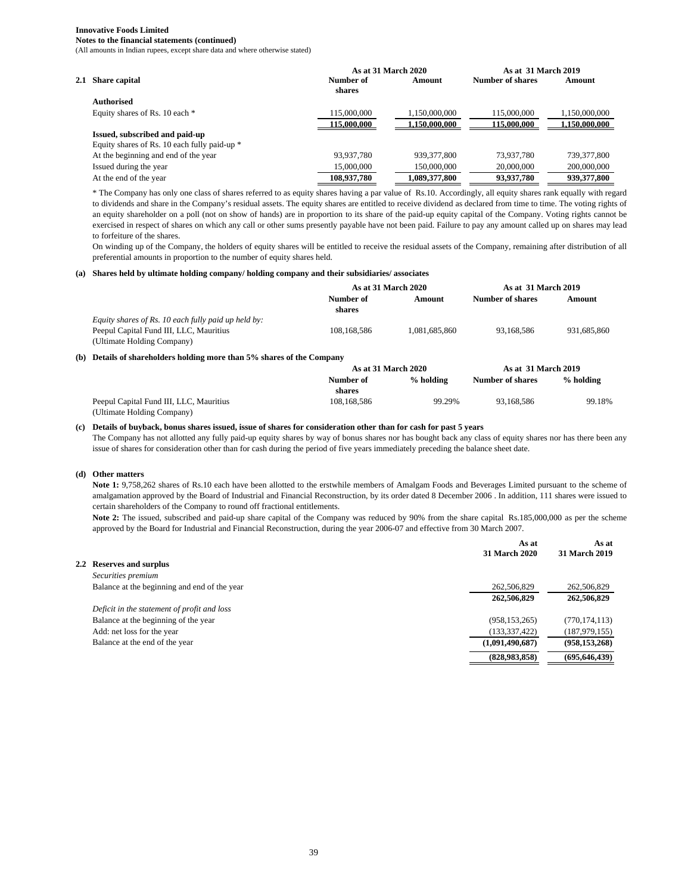**Notes to the financial statements (continued)** (All amounts in Indian rupees, except share data and where otherwise stated)

|                                              | As at 31 March 2020 |               | As at 31 March 2019 |               |
|----------------------------------------------|---------------------|---------------|---------------------|---------------|
| 2.1 Share capital                            | Number of           | Amount        | Number of shares    | Amount        |
|                                              | shares              |               |                     |               |
| Authorised                                   |                     |               |                     |               |
| Equity shares of Rs. 10 each $*$             | 115,000,000         | 1.150.000.000 | 115,000,000         | 1,150,000,000 |
|                                              | 115,000,000         | 1.150.000.000 | 115,000,000         | 1,150,000,000 |
| Issued, subscribed and paid-up               |                     |               |                     |               |
| Equity shares of Rs. 10 each fully paid-up * |                     |               |                     |               |
| At the beginning and end of the year         | 93,937,780          | 939.377.800   | 73.937.780          | 739,377,800   |
| Issued during the year                       | 15,000,000          | 150,000,000   | 20,000,000          | 200,000,000   |
| At the end of the year                       | 108,937,780         | 1,089,377,800 | 93,937,780          | 939,377,800   |

\* The Company has only one class of shares referred to as equity shares having a par value of Rs.10. Accordingly, all equity shares rank equally with regard to dividends and share in the Company's residual assets. The equity shares are entitled to receive dividend as declared from time to time. The voting rights of an equity shareholder on a poll (not on show of hands) are in proportion to its share of the paid-up equity capital of the Company. Voting rights cannot be exercised in respect of shares on which any call or other sums presently payable have not been paid. Failure to pay any amount called up on shares may lead to forfeiture of the shares.

On winding up of the Company, the holders of equity shares will be entitled to receive the residual assets of the Company, remaining after distribution of all preferential amounts in proportion to the number of equity shares held.

#### **(a) Shares held by ultimate holding company/ holding company and their subsidiaries/ associates**

|                                                                                                                              | As at 31 March 2020 |               | As at 31 March 2019 |             |
|------------------------------------------------------------------------------------------------------------------------------|---------------------|---------------|---------------------|-------------|
|                                                                                                                              | Number of<br>shares | Amount        | Number of shares    | Amount      |
| Equity shares of Rs. 10 each fully paid up held by:<br>Peepul Capital Fund III, LLC, Mauritius<br>(Ultimate Holding Company) | 108,168,586         | 1.081.685.860 | 93.168.586          | 931,685,860 |
| (b) Details of shareholders holding more than 5% shares of the Company                                                       |                     |               |                     |             |

 **Number of shares % holding Number of shares % holding**  Peepul Capital Fund III, LLC, Mauritius 108,168,586 99.29% 93,168,586 99.18% **As at 31 March 2020 As at 31 March 2019**

(Ultimate Holding Company)

#### **(c) Details of buyback, bonus shares issued, issue of shares for consideration other than for cash for past 5 years**

The Company has not allotted any fully paid-up equity shares by way of bonus shares nor has bought back any class of equity shares nor has there been any issue of shares for consideration other than for cash during the period of five years immediately preceding the balance sheet date.

#### **(d) Other matters**

Note 1: 9,758,262 shares of Rs.10 each have been allotted to the erstwhile members of Amalgam Foods and Beverages Limited pursuant to the scheme of amalgamation approved by the Board of Industrial and Financial Reconstruction, by its order dated 8 December 2006 . In addition, 111 shares were issued to certain shareholders of the Company to round off fractional entitlements.

**Note 2:** The issued, subscribed and paid-up share capital of the Company was reduced by 90% from the share capital Rs.185,000,000 as per the scheme approved by the Board for Industrial and Financial Reconstruction, during the year 2006-07 and effective from 30 March 2007.

|                                              | As at           | As at           |
|----------------------------------------------|-----------------|-----------------|
|                                              | 31 March 2020   | 31 March 2019   |
| 2.2 Reserves and surplus                     |                 |                 |
| Securities premium                           |                 |                 |
| Balance at the beginning and end of the year | 262,506,829     | 262,506,829     |
|                                              | 262,506,829     | 262,506,829     |
| Deficit in the statement of profit and loss  |                 |                 |
| Balance at the beginning of the year         | (958, 153, 265) | (770, 174, 113) |
| Add: net loss for the year                   | (133, 337, 422) | (187, 979, 155) |
| Balance at the end of the year               | (1,091,490,687) | (958, 153, 268) |
|                                              | (828, 983, 858) | (695, 646, 439) |
|                                              |                 |                 |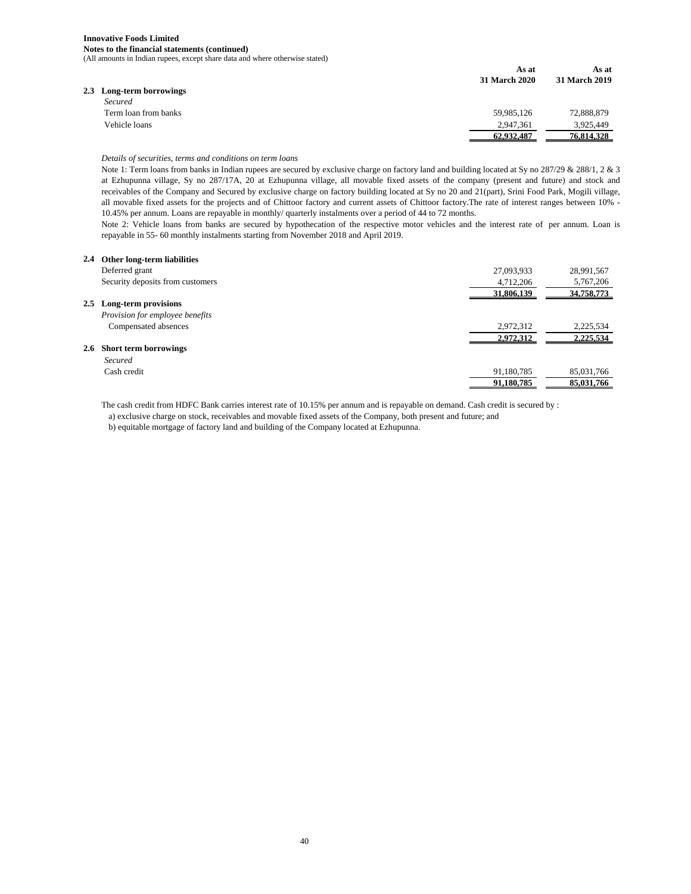#### **Innovative Foods Limited Notes to the financial statements (continued)**

(All amounts in Indian rupees, except share data and where otherwise stated)

|                          | As at                | As at                |
|--------------------------|----------------------|----------------------|
|                          | <b>31 March 2020</b> | <b>31 March 2019</b> |
| 2.3 Long-term borrowings |                      |                      |
| <b>Secured</b>           |                      |                      |
| Term loan from banks     | 59,985,126           | 72,888,879           |
| Vehicle loans            | 2,947,361            | 3,925,449            |
|                          | 62.932.487           | 76,814,328           |

#### *Details of securities, terms and conditions on term loans*

Note 1: Term loans from banks in Indian rupees are secured by exclusive charge on factory land and building located at Sy no 287/29 & 288/1, 2 & 3 at Ezhupunna village, Sy no 287/17A, 20 at Ezhupunna village, all movable fixed assets of the company (present and future) and stock and receivables of the Company and Secured by exclusive charge on factory building located at Sy no 20 and 21(part), Srini Food Park, Mogili village, all movable fixed assets for the projects and of Chittoor factory and current assets of Chittoor factory.The rate of interest ranges between 10% - 10.45% per annum. Loans are repayable in monthly/ quarterly instalments over a period of 44 to 72 months.

Note 2: Vehicle loans from banks are secured by hypothecation of the respective motor vehicles and the interest rate of per annum. Loan is repayable in 55- 60 monthly instalments starting from November 2018 and April 2019.

|     | 2.4 Other long-term liabilities  |            |            |
|-----|----------------------------------|------------|------------|
|     | Deferred grant                   | 27,093,933 | 28,991,567 |
|     | Security deposits from customers | 4,712,206  | 5,767,206  |
|     |                                  | 31,806,139 | 34,758,773 |
| 2.5 | Long-term provisions             |            |            |
|     | Provision for employee benefits  |            |            |
|     | Compensated absences             | 2,972,312  | 2,225,534  |
|     |                                  | 2,972,312  | 2,225,534  |
|     | 2.6 Short term borrowings        |            |            |
|     | <b>Secured</b>                   |            |            |
|     | Cash credit                      | 91,180,785 | 85,031,766 |
|     |                                  | 91,180,785 | 85,031,766 |
|     |                                  |            |            |

The cash credit from HDFC Bank carries interest rate of 10.15% per annum and is repayable on demand. Cash credit is secured by :

a) exclusive charge on stock, receivables and movable fixed assets of the Company, both present and future; and

b) equitable mortgage of factory land and building of the Company located at Ezhupunna.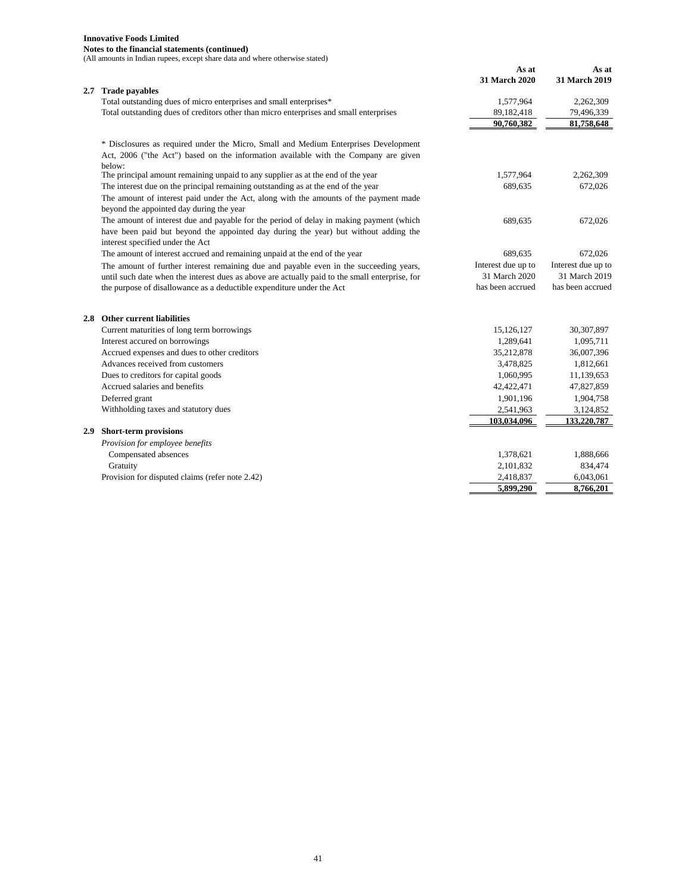**Notes to the financial statements (continued)**

(All amounts in Indian rupees, except share data and where otherwise stated)

|                  |                                                                                                | As at              | As at              |
|------------------|------------------------------------------------------------------------------------------------|--------------------|--------------------|
|                  |                                                                                                | 31 March 2020      | 31 March 2019      |
| 2.7              | <b>Trade payables</b>                                                                          |                    |                    |
|                  | Total outstanding dues of micro enterprises and small enterprises*                             | 1,577,964          | 2,262,309          |
|                  | Total outstanding dues of creditors other than micro enterprises and small enterprises         | 89,182,418         | 79,496,339         |
|                  |                                                                                                | 90,760,382         | 81,758,648         |
|                  | * Disclosures as required under the Micro, Small and Medium Enterprises Development            |                    |                    |
|                  | Act, 2006 ("the Act") based on the information available with the Company are given            |                    |                    |
|                  | below:                                                                                         |                    |                    |
|                  | The principal amount remaining unpaid to any supplier as at the end of the year                | 1,577,964          | 2,262,309          |
|                  | The interest due on the principal remaining outstanding as at the end of the year              | 689,635            | 672,026            |
|                  | The amount of interest paid under the Act, along with the amounts of the payment made          |                    |                    |
|                  | beyond the appointed day during the year                                                       |                    |                    |
|                  | The amount of interest due and payable for the period of delay in making payment (which        | 689,635            | 672,026            |
|                  | have been paid but beyond the appointed day during the year) but without adding the            |                    |                    |
|                  | interest specified under the Act                                                               |                    |                    |
|                  | The amount of interest accrued and remaining unpaid at the end of the year                     | 689,635            | 672,026            |
|                  | The amount of further interest remaining due and payable even in the succeeding years,         | Interest due up to | Interest due up to |
|                  | until such date when the interest dues as above are actually paid to the small enterprise, for | 31 March 2020      | 31 March 2019      |
|                  | the purpose of disallowance as a deductible expenditure under the Act                          | has been accrued   | has been accrued   |
| 2.8              | Other current liabilities                                                                      |                    |                    |
|                  | Current maturities of long term borrowings                                                     | 15,126,127         | 30,307,897         |
|                  | Interest accured on borrowings                                                                 | 1,289,641          | 1,095,711          |
|                  | Accrued expenses and dues to other creditors                                                   | 35,212,878         | 36,007,396         |
|                  | Advances received from customers                                                               | 3,478,825          | 1,812,661          |
|                  | Dues to creditors for capital goods                                                            | 1,060,995          | 11,139,653         |
|                  | Accrued salaries and benefits                                                                  | 42,422,471         | 47,827,859         |
|                  | Deferred grant                                                                                 | 1,901,196          | 1,904,758          |
|                  | Withholding taxes and statutory dues                                                           | 2,541,963          | 3,124,852          |
|                  |                                                                                                | 103,034,096        | 133,220,787        |
| 2.9 <sub>1</sub> | <b>Short-term provisions</b>                                                                   |                    |                    |
|                  | Provision for employee benefits                                                                |                    |                    |
|                  | Compensated absences                                                                           | 1,378,621          | 1,888,666          |
|                  | Gratuity                                                                                       | 2,101,832          | 834,474            |
|                  | Provision for disputed claims (refer note 2.42)                                                | 2,418,837          | 6,043,061          |
|                  |                                                                                                | 5,899,290          | 8,766,201          |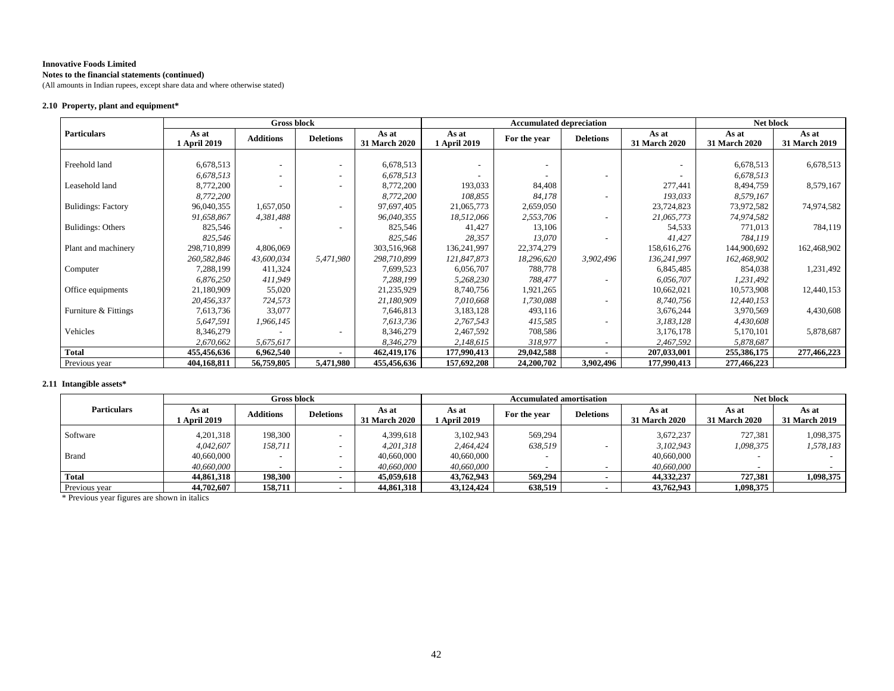#### **Notes to the financial statements (continued)**

(All amounts in Indian rupees, except share data and where otherwise stated)

#### **2.10 Property, plant and equipment\***

|                           |                       | <b>Gross block</b>       |                  |                        |                       | <b>Accumulated depreciation</b> |                  |                        | Net block              |                        |  |
|---------------------------|-----------------------|--------------------------|------------------|------------------------|-----------------------|---------------------------------|------------------|------------------------|------------------------|------------------------|--|
| <b>Particulars</b>        | As at<br>1 April 2019 | <b>Additions</b>         | <b>Deletions</b> | As at<br>31 March 2020 | As at<br>1 April 2019 | For the year                    | <b>Deletions</b> | As at<br>31 March 2020 | As at<br>31 March 2020 | As at<br>31 March 2019 |  |
|                           |                       |                          |                  |                        |                       |                                 |                  |                        |                        |                        |  |
| Freehold land             | 6,678,513             | $\overline{\phantom{a}}$ |                  | 6,678,513              |                       |                                 |                  |                        | 6,678,513              | 6,678,513              |  |
|                           | 6,678,513             | $\overline{\phantom{a}}$ |                  | 6,678,513              |                       |                                 |                  |                        | 6,678,513              |                        |  |
| Leasehold land            | 8,772,200             | $\overline{\phantom{a}}$ |                  | 8,772,200              | 193,033               | 84,408                          |                  | 277,441                | 8,494,759              | 8,579,167              |  |
|                           | 8,772,200             |                          |                  | 8,772,200              | 108,855               | 84,178                          |                  | 193,033                | 8,579,167              |                        |  |
| <b>Bulidings: Factory</b> | 96,040,355            | 1,657,050                |                  | 97,697,405             | 21,065,773            | 2,659,050                       |                  | 23,724,823             | 73,972,582             | 74,974,582             |  |
|                           | 91,658,867            | 4,381,488                |                  | 96,040,355             | 18,512,066            | 2,553,706                       |                  | 21,065,773             | 74,974,582             |                        |  |
| Bulidings: Others         | 825,546               |                          |                  | 825,546                | 41,427                | 13,106                          |                  | 54,533                 | 771,013                | 784,119                |  |
|                           | 825,546               |                          |                  | 825,546                | 28,357                | 13,070                          |                  | 41,427                 | 784,119                |                        |  |
| Plant and machinery       | 298,710,899           | 4,806,069                |                  | 303,516,968            | 136,241,997           | 22,374,279                      |                  | 158,616,276            | 144,900,692            | 162,468,902            |  |
|                           | 260,582,846           | 43,600,034               | 5,471,980        | 298,710,899            | 121,847,873           | 18,296,620                      | 3,902,496        | 136,241,997            | 162,468,902            |                        |  |
| Computer                  | 7,288,199             | 411,324                  |                  | 7,699,523              | 6,056,707             | 788,778                         |                  | 6,845,485              | 854,038                | 1,231,492              |  |
|                           | 6,876,250             | 411,949                  |                  | 7,288,199              | 5,268,230             | 788,477                         |                  | 6,056,707              | 1,231,492              |                        |  |
| Office equipments         | 21,180,909            | 55,020                   |                  | 21,235,929             | 8,740,756             | 1,921,265                       |                  | 10,662,021             | 10,573,908             | 12,440,153             |  |
|                           | 20,456,337            | 724,573                  |                  | 21,180,909             | 7,010,668             | 1,730,088                       |                  | 8,740,756              | 12,440,153             |                        |  |
| Furniture & Fittings      | 7,613,736             | 33,077                   |                  | 7,646,813              | 3,183,128             | 493,116                         |                  | 3,676,244              | 3,970,569              | 4,430,608              |  |
|                           | 5,647,591             | 1,966,145                |                  | 7,613,736              | 2,767,543             | 415,585                         |                  | 3,183,128              | 4,430,608              |                        |  |
| Vehicles                  | 8,346,279             |                          |                  | 8,346,279              | 2,467,592             | 708,586                         |                  | 3,176,178              | 5,170,101              | 5,878,687              |  |
|                           | 2,670,662             | 5,675,617                |                  | 8,346,279              | 2,148,615             | 318,977                         |                  | 2,467,592              | 5,878,687              |                        |  |
| <b>Total</b>              | 455,456,636           | 6,962,540                |                  | 462,419,176            | 177,990,413           | 29,042,588                      |                  | 207,033,001            | 255,386,175            | 277,466,223            |  |
| Previous year             | 404,168,811           | 56,759,805               | 5,471,980        | 455,456,636            | 157,692,208           | 24,200,702                      | 3,902,496        | 177,990,413            | 277,466,223            |                        |  |

#### **2.11 Intangible assets\***

|                    |                       | <b>Gross block</b> |                  |                        |                       | <b>Accumulated amortisation</b> |                  |                               | Net block                     |                        |
|--------------------|-----------------------|--------------------|------------------|------------------------|-----------------------|---------------------------------|------------------|-------------------------------|-------------------------------|------------------------|
| <b>Particulars</b> | As at<br>1 April 2019 | <b>Additions</b>   | <b>Deletions</b> | As at<br>31 March 2020 | As at<br>1 April 2019 | For the year                    | <b>Deletions</b> | As at<br><b>31 March 2020</b> | As at<br><b>31 March 2020</b> | As at<br>31 March 2019 |
| Software           | 4,201,318             | 198,300            |                  | 4,399,618              | 3,102,943             | 569,294                         |                  | 3,672,237                     | 727.381                       | 1,098,375              |
|                    | 4,042,607             | 158.711            |                  | 4,201,318              | 2,464,424             | 638.519                         |                  | 3,102,943                     | 1,098,375                     | 1,578,183              |
| Brand              | 40,660,000            |                    |                  | 40,660,000             | 40,660,000            |                                 |                  | 40,660,000                    |                               |                        |
|                    | 40,660,000            |                    |                  | 40,660,000             | 40,660,000            |                                 |                  | 40,660,000                    |                               |                        |
| <b>Total</b>       | 44,861,318            | 198,300            |                  | 45,059,618             | 43,762,943            | 569,294                         |                  | 44,332,237                    | 727.381                       | 1,098,375              |
| Previous year      | 44,702,607            | 158,711            |                  | 44,861,318             | 43,124,424            | 638,519                         |                  | 43,762,943                    | 1,098,375                     |                        |

\* Previous year figures are shown in italics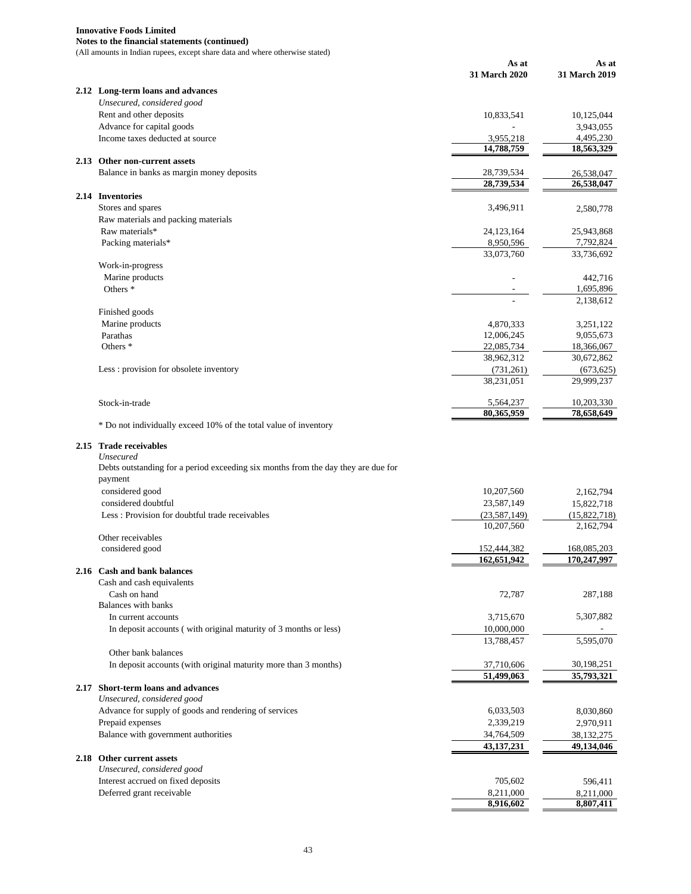#### **Innovative Foods Limited Notes to the financial statements (continued)**

(All amounts in Indian rupees, except share data and where otherwise stated)

|                                                                                   | As at                    | As at                    |
|-----------------------------------------------------------------------------------|--------------------------|--------------------------|
|                                                                                   | 31 March 2020            | <b>31 March 2019</b>     |
| 2.12 Long-term loans and advances                                                 |                          |                          |
| Unsecured, considered good                                                        |                          |                          |
| Rent and other deposits                                                           | 10,833,541               | 10,125,044               |
| Advance for capital goods                                                         |                          | 3,943,055                |
| Income taxes deducted at source                                                   | 3,955,218                | 4,495,230                |
|                                                                                   | 14,788,759               | 18,563,329               |
| 2.13 Other non-current assets                                                     |                          |                          |
| Balance in banks as margin money deposits                                         | 28,739,534               |                          |
|                                                                                   | 28,739,534               | 26,538,047<br>26,538,047 |
| 2.14 Inventories                                                                  |                          |                          |
|                                                                                   |                          |                          |
| Stores and spares                                                                 | 3,496,911                | 2,580,778                |
| Raw materials and packing materials                                               |                          |                          |
| Raw materials*                                                                    | 24, 123, 164             | 25,943,868               |
| Packing materials*                                                                | 8,950,596                | 7,792,824                |
|                                                                                   | 33,073,760               | 33,736,692               |
| Work-in-progress                                                                  |                          |                          |
| Marine products                                                                   |                          | 442,716                  |
| Others <sup>*</sup>                                                               |                          | 1,695,896                |
|                                                                                   |                          | 2,138,612                |
| Finished goods                                                                    |                          |                          |
| Marine products                                                                   | 4,870,333                | 3,251,122                |
| Parathas                                                                          | 12,006,245               | 9,055,673                |
| Others $*$                                                                        | 22,085,734               | 18,366,067               |
|                                                                                   | 38,962,312               | 30,672,862               |
| Less: provision for obsolete inventory                                            | (731,261)                | (673, 625)               |
|                                                                                   | 38,231,051               | 29,999,237               |
|                                                                                   |                          |                          |
| Stock-in-trade                                                                    | 5,564,237                | 10,203,330<br>78,658,649 |
|                                                                                   | 80,365,959               |                          |
| * Do not individually exceed 10% of the total value of inventory                  |                          |                          |
| 2.15 Trade receivables                                                            |                          |                          |
| <b>Unsecured</b>                                                                  |                          |                          |
| Debts outstanding for a period exceeding six months from the day they are due for |                          |                          |
| payment                                                                           |                          |                          |
| considered good                                                                   | 10,207,560               | 2,162,794                |
| considered doubtful                                                               | 23,587,149               | 15,822,718               |
| Less: Provision for doubtful trade receivables                                    | (23, 587, 149)           | (15,822,718)             |
|                                                                                   | 10,207,560               | 2,162,794                |
| Other receivables                                                                 |                          |                          |
| considered good                                                                   | 152,444,382              | 168,085,203              |
|                                                                                   | 162,651,942              | 170,247,997              |
| 2.16 Cash and bank balances                                                       |                          |                          |
| Cash and cash equivalents                                                         |                          |                          |
| Cash on hand                                                                      | 72,787                   | 287,188                  |
| Balances with banks                                                               |                          |                          |
| In current accounts                                                               | 3,715,670                | 5,307,882                |
| In deposit accounts (with original maturity of 3 months or less)                  |                          |                          |
|                                                                                   | 10,000,000<br>13,788,457 |                          |
|                                                                                   |                          | 5,595,070                |
| Other bank balances                                                               |                          |                          |
| In deposit accounts (with original maturity more than 3 months)                   | 37,710,606               | 30,198,251               |
|                                                                                   | 51,499,063               | 35,793,321               |
| 2.17 Short-term loans and advances                                                |                          |                          |
| Unsecured, considered good                                                        |                          |                          |
| Advance for supply of goods and rendering of services                             | 6,033,503                | 8,030,860                |
| Prepaid expenses                                                                  | 2,339,219                | 2,970,911                |
| Balance with government authorities                                               | 34,764,509               | 38, 132, 275             |
|                                                                                   | 43, 137, 231             | 49,134,046               |
| 2.18 Other current assets                                                         |                          |                          |
| Unsecured, considered good                                                        |                          |                          |
| Interest accrued on fixed deposits                                                | 705,602                  | 596,411                  |
| Deferred grant receivable                                                         | 8,211,000                | 8,211,000                |
|                                                                                   | 8,916,602                | 8,807,411                |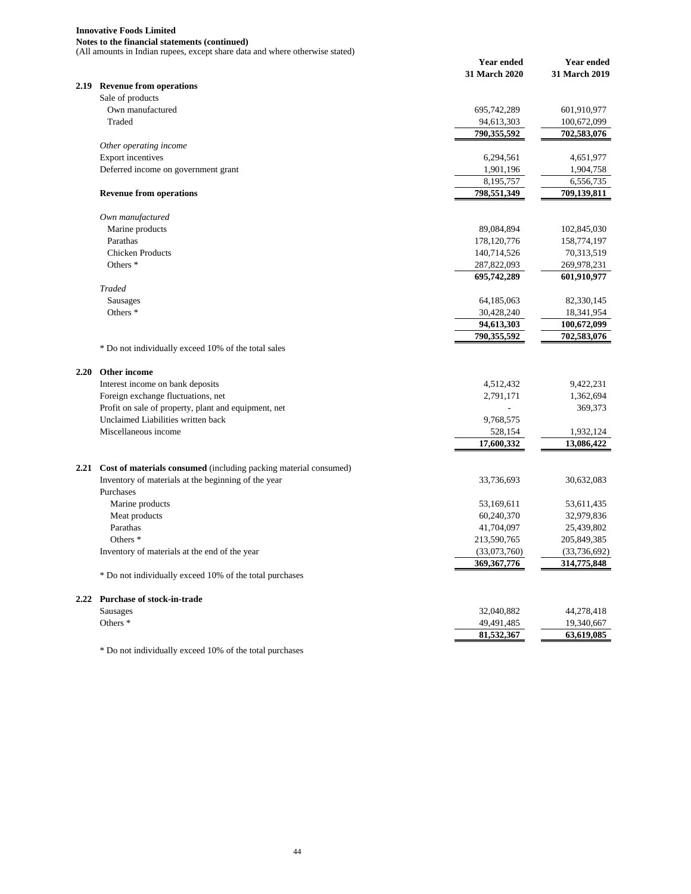|      | Notes to the financial statements (continued)<br>(All amounts in Indian rupees, except share data and where otherwise stated) |                           |                            |
|------|-------------------------------------------------------------------------------------------------------------------------------|---------------------------|----------------------------|
|      |                                                                                                                               | <b>Year ended</b>         | <b>Year ended</b>          |
|      |                                                                                                                               | 31 March 2020             | <b>31 March 2019</b>       |
| 2.19 | <b>Revenue from operations</b>                                                                                                |                           |                            |
|      | Sale of products                                                                                                              |                           |                            |
|      | Own manufactured                                                                                                              | 695,742,289               | 601,910,977                |
|      | Traded                                                                                                                        | 94,613,303                | 100,672,099                |
|      |                                                                                                                               | 790,355,592               | 702,583,076                |
|      | Other operating income                                                                                                        |                           |                            |
|      | Export incentives                                                                                                             | 6,294,561                 | 4,651,977                  |
|      | Deferred income on government grant                                                                                           | 1,901,196                 | 1,904,758                  |
|      |                                                                                                                               | 8,195,757                 | 6,556,735                  |
|      | <b>Revenue from operations</b>                                                                                                | 798,551,349               | 709,139,811                |
|      | Own manufactured                                                                                                              |                           |                            |
|      | Marine products                                                                                                               | 89,084,894                | 102,845,030                |
|      | Parathas                                                                                                                      | 178, 120, 776             | 158,774,197                |
|      | <b>Chicken Products</b>                                                                                                       | 140,714,526               | 70,313,519                 |
|      | Others <sup>*</sup>                                                                                                           | 287,822,093               | 269,978,231                |
|      |                                                                                                                               | 695,742,289               | 601,910,977                |
|      | <b>Traded</b>                                                                                                                 |                           |                            |
|      | Sausages<br>Others <sup>*</sup>                                                                                               | 64,185,063<br>30,428,240  | 82,330,145                 |
|      |                                                                                                                               |                           | 18,341,954                 |
|      |                                                                                                                               | 94,613,303<br>790,355,592 | 100,672,099<br>702,583,076 |
|      | * Do not individually exceed 10% of the total sales                                                                           |                           |                            |
|      |                                                                                                                               |                           |                            |
| 2.20 | Other income                                                                                                                  |                           |                            |
|      | Interest income on bank deposits                                                                                              | 4,512,432                 | 9,422,231                  |
|      | Foreign exchange fluctuations, net                                                                                            | 2,791,171                 | 1,362,694                  |
|      | Profit on sale of property, plant and equipment, net                                                                          |                           | 369,373                    |
|      | Unclaimed Liabilities written back                                                                                            | 9,768,575                 |                            |
|      | Miscellaneous income                                                                                                          | 528,154                   | 1,932,124                  |
|      |                                                                                                                               | 17,600,332                | 13,086,422                 |
|      | 2.21 Cost of materials consumed (including packing material consumed)                                                         |                           |                            |
|      | Inventory of materials at the beginning of the year                                                                           | 33,736,693                | 30,632,083                 |
|      | Purchases                                                                                                                     |                           |                            |
|      | Marine products                                                                                                               | 53,169,611                | 53,611,435                 |
|      | Meat products                                                                                                                 | 60,240,370                | 32,979,836                 |
|      | Parathas                                                                                                                      | 41,704,097                | 25,439,802                 |
|      | Others <sup>*</sup>                                                                                                           | 213,590,765               | 205,849,385                |
|      | Inventory of materials at the end of the year                                                                                 | (33,073,760)              | (33,736,692)               |
|      | * Do not individually exceed 10% of the total purchases                                                                       | 369, 367, 776             | 314,775,848                |
|      |                                                                                                                               |                           |                            |
| 2.22 | Purchase of stock-in-trade                                                                                                    |                           |                            |
|      | <b>Sausages</b>                                                                                                               | 32,040,882                | 44,278,418                 |
|      | Others <sup>*</sup>                                                                                                           | 49,491,485                | 19,340,667                 |
|      |                                                                                                                               | 81,532,367                | 63,619,085                 |
|      |                                                                                                                               |                           |                            |

\* Do not individually exceed 10% of the total purchases

**Innovative Foods Limited**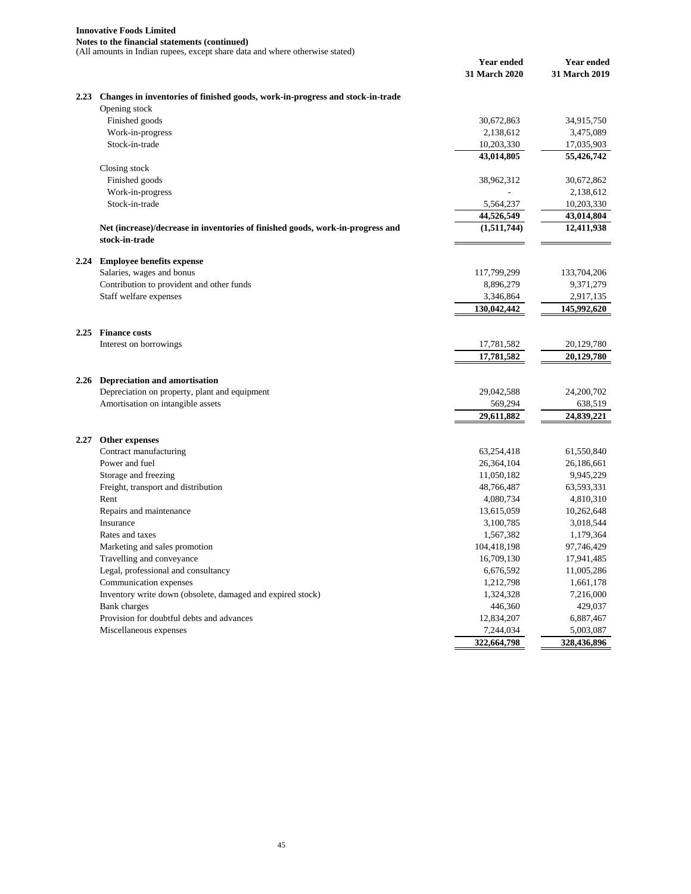|      | <b>Innovative Foods Limited</b>                                                                                               |                   |                      |
|------|-------------------------------------------------------------------------------------------------------------------------------|-------------------|----------------------|
|      | Notes to the financial statements (continued)<br>(All amounts in Indian rupees, except share data and where otherwise stated) |                   |                      |
|      |                                                                                                                               | <b>Year ended</b> | <b>Year ended</b>    |
|      |                                                                                                                               | 31 March 2020     | <b>31 March 2019</b> |
|      |                                                                                                                               |                   |                      |
| 2.23 | Changes in inventories of finished goods, work-in-progress and stock-in-trade                                                 |                   |                      |
|      | Opening stock                                                                                                                 |                   |                      |
|      | Finished goods                                                                                                                | 30,672,863        | 34,915,750           |
|      | Work-in-progress                                                                                                              | 2,138,612         | 3,475,089            |
|      | Stock-in-trade                                                                                                                | 10,203,330        | 17,035,903           |
|      |                                                                                                                               | 43.014.805        | 55,426,742           |
|      | Closing stock                                                                                                                 |                   |                      |
|      | Finished goods                                                                                                                | 38,962,312        | 30,672,862           |
|      | Work-in-progress                                                                                                              |                   | 2,138,612            |
|      | Stock-in-trade                                                                                                                | 5,564,237         | 10,203,330           |
|      |                                                                                                                               | 44,526,549        | 43,014,804           |
|      | Net (increase)/decrease in inventories of finished goods, work-in-progress and                                                | (1,511,744)       | 12,411,938           |
|      | stock-in-trade                                                                                                                |                   |                      |
|      |                                                                                                                               |                   |                      |
| 2.24 | <b>Employee benefits expense</b>                                                                                              |                   |                      |
|      | Salaries, wages and bonus                                                                                                     | 117,799,299       | 133,704,206          |
|      | Contribution to provident and other funds                                                                                     | 8,896,279         | 9,371,279            |
|      | Staff welfare expenses                                                                                                        | 3,346,864         | 2,917,135            |
|      |                                                                                                                               | 130,042,442       | 145,992,620          |
|      |                                                                                                                               |                   |                      |
| 2.25 | <b>Finance costs</b>                                                                                                          |                   |                      |
|      | Interest on borrowings                                                                                                        | 17,781,582        | 20,129,780           |
|      |                                                                                                                               | 17,781,582        | 20,129,780           |
|      |                                                                                                                               |                   |                      |
|      | 2.26 Depreciation and amortisation                                                                                            |                   |                      |
|      | Depreciation on property, plant and equipment                                                                                 | 29,042,588        | 24,200,702           |
|      | Amortisation on intangible assets                                                                                             | 569,294           | 638,519              |
|      |                                                                                                                               | 29,611,882        | 24,839,221           |
|      |                                                                                                                               |                   |                      |
| 2.27 | Other expenses                                                                                                                |                   |                      |
|      | Contract manufacturing                                                                                                        | 63,254,418        | 61,550,840           |
|      | Power and fuel                                                                                                                | 26,364,104        | 26,186,661           |
|      | Storage and freezing                                                                                                          | 11,050,182        | 9,945,229            |
|      | Freight, transport and distribution                                                                                           | 48,766,487        | 63,593,331           |
|      | Rent                                                                                                                          | 4,080,734         | 4,810,310            |
|      | Repairs and maintenance                                                                                                       | 13,615,059        | 10,262,648           |
|      | Insurance                                                                                                                     | 3,100,785         | 3,018,544            |
|      | Rates and taxes                                                                                                               | 1,567,382         | 1,179,364            |
|      | Marketing and sales promotion                                                                                                 | 104,418,198       | 97,746,429           |
|      | Travelling and conveyance                                                                                                     | 16,709,130        | 17,941,485           |
|      | Legal, professional and consultancy                                                                                           | 6,676,592         | 11,005,286           |
|      | Communication expenses                                                                                                        | 1,212,798         | 1,661,178            |
|      | Inventory write down (obsolete, damaged and expired stock)                                                                    | 1,324,328         | 7,216,000            |
|      | <b>Bank</b> charges                                                                                                           | 446,360           | 429,037              |
|      | Provision for doubtful debts and advances                                                                                     | 12,834,207        | 6,887,467            |
|      | Miscellaneous expenses                                                                                                        | 7,244,034         | 5,003,087            |
|      |                                                                                                                               | 322,664,798       | 328,436,896          |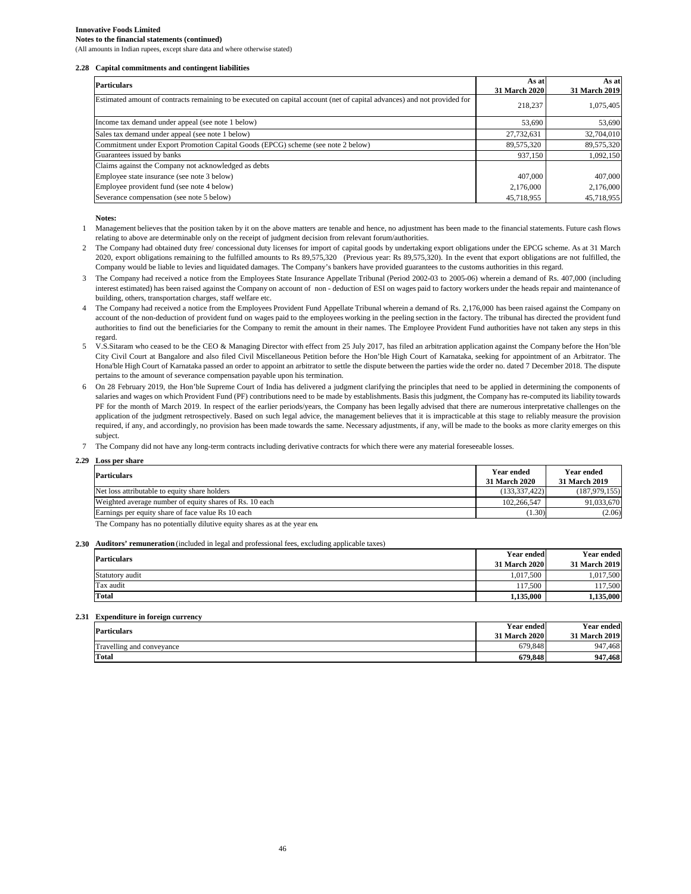#### **Notes to the financial statements (continued)**

(All amounts in Indian rupees, except share data and where otherwise stated)

#### **2.28 Capital commitments and contingent liabilities**

| <b>Particulars</b>                                                                                                       | As at                | As at         |
|--------------------------------------------------------------------------------------------------------------------------|----------------------|---------------|
|                                                                                                                          | <b>31 March 2020</b> | 31 March 2019 |
| Estimated amount of contracts remaining to be executed on capital account (net of capital advances) and not provided for | 218,237              | 1,075,405     |
| Income tax demand under appeal (see note 1 below)                                                                        | 53,690               | 53,690        |
| Sales tax demand under appeal (see note 1 below)                                                                         | 27,732,631           | 32,704,010    |
| Commitment under Export Promotion Capital Goods (EPCG) scheme (see note 2 below)                                         | 89,575,320           | 89,575,320    |
| Guarantees issued by banks                                                                                               | 937,150              | 1,092,150     |
| Claims against the Company not acknowledged as debts                                                                     |                      |               |
| Employee state insurance (see note 3 below)                                                                              | 407,000              | 407,000       |
| Employee provident fund (see note 4 below)                                                                               | 2,176,000            | 2,176,000     |
| Severance compensation (see note 5 below)                                                                                | 45,718,955           | 45,718,955    |

#### **Notes:**

- 1 Management believes that the position taken by it on the above matters are tenable and hence, no adjustment has been made to the financial statements. Future cash flows relating to above are determinable only on the receipt of judgment decision from relevant forum/authorities.
- 2 The Company had obtained duty free/ concessional duty licenses for import of capital goods by undertaking export obligations under the EPCG scheme. As at 31 March 2020, export obligations remaining to the fulfilled amounts to Rs 89,575,320 (Previous year: Rs 89,575,320). In the event that export obligations are not fulfilled, the Company would be liable to levies and liquidated damages. The Company's bankers have provided guarantees to the customs authorities in this regard.
- 3 The Company had received a notice from the Employees State Insurance Appellate Tribunal (Period 2002-03 to 2005-06) wherein a demand of Rs. 407,000 (including interest estimated) has been raised against the Company on account of non - deduction of ESI on wages paid to factory workers under the heads repair and maintenance of building, others, transportation charges, staff welfare etc.
- 4 The Company had received a notice from the Employees Provident Fund Appellate Tribunal wherein a demand of Rs. 2,176,000 has been raised against the Company on account of the non-deduction of provident fund on wages paid to the employees working in the peeling section in the factory. The tribunal has directed the provident fund authorities to find out the beneficiaries for the Company to remit the amount in their names. The Employee Provident Fund authorities have not taken any steps in this regard.
- 5 V.S.Sitaram who ceased to be the CEO & Managing Director with effect from 25 July 2017, has filed an arbitration application against the Company before the Hon'ble City Civil Court at Bangalore and also filed Civil Miscellaneous Petition before the Hon'ble High Court of Karnataka, seeking for appointment of an Arbitrator. The Hona'ble High Court of Karnataka passed an order to appoint an arbitrator to settle the dispute between the parties wide the order no. dated 7 December 2018. The dispute pertains to the amount of severance compensation payable upon his termination.
- 6 On 28 February 2019, the Hon'ble Supreme Court of India has delivered a judgment clarifying the principles that need to be applied in determining the components of salaries and wages on which Provident Fund (PF) contributions need to be made by establishments. Basis this judgment, the Company has re-computed its liability towards PF for the month of March 2019. In respect of the earlier periods/years, the Company has been legally advised that there are numerous interpretative challenges on the application of the judgment retrospectively. Based on such legal advice, the management believes that it is impracticable at this stage to reliably measure the provision required, if any, and accordingly, no provision has been made towards the same. Necessary adjustments, if any, will be made to the books as more clarity emerges on this subject.

7 The Company did not have any long-term contracts including derivative contracts for which there were any material foreseeable losses.

#### **2.29 Loss per share**

| <b>Particulars</b>                                      | Year ended<br>31 March 2020 | <b>Year ended</b><br>31 March 2019 |
|---------------------------------------------------------|-----------------------------|------------------------------------|
| Net loss attributable to equity share holders           | (133.337.422)               | (187, 979, 155)                    |
| Weighted average number of equity shares of Rs. 10 each | 102.266.547                 | 91.033.670                         |
| Earnings per equity share of face value Rs 10 each      | (1.30)                      | (2.06)                             |

The Company has no potentially dilutive equity shares as at the year end.

#### **2.30 Auditors' remuneration** (included in legal and professional fees, excluding applicable taxes)

|  | <b>Particulars</b> | Year ended    | <b>Year ended</b> |
|--|--------------------|---------------|-------------------|
|  |                    | 31 March 2020 | 31 March 2019     |
|  | Statutory audit    | 1,017,500     | 1,017,500         |
|  | Tax audit          | 117.500       | 117.500           |
|  | Total              | 1,135,000     | 1,135,000         |

#### **2.31 Expenditure in foreign currency**

| <b>Particulars</b>        |         | Year ended<br><b>Year ended</b> |
|---------------------------|---------|---------------------------------|
|                           |         | 31 March 2020<br>31 March 2019  |
| Travelling and conveyance | 679.848 | 947,468                         |
| Total                     | 679.848 | 947,468                         |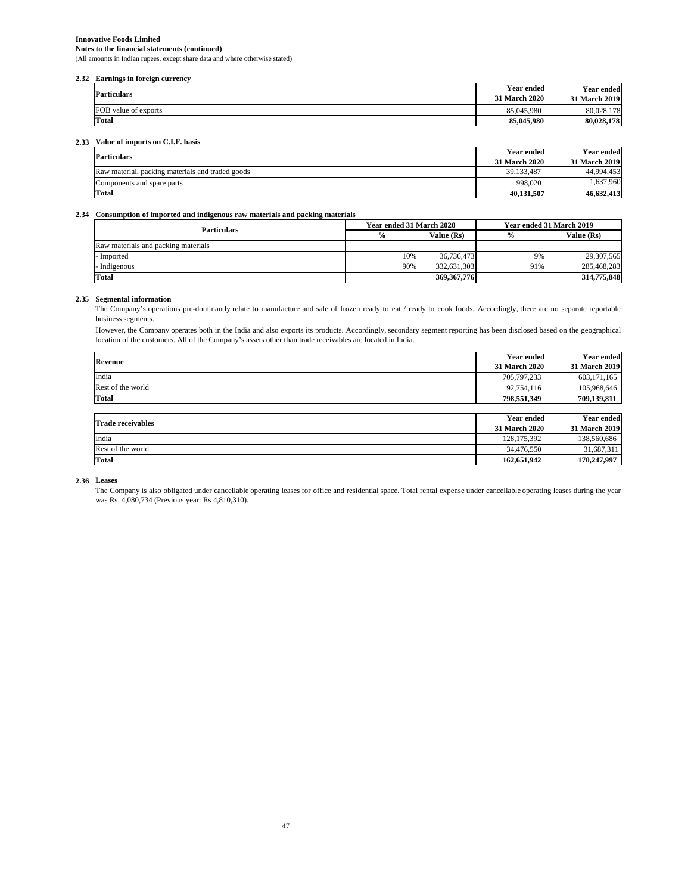**Notes to the financial statements (continued)**

(All amounts in Indian rupees, except share data and where otherwise stated)

#### **2.32 Earnings in foreign currency**

| <b>Particulars</b>   | Year ended<br>31 March 2020 | <b>Year ended</b><br>31 March 2019 |
|----------------------|-----------------------------|------------------------------------|
| FOB value of exports | 85,045,980                  | 80.028.178                         |
| <b>Total</b>         | 85,045,980                  | 80,028,178                         |

#### **2.33 Value of imports on C.I.F. basis**

|  | <b>Particulars</b>                               | Year ended           | <b>Year ended</b> |
|--|--------------------------------------------------|----------------------|-------------------|
|  |                                                  | <b>31 March 2020</b> | 31 March 2019     |
|  | Raw material, packing materials and traded goods | 39.133.487           | 44.994.453        |
|  | Components and spare parts                       | 998.020              | .637.960          |
|  | <b>Total</b>                                     | 40,131,507           | 46.632.413        |

#### **2.34 Consumption of imported and indigenous raw materials and packing materials**

| <b>Particulars</b>                  | Year ended 31 March 2020 |               | Year ended 31 March 2019 |             |
|-------------------------------------|--------------------------|---------------|--------------------------|-------------|
|                                     | $\frac{6}{9}$            | Value (Rs)    | $\frac{6}{9}$            | Value (Rs)  |
| Raw materials and packing materials |                          |               |                          |             |
| Imported                            | 10%                      | 36,736,473    | 9%                       | 29,307,565  |
| Indigenous                          | 90%                      | 332,631,303   | 91%                      | 285,468,283 |
| Total                               |                          | 369, 367, 776 |                          | 314,775,848 |

#### **2.35 Segmental information**

The Company's operations pre-dominantly relate to manufacture and sale of frozen ready to eat / ready to cook foods. Accordingly, there are no separate reportable business segments.

However, the Company operates both in the India and also exports its products. Accordingly, secondary segment reporting has been disclosed based on the geographical location of the customers. All of the Company's assets other than trade receivables are located in India.

| <b>Revenue</b>           | <b>Year ended</b> | <b>Year ended</b> |
|--------------------------|-------------------|-------------------|
|                          | 31 March 2020     | 31 March 2019     |
| India                    | 705,797,233       | 603,171,165       |
| Rest of the world        | 92,754,116        | 105,968,646       |
| <b>Total</b>             | 798,551,349       | 709,139,811       |
|                          |                   |                   |
| <b>Trade receivables</b> | <b>Year ended</b> | <b>Year ended</b> |
|                          | 31 March 2020     | 31 March 2019     |
| India                    | 128, 175, 392     | 138,560,686       |
| Rest of the world        | 34,476,550        | 31,687,311        |
| <b>Total</b>             | 162,651,942       | 170,247,997       |

#### **2.36 Leases**

The Company is also obligated under cancellable operating leases for office and residential space. Total rental expense under cancellable operating leases during the year was Rs. 4,080,734 (Previous year: Rs 4,810,310).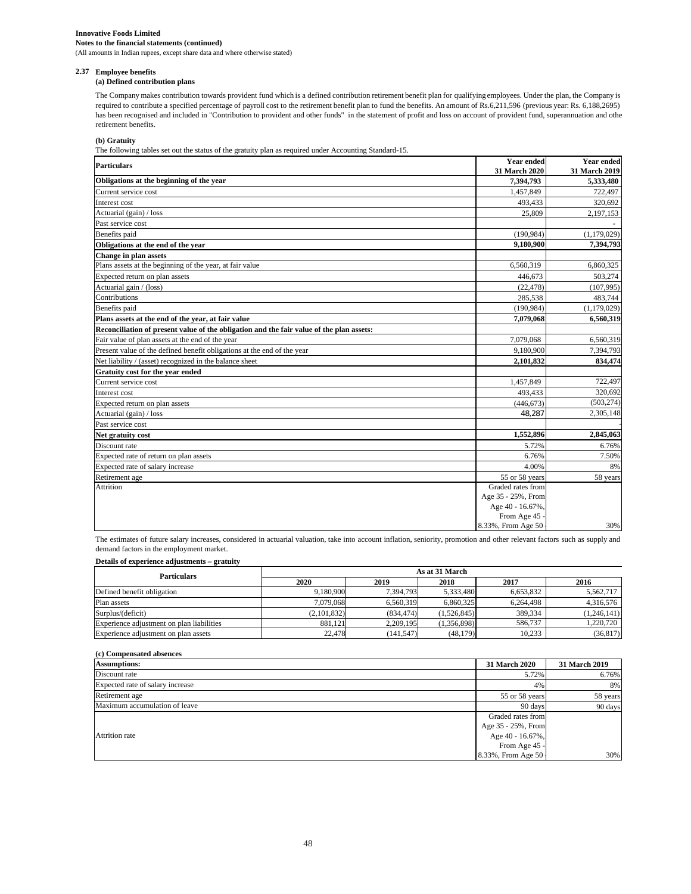(All amounts in Indian rupees, except share data and where otherwise stated)

#### **2.37 Employee benefits**

#### **(a) Defined contribution plans**

The Company makes contribution towards provident fund which is a defined contribution retirement benefit plan for qualifying employees. Under the plan, the Company is required to contribute a specified percentage of payroll cost to the retirement benefit plan to fund the benefits. An amount of Rs.6,211,596 (previous year: Rs. 6,188,2695) has been recognised and included in "Contribution to provident and other funds" in the statement of profit and loss on account of provident fund, superannuation and othe retirement benefits.

#### **(b) Gratuity**

The following tables set out the status of the gratuity plan as required under Accounting Standard-15.

| <b>Particulars</b>                                                                       | <b>Year ended</b>  | <b>Year ended</b> |
|------------------------------------------------------------------------------------------|--------------------|-------------------|
|                                                                                          | 31 March 2020      | 31 March 2019     |
| Obligations at the beginning of the year                                                 | 7,394,793          | 5,333,480         |
| Current service cost                                                                     | 1,457,849          | 722,497           |
| Interest cost                                                                            | 493,433            | 320,692           |
| Actuarial (gain) / loss                                                                  | 25,809             | 2,197,153         |
| Past service cost                                                                        |                    |                   |
| Benefits paid                                                                            | (190, 984)         | (1,179,029)       |
| Obligations at the end of the year                                                       | 9,180,900          | 7,394,793         |
| Change in plan assets                                                                    |                    |                   |
| Plans assets at the beginning of the year, at fair value                                 | 6,560,319          | 6,860,325         |
| Expected return on plan assets                                                           | 446,673            | 503,274           |
| Actuarial gain / (loss)                                                                  | (22, 478)          | (107, 995)        |
| Contributions                                                                            | 285,538            | 483,744           |
| Benefits paid                                                                            | (190, 984)         | (1,179,029)       |
| Plans assets at the end of the year, at fair value                                       | 7,079,068          | 6,560,319         |
| Reconciliation of present value of the obligation and the fair value of the plan assets: |                    |                   |
| Fair value of plan assets at the end of the year                                         | 7,079,068          | 6,560,319         |
| Present value of the defined benefit obligations at the end of the year                  | 9,180,900          | 7,394,793         |
| Net liability / (asset) recognized in the balance sheet                                  | 2,101,832          | 834,474           |
| Gratuity cost for the year ended                                                         |                    |                   |
| Current service cost                                                                     | 1,457,849          | 722,497           |
| Interest cost                                                                            | 493,433            | 320,692           |
| Expected return on plan assets                                                           | (446, 673)         | (503, 274)        |
| Actuarial (gain) / loss                                                                  | 48,287             | 2,305,148         |
| Past service cost                                                                        |                    |                   |
| Net gratuity cost                                                                        | 1,552,896          | 2,845,063         |
| Discount rate                                                                            | 5.72%              | 6.76%             |
| Expected rate of return on plan assets                                                   | 6.76%              | 7.50%             |
| Expected rate of salary increase                                                         | 4.00%              | 8%                |
| Retirement age                                                                           | 55 or 58 years     | 58 years          |
| Attrition                                                                                | Graded rates from  |                   |
|                                                                                          | Age 35 - 25%, From |                   |
|                                                                                          | Age 40 - 16.67%,   |                   |
|                                                                                          | From Age 45        |                   |
|                                                                                          | 8.33%, From Age 50 | 30%               |

The estimates of future salary increases, considered in actuarial valuation, take into account inflation, seniority, promotion and other relevant factors such as supply and demand factors in the employment market.

#### **Details of experience adjustments – gratuity**

| <b>Particulars</b>                        | As at 31 March |            |             |           |             |
|-------------------------------------------|----------------|------------|-------------|-----------|-------------|
|                                           | 2020           | 2019       | 2018        | 2017      | 2016        |
| Defined benefit obligation                | 9.180.900      | 7.394.793  | 5.333.480   | 6.653.832 | 5.562.717   |
| Plan assets                               | 7.079.068      | 6.560.319  | 6.860.325   | 6.264.498 | 4.316.576   |
| Surplus/(deficit)                         | (2,101,832)    | (834, 474) | (1,526,845) | 389.334   | (1,246,141) |
| Experience adjustment on plan liabilities | 881.121        | 2,209,195  | (1,356,898) | 586,737   | 1.220.720   |
| Experience adjustment on plan assets      | 22,478         | (141, 547) | (48, 179)   | 10,233    | (36, 817)   |

**(c) Compensated absences**

| <b>Assumptions:</b>              | 31 March 2020      | 31 March 2019 |
|----------------------------------|--------------------|---------------|
| Discount rate                    | 5.72%              | 6.76%         |
| Expected rate of salary increase | 4%                 | 8%            |
| Retirement age                   | 55 or 58 years     | 58 years      |
| Maximum accumulation of leave    | 90 days            | 90 days       |
|                                  | Graded rates from  |               |
|                                  | Age 35 - 25%, From |               |
| <b>Attrition</b> rate            | Age 40 - 16.67%,   |               |
|                                  | From Age 45 -      |               |
|                                  | 8.33%, From Age 50 | 30%           |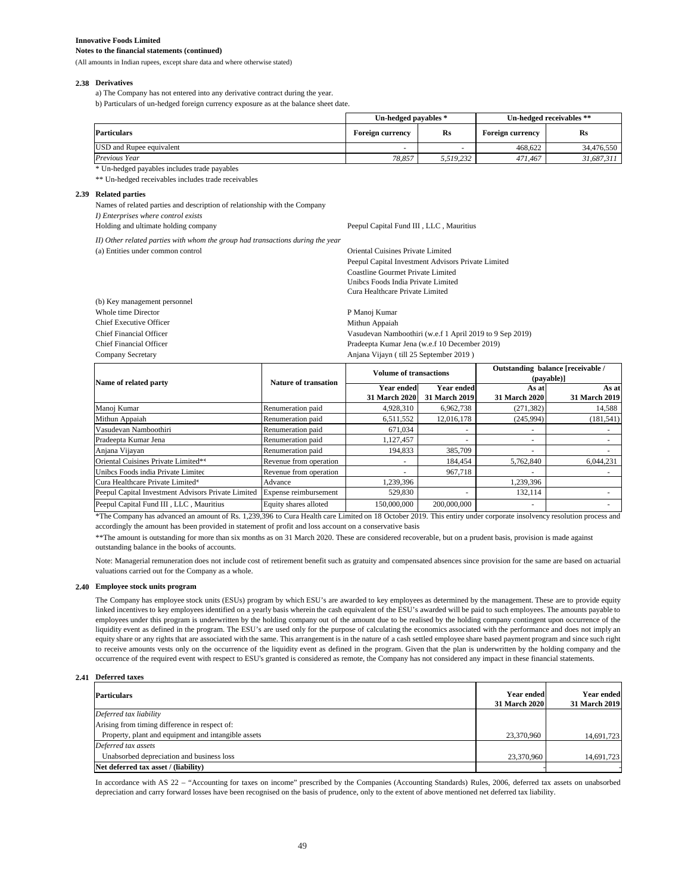#### **Notes to the financial statements (continued)**

(All amounts in Indian rupees, except share data and where otherwise stated)

#### **2.38 Derivatives**

**2.39 Related parties**

a) The Company has not entered into any derivative contract during the year.

b) Particulars of un-hedged foreign currency exposure as at the balance sheet date.

|                                                                           | Un-hedged payables *     |               | Un-hedged receivables ** |                |
|---------------------------------------------------------------------------|--------------------------|---------------|--------------------------|----------------|
| <b>Particulars</b>                                                        | <b>Foreign currency</b>  | $\mathbf{Rs}$ | <b>Foreign currency</b>  | $\mathbf{R}$ s |
| USD and Rupee equivalent                                                  | $\overline{\phantom{a}}$ |               | 468.622                  | 34,476,550     |
| Previous Year                                                             | 78.857                   | 5.519.232     | 471.467                  | 31,687,311     |
| * Un-hedged payables includes trade payables                              |                          |               |                          |                |
| ** Un-hedged receivables includes trade receivables                       |                          |               |                          |                |
| <b>Related parties</b>                                                    |                          |               |                          |                |
| Names of related parties and description of relationship with the Company |                          |               |                          |                |

hip with the Company

*I) Enterprises where control exists*

(b) Key management personnel

Holding and ultimate holding company Peepul Capital Fund III , LLC , Mauritius

*II) Other related parties with whom the group had transactions during the year* (a) Entities under common control Oriental Cuisines Private Limited

| Peepul Capital Investment Advisors Private Limited |  |
|----------------------------------------------------|--|
| Coastline Gourmet Private Limited                  |  |
| Unibcs Foods India Private Limited                 |  |
| Cura Healthcare Private Limited                    |  |

Whole time Director P Manoj Kumar **Chief Executive Officer** Mithun Appaiah Chief Financial Officer Vasudevan Namboothiri (w.e.f 1 April 2019 to 9 Sep 2019) Chief Financial Officer Pradeepta Kumar Jena (w.e.f 10 December 2019) Company Secretary Anjana Vijayn ( till 25 September 2019 )

| Name of related party                              | Nature of transation   | <b>Volume of transactions</b> |                   | Outstanding balance [receivable /<br>(payable)] |               |
|----------------------------------------------------|------------------------|-------------------------------|-------------------|-------------------------------------------------|---------------|
|                                                    |                        | <b>Year ended</b>             | <b>Year ended</b> | As at                                           | As at         |
|                                                    |                        | 31 March 2020                 | 31 March 2019     | 31 March 2020                                   | 31 March 2019 |
| Manoj Kumar                                        | Renumeration paid      | 4,928,310                     | 6,962,738         | (271, 382)                                      | 14,588        |
| Mithun Appaiah                                     | Renumeration paid      | 6,511,552                     | 12.016.178        | (245,994)                                       | (181, 541)    |
| Vasudevan Namboothiri                              | Renumeration paid      | 671,034                       |                   | $\overline{\phantom{a}}$                        |               |
| Pradeepta Kumar Jena                               | Renumeration paid      | 1,127,457                     |                   | $\overline{\phantom{a}}$                        |               |
| Anjana Vijayan                                     | Renumeration paid      | 194,833                       | 385,709           | $\overline{\phantom{a}}$                        |               |
| Oriental Cuisines Private Limited**                | Revenue from operation | $\overline{\phantom{a}}$      | 184,454           | 5,762,840                                       | 6,044,231     |
| Unibcs Foods india Private Limited                 | Revenue from operation | $\overline{\phantom{a}}$      | 967,718           | $\overline{\phantom{a}}$                        |               |
| Cura Healthcare Private Limited <sup>*</sup>       | Advance                | 1,239,396                     |                   | 1,239,396                                       |               |
| Peepul Capital Investment Advisors Private Limited | Expense reimbursement  | 529,830                       |                   | 132,114                                         |               |
| Peepul Capital Fund III, LLC, Mauritius            | Equity shares alloted  | 150,000,000                   | 200,000,000       | $\overline{\phantom{a}}$                        |               |

\*The Company has advanced an amount of Rs. 1,239,396 to Cura Health care Limited on 18 October 2019. This entiry under corporate insolvency resolution process and accordingly the amount has been provided in statement of profit and loss account on a conservative basis

\*\*The amount is outstanding for more than six months as on 31 March 2020. These are considered recoverable, but on a prudent basis, provision is made against outstanding balance in the books of accounts.

Note: Managerial remuneration does not include cost of retirement benefit such as gratuity and compensated absences since provision for the same are based on actuarial valuations carried out for the Company as a whole.

#### **2.40 Employee stock units program**

The Company has employee stock units (ESUs) program by which ESU's are awarded to key employees as determined by the management. These are to provide equity linked incentives to key employees identified on a yearly basis wherein the cash equivalent of the ESU's awarded will be paid to such employees. The amounts payable to employees under this program is underwritten by the holding company out of the amount due to be realised by the holding company contingent upon occurrence of the liquidity event as defined in the program. The ESU's are used only for the purpose of calculating the economics associated with the performance and does not imply an equity share or any rights that are associated with the same. This arrangement is in the nature of a cash settled employee share based payment program and since such right to receive amounts vests only on the occurrence of the liquidity event as defined in the program. Given that the plan is underwritten by the holding company and the occurrence of the required event with respect to ESU's granted is considered as remote, the Company has not considered any impact in these financial statements.

#### **2.41 Deferred taxes**

| <b>Particulars</b>                                  | <b>Year ended</b><br>31 March 2020 | <b>Year ended</b><br>31 March 2019 |
|-----------------------------------------------------|------------------------------------|------------------------------------|
| Deferred tax liability                              |                                    |                                    |
| Arising from timing difference in respect of:       |                                    |                                    |
| Property, plant and equipment and intangible assets | 23,370,960                         | 14,691,723                         |
| Deferred tax assets                                 |                                    |                                    |
| Unabsorbed depreciation and business loss           | 23,370,960                         | 14,691,723                         |
| Net deferred tax asset / (liability)                |                                    |                                    |

In accordance with AS 22 – "Accounting for taxes on income" prescribed by the Companies (Accounting Standards) Rules, 2006, deferred tax assets on unabsorbed depreciation and carry forward losses have been recognised on the basis of prudence, only to the extent of above mentioned net deferred tax liability.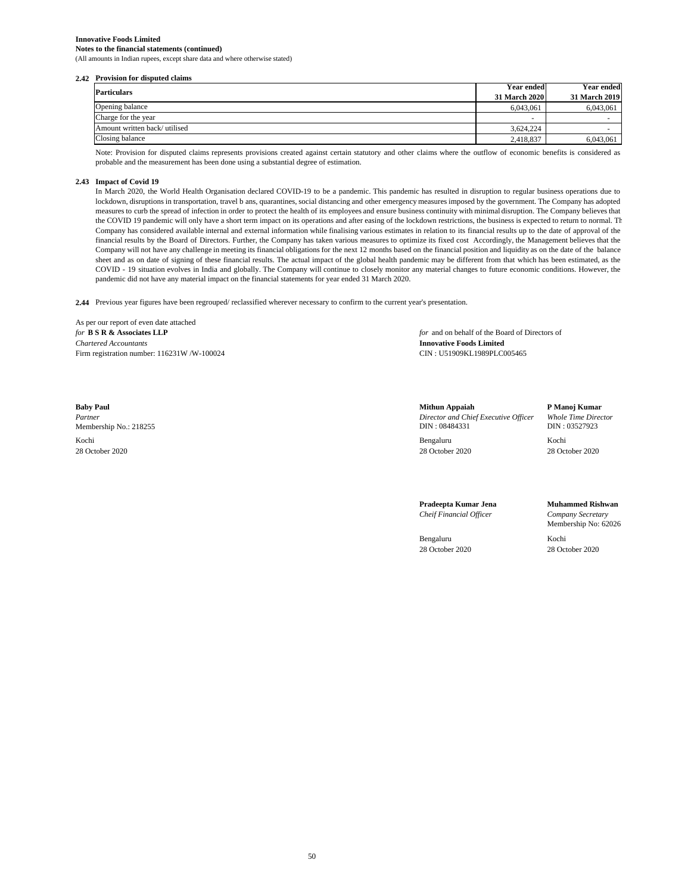**Notes to the financial statements (continued)** (All amounts in Indian rupees, except share data and where otherwise stated)

#### **2.42 Provision for disputed claims**

| <b>Particulars</b>           | <b>Year ended</b>    | <b>Year ended</b> |
|------------------------------|----------------------|-------------------|
|                              | <b>31 March 2020</b> | 31 March 2019     |
| Opening balance              | 6,043,061            | 6,043,061         |
| Charge for the year          |                      |                   |
| Amount written back/utilised | 3.624.224            |                   |
| Closing balance              | 2,418,837            | 6,043,061         |
|                              |                      |                   |

Note: Provision for disputed claims represents provisions created against certain statutory and other claims where the outflow of economic benefits is considered as probable and the measurement has been done using a substantial degree of estimation.

#### **2.43 Impact of Covid 19**

In March 2020, the World Health Organisation declared COVID-19 to be a pandemic. This pandemic has resulted in disruption to regular business operations due to lockdown, disruptions in transportation, travel b ans, quarantines, social distancing and other emergency measures imposed by the government. The Company has adopted measures to curb the spread of infection in order to protect the health of its employees and ensure business continuity with minimal disruption. The Company believes that the COVID 19 pandemic will only have a short term impact on its operations and after easing of the lockdown restrictions, the business is expected to return to normal. The Company has considered available internal and external information while finalising various estimates in relation to its financial results up to the date of approval of the financial results by the Board of Directors. Further, the Company has taken various measures to optimize its fixed cost Accordingly, the Management believes that the Company will not have any challenge in meeting its financial obligations for the next 12 months based on the financial position and liquidity as on the date of the balance sheet and as on date of signing of these financial results. The actual impact of the global health pandemic may be different from that which has been estimated, as the COVID - 19 situation evolves in India and globally. The Company will continue to closely monitor any material changes to future economic conditions. However, the pandemic did not have any material impact on the financial statements for year ended 31 March 2020.

**2.44** Previous year figures have been regrouped/ reclassified wherever necessary to confirm to the current year's presentation.

As per our report of even date attached *for* **B S R & Associates LLP** *for* **and on behalf of the Board of Directors of Chartered Accountants <b>Chartered Accountants** Firm registration number: 116231W /W-100024 CIN : U51909KL1989PLC005465

*Chartered Accountants* **Innovative Foods Limited**

Membership No.: 218255 Kochi Bengaluru Kochi 28 October 2020 28 October 2020 28 October 2020

**Baby Paul Mithun Appaiah P Manoj Kumar** *Partner Director and Chief Executive Officer Whole Time Director* 

**Pradeepta Kumar Jena Muhammed Rishwan**

*Cheif Financial Officer Company Secretary*

Bengaluru Kochi 28 October 2020 28 October 2020

Membership No: 62026